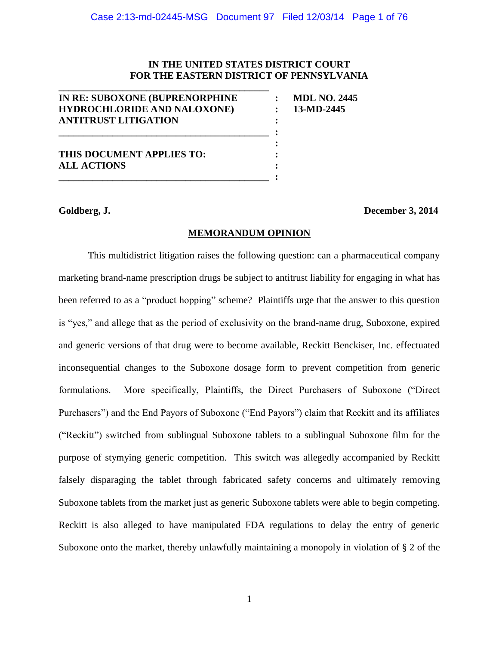## **IN THE UNITED STATES DISTRICT COURT FOR THE EASTERN DISTRICT OF PENNSYLVANIA**

| IN RE: SUBOXONE (BUPRENORPHINE     | <b>MDL NO. 2445</b> |
|------------------------------------|---------------------|
| <b>HYDROCHLORIDE AND NALOXONE)</b> | 13-MD-2445          |
| <b>ANTITRUST LITIGATION</b>        |                     |
|                                    |                     |
|                                    |                     |
| THIS DOCUMENT APPLIES TO:          |                     |
| <b>ALL ACTIONS</b>                 |                     |
|                                    |                     |

**\_\_\_\_\_\_\_\_\_\_\_\_\_\_\_\_\_\_\_\_\_\_\_\_\_\_\_\_\_\_\_\_\_\_\_\_\_\_\_\_\_\_\_**

**Goldberg, J. December 3, 2014**

## **MEMORANDUM OPINION**

This multidistrict litigation raises the following question: can a pharmaceutical company marketing brand-name prescription drugs be subject to antitrust liability for engaging in what has been referred to as a "product hopping" scheme? Plaintiffs urge that the answer to this question is "yes," and allege that as the period of exclusivity on the brand-name drug, Suboxone, expired and generic versions of that drug were to become available, Reckitt Benckiser, Inc. effectuated inconsequential changes to the Suboxone dosage form to prevent competition from generic formulations. More specifically, Plaintiffs, the Direct Purchasers of Suboxone ("Direct Purchasers") and the End Payors of Suboxone ("End Payors") claim that Reckitt and its affiliates ("Reckitt") switched from sublingual Suboxone tablets to a sublingual Suboxone film for the purpose of stymying generic competition. This switch was allegedly accompanied by Reckitt falsely disparaging the tablet through fabricated safety concerns and ultimately removing Suboxone tablets from the market just as generic Suboxone tablets were able to begin competing. Reckitt is also alleged to have manipulated FDA regulations to delay the entry of generic Suboxone onto the market, thereby unlawfully maintaining a monopoly in violation of § 2 of the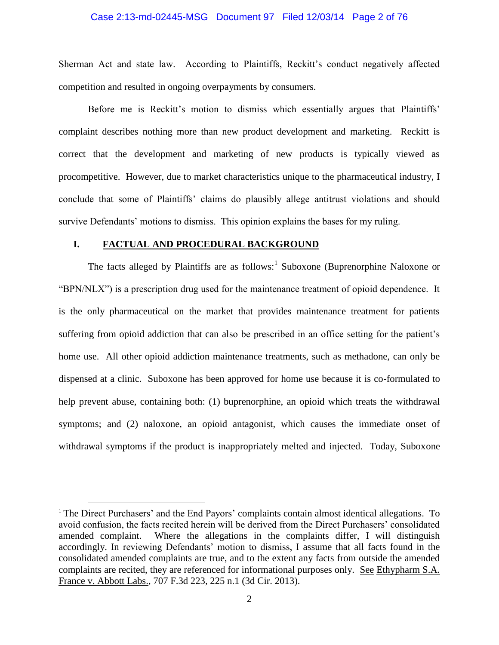#### Case 2:13-md-02445-MSG Document 97 Filed 12/03/14 Page 2 of 76

Sherman Act and state law. According to Plaintiffs, Reckitt's conduct negatively affected competition and resulted in ongoing overpayments by consumers.

Before me is Reckitt's motion to dismiss which essentially argues that Plaintiffs' complaint describes nothing more than new product development and marketing. Reckitt is correct that the development and marketing of new products is typically viewed as procompetitive. However, due to market characteristics unique to the pharmaceutical industry, I conclude that some of Plaintiffs' claims do plausibly allege antitrust violations and should survive Defendants' motions to dismiss. This opinion explains the bases for my ruling.

#### **I. FACTUAL AND PROCEDURAL BACKGROUND**

 $\overline{a}$ 

The facts alleged by Plaintiffs are as follows:<sup>1</sup> Suboxone (Buprenorphine Naloxone or "BPN/NLX") is a prescription drug used for the maintenance treatment of opioid dependence. It is the only pharmaceutical on the market that provides maintenance treatment for patients suffering from opioid addiction that can also be prescribed in an office setting for the patient's home use. All other opioid addiction maintenance treatments, such as methadone, can only be dispensed at a clinic. Suboxone has been approved for home use because it is co-formulated to help prevent abuse, containing both: (1) buprenorphine, an opioid which treats the withdrawal symptoms; and (2) naloxone, an opioid antagonist, which causes the immediate onset of withdrawal symptoms if the product is inappropriately melted and injected. Today, Suboxone

<sup>&</sup>lt;sup>1</sup> The Direct Purchasers' and the End Payors' complaints contain almost identical allegations. To avoid confusion, the facts recited herein will be derived from the Direct Purchasers' consolidated amended complaint. Where the allegations in the complaints differ, I will distinguish accordingly. In reviewing Defendants' motion to dismiss, I assume that all facts found in the consolidated amended complaints are true, and to the extent any facts from outside the amended complaints are recited, they are referenced for informational purposes only. See Ethypharm S.A. France v. Abbott Labs., 707 F.3d 223, 225 n.1 (3d Cir. 2013).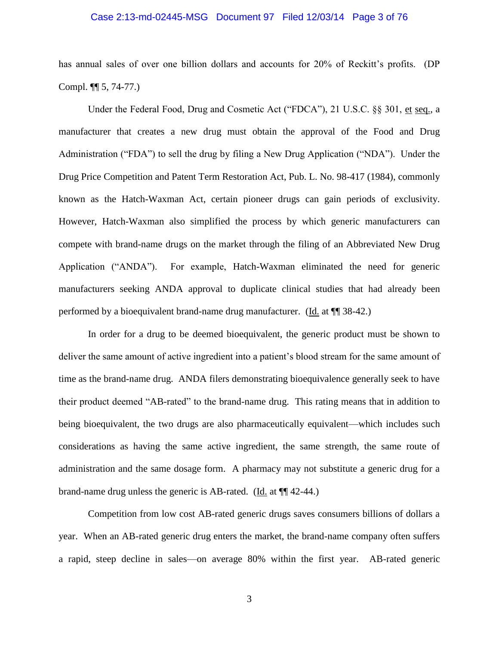#### Case 2:13-md-02445-MSG Document 97 Filed 12/03/14 Page 3 of 76

has annual sales of over one billion dollars and accounts for 20% of Reckitt's profits. (DP Compl. ¶¶ 5, 74-77.)

Under the Federal Food, Drug and Cosmetic Act ("FDCA"), 21 U.S.C. §§ 301, et seq., a manufacturer that creates a new drug must obtain the approval of the Food and Drug Administration ("FDA") to sell the drug by filing a New Drug Application ("NDA"). Under the Drug Price Competition and Patent Term Restoration Act, Pub. L. No. 98-417 (1984), commonly known as the Hatch-Waxman Act, certain pioneer drugs can gain periods of exclusivity. However, Hatch-Waxman also simplified the process by which generic manufacturers can compete with brand-name drugs on the market through the filing of an Abbreviated New Drug Application ("ANDA"). For example, Hatch-Waxman eliminated the need for generic manufacturers seeking ANDA approval to duplicate clinical studies that had already been performed by a bioequivalent brand-name drug manufacturer. (Id. at ¶¶ 38-42.)

In order for a drug to be deemed bioequivalent, the generic product must be shown to deliver the same amount of active ingredient into a patient's blood stream for the same amount of time as the brand-name drug. ANDA filers demonstrating bioequivalence generally seek to have their product deemed "AB-rated" to the brand-name drug. This rating means that in addition to being bioequivalent, the two drugs are also pharmaceutically equivalent—which includes such considerations as having the same active ingredient, the same strength, the same route of administration and the same dosage form. A pharmacy may not substitute a generic drug for a brand-name drug unless the generic is AB-rated. (Id. at ¶¶ 42-44.)

Competition from low cost AB-rated generic drugs saves consumers billions of dollars a year. When an AB-rated generic drug enters the market, the brand-name company often suffers a rapid, steep decline in sales—on average 80% within the first year. AB-rated generic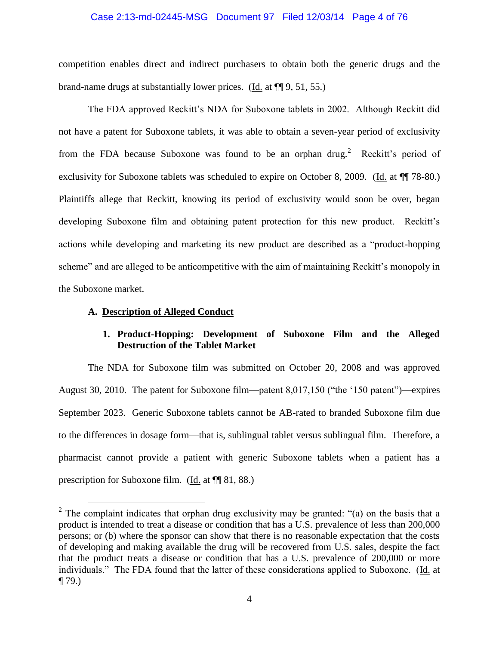#### Case 2:13-md-02445-MSG Document 97 Filed 12/03/14 Page 4 of 76

competition enables direct and indirect purchasers to obtain both the generic drugs and the brand-name drugs at substantially lower prices. (Id. at ¶¶ 9, 51, 55.)

The FDA approved Reckitt's NDA for Suboxone tablets in 2002. Although Reckitt did not have a patent for Suboxone tablets, it was able to obtain a seven-year period of exclusivity from the FDA because Suboxone was found to be an orphan drug.<sup>2</sup> Reckitt's period of exclusivity for Suboxone tablets was scheduled to expire on October 8, 2009. (Id. at  $\P$  78-80.) Plaintiffs allege that Reckitt, knowing its period of exclusivity would soon be over, began developing Suboxone film and obtaining patent protection for this new product. Reckitt's actions while developing and marketing its new product are described as a "product-hopping scheme" and are alleged to be anticompetitive with the aim of maintaining Reckitt's monopoly in the Suboxone market.

#### **A. Description of Alleged Conduct**

 $\overline{a}$ 

## **1. Product-Hopping: Development of Suboxone Film and the Alleged Destruction of the Tablet Market**

The NDA for Suboxone film was submitted on October 20, 2008 and was approved August 30, 2010. The patent for Suboxone film—patent 8,017,150 ("the '150 patent")—expires September 2023. Generic Suboxone tablets cannot be AB-rated to branded Suboxone film due to the differences in dosage form—that is, sublingual tablet versus sublingual film. Therefore, a pharmacist cannot provide a patient with generic Suboxone tablets when a patient has a prescription for Suboxone film. (Id. at ¶¶ 81, 88.)

<sup>&</sup>lt;sup>2</sup> The complaint indicates that orphan drug exclusivity may be granted: "(a) on the basis that a product is intended to treat a disease or condition that has a U.S. prevalence of less than 200,000 persons; or (b) where the sponsor can show that there is no reasonable expectation that the costs of developing and making available the drug will be recovered from U.S. sales, despite the fact that the product treats a disease or condition that has a U.S. prevalence of 200,000 or more individuals." The FDA found that the latter of these considerations applied to Suboxone. (Id. at  $\P$  79.)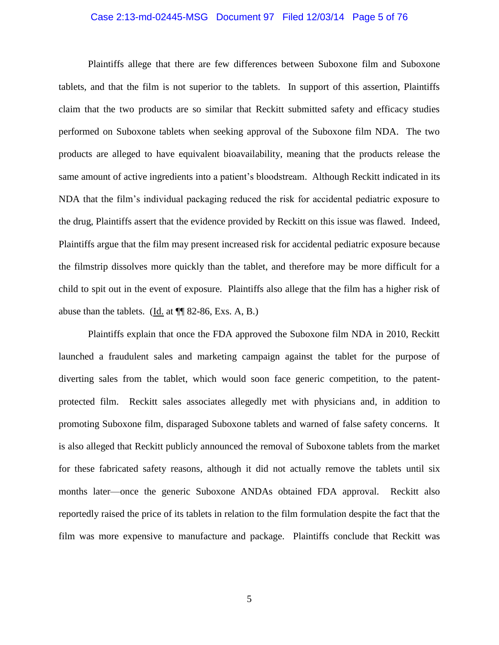#### Case 2:13-md-02445-MSG Document 97 Filed 12/03/14 Page 5 of 76

Plaintiffs allege that there are few differences between Suboxone film and Suboxone tablets, and that the film is not superior to the tablets. In support of this assertion, Plaintiffs claim that the two products are so similar that Reckitt submitted safety and efficacy studies performed on Suboxone tablets when seeking approval of the Suboxone film NDA. The two products are alleged to have equivalent bioavailability, meaning that the products release the same amount of active ingredients into a patient's bloodstream. Although Reckitt indicated in its NDA that the film's individual packaging reduced the risk for accidental pediatric exposure to the drug, Plaintiffs assert that the evidence provided by Reckitt on this issue was flawed. Indeed, Plaintiffs argue that the film may present increased risk for accidental pediatric exposure because the filmstrip dissolves more quickly than the tablet, and therefore may be more difficult for a child to spit out in the event of exposure. Plaintiffs also allege that the film has a higher risk of abuse than the tablets. (Id. at ¶¶ 82-86, Exs. A, B.)

Plaintiffs explain that once the FDA approved the Suboxone film NDA in 2010, Reckitt launched a fraudulent sales and marketing campaign against the tablet for the purpose of diverting sales from the tablet, which would soon face generic competition, to the patentprotected film. Reckitt sales associates allegedly met with physicians and, in addition to promoting Suboxone film, disparaged Suboxone tablets and warned of false safety concerns. It is also alleged that Reckitt publicly announced the removal of Suboxone tablets from the market for these fabricated safety reasons, although it did not actually remove the tablets until six months later—once the generic Suboxone ANDAs obtained FDA approval. Reckitt also reportedly raised the price of its tablets in relation to the film formulation despite the fact that the film was more expensive to manufacture and package. Plaintiffs conclude that Reckitt was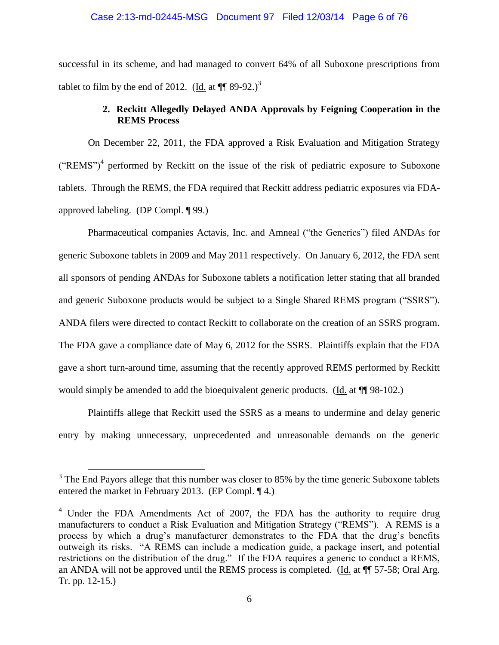# Case 2:13-md-02445-MSG Document 97 Filed 12/03/14 Page 6 of 76

successful in its scheme, and had managed to convert 64% of all Suboxone prescriptions from tablet to film by the end of 2012. (Id. at  $\P$  89-92.)<sup>3</sup>

## **2. Reckitt Allegedly Delayed ANDA Approvals by Feigning Cooperation in the REMS Process**

On December 22, 2011, the FDA approved a Risk Evaluation and Mitigation Strategy  $("REMS")<sup>4</sup>$  performed by Reckitt on the issue of the risk of pediatric exposure to Suboxone tablets. Through the REMS, the FDA required that Reckitt address pediatric exposures via FDAapproved labeling. (DP Compl. ¶ 99.)

Pharmaceutical companies Actavis, Inc. and Amneal ("the Generics") filed ANDAs for generic Suboxone tablets in 2009 and May 2011 respectively. On January 6, 2012, the FDA sent all sponsors of pending ANDAs for Suboxone tablets a notification letter stating that all branded and generic Suboxone products would be subject to a Single Shared REMS program ("SSRS"). ANDA filers were directed to contact Reckitt to collaborate on the creation of an SSRS program. The FDA gave a compliance date of May 6, 2012 for the SSRS. Plaintiffs explain that the FDA gave a short turn-around time, assuming that the recently approved REMS performed by Reckitt would simply be amended to add the bioequivalent generic products. (Id. at  $\P$  98-102.)

Plaintiffs allege that Reckitt used the SSRS as a means to undermine and delay generic entry by making unnecessary, unprecedented and unreasonable demands on the generic

 $3$  The End Payors allege that this number was closer to 85% by the time generic Suboxone tablets entered the market in February 2013. (EP Compl. ¶ 4.)

 $4$  Under the FDA Amendments Act of 2007, the FDA has the authority to require drug manufacturers to conduct a Risk Evaluation and Mitigation Strategy ("REMS"). A REMS is a process by which a drug's manufacturer demonstrates to the FDA that the drug's benefits outweigh its risks. "A REMS can include a medication guide, a package insert, and potential restrictions on the distribution of the drug." If the FDA requires a generic to conduct a REMS, an ANDA will not be approved until the REMS process is completed. (Id. at ¶¶ 57-58; Oral Arg. Tr. pp. 12-15.)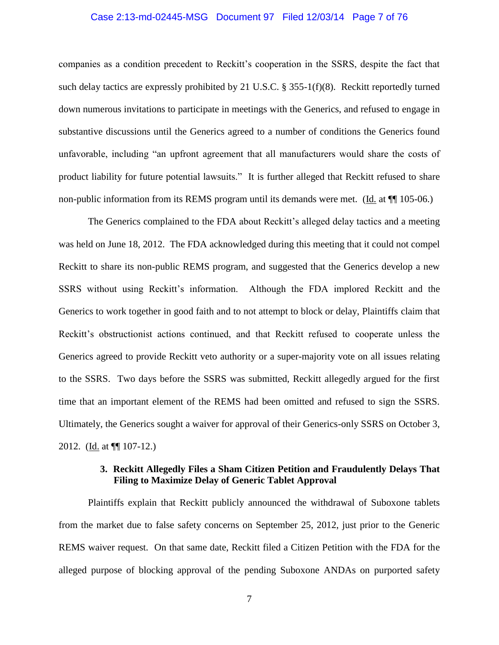#### Case 2:13-md-02445-MSG Document 97 Filed 12/03/14 Page 7 of 76

companies as a condition precedent to Reckitt's cooperation in the SSRS, despite the fact that such delay tactics are expressly prohibited by 21 U.S.C. § 355-1(f)(8). Reckitt reportedly turned down numerous invitations to participate in meetings with the Generics, and refused to engage in substantive discussions until the Generics agreed to a number of conditions the Generics found unfavorable, including "an upfront agreement that all manufacturers would share the costs of product liability for future potential lawsuits." It is further alleged that Reckitt refused to share non-public information from its REMS program until its demands were met. (Id. at  $\P$  105-06.)

The Generics complained to the FDA about Reckitt's alleged delay tactics and a meeting was held on June 18, 2012. The FDA acknowledged during this meeting that it could not compel Reckitt to share its non-public REMS program, and suggested that the Generics develop a new SSRS without using Reckitt's information. Although the FDA implored Reckitt and the Generics to work together in good faith and to not attempt to block or delay, Plaintiffs claim that Reckitt's obstructionist actions continued, and that Reckitt refused to cooperate unless the Generics agreed to provide Reckitt veto authority or a super-majority vote on all issues relating to the SSRS. Two days before the SSRS was submitted, Reckitt allegedly argued for the first time that an important element of the REMS had been omitted and refused to sign the SSRS. Ultimately, the Generics sought a waiver for approval of their Generics-only SSRS on October 3, 2012. (Id. at ¶¶ 107-12.)

## **3. Reckitt Allegedly Files a Sham Citizen Petition and Fraudulently Delays That Filing to Maximize Delay of Generic Tablet Approval**

Plaintiffs explain that Reckitt publicly announced the withdrawal of Suboxone tablets from the market due to false safety concerns on September 25, 2012, just prior to the Generic REMS waiver request. On that same date, Reckitt filed a Citizen Petition with the FDA for the alleged purpose of blocking approval of the pending Suboxone ANDAs on purported safety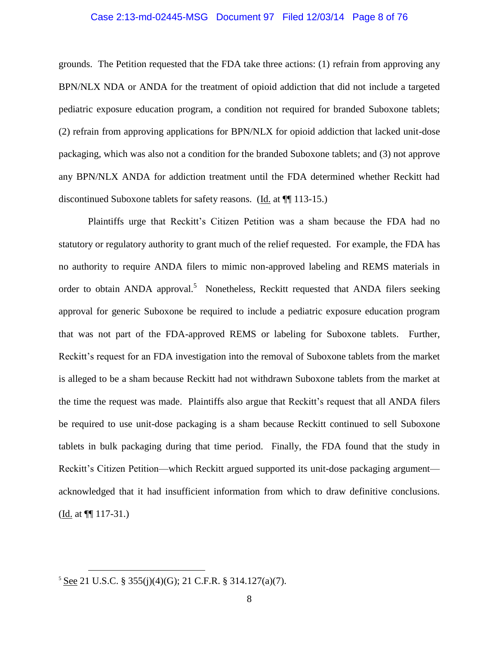#### Case 2:13-md-02445-MSG Document 97 Filed 12/03/14 Page 8 of 76

grounds. The Petition requested that the FDA take three actions: (1) refrain from approving any BPN/NLX NDA or ANDA for the treatment of opioid addiction that did not include a targeted pediatric exposure education program, a condition not required for branded Suboxone tablets; (2) refrain from approving applications for BPN/NLX for opioid addiction that lacked unit-dose packaging, which was also not a condition for the branded Suboxone tablets; and (3) not approve any BPN/NLX ANDA for addiction treatment until the FDA determined whether Reckitt had discontinued Suboxone tablets for safety reasons. (Id. at ¶¶ 113-15.)

Plaintiffs urge that Reckitt's Citizen Petition was a sham because the FDA had no statutory or regulatory authority to grant much of the relief requested. For example, the FDA has no authority to require ANDA filers to mimic non-approved labeling and REMS materials in order to obtain ANDA approval.<sup>5</sup> Nonetheless, Reckitt requested that ANDA filers seeking approval for generic Suboxone be required to include a pediatric exposure education program that was not part of the FDA-approved REMS or labeling for Suboxone tablets. Further, Reckitt's request for an FDA investigation into the removal of Suboxone tablets from the market is alleged to be a sham because Reckitt had not withdrawn Suboxone tablets from the market at the time the request was made. Plaintiffs also argue that Reckitt's request that all ANDA filers be required to use unit-dose packaging is a sham because Reckitt continued to sell Suboxone tablets in bulk packaging during that time period. Finally, the FDA found that the study in Reckitt's Citizen Petition—which Reckitt argued supported its unit-dose packaging argument acknowledged that it had insufficient information from which to draw definitive conclusions.  $(\underline{Id.}$  at  $\P$  117-31.)

<sup>5</sup> See 21 U.S.C. § 355(j)(4)(G); 21 C.F.R. § 314.127(a)(7).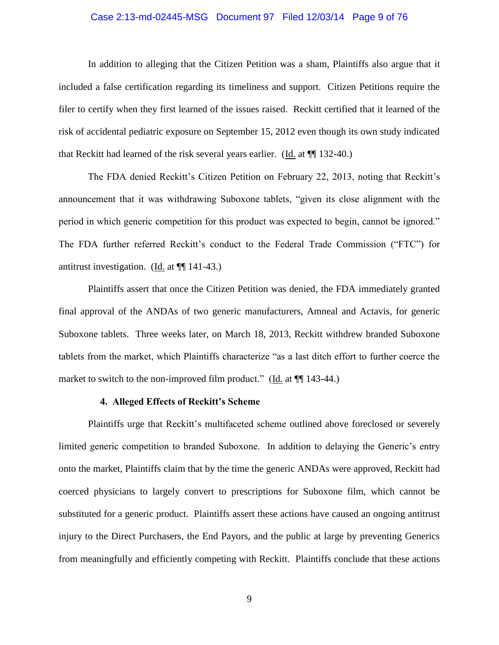#### Case 2:13-md-02445-MSG Document 97 Filed 12/03/14 Page 9 of 76

In addition to alleging that the Citizen Petition was a sham, Plaintiffs also argue that it included a false certification regarding its timeliness and support. Citizen Petitions require the filer to certify when they first learned of the issues raised. Reckitt certified that it learned of the risk of accidental pediatric exposure on September 15, 2012 even though its own study indicated that Reckitt had learned of the risk several years earlier. (Id. at ¶¶ 132-40.)

The FDA denied Reckitt's Citizen Petition on February 22, 2013, noting that Reckitt's announcement that it was withdrawing Suboxone tablets, "given its close alignment with the period in which generic competition for this product was expected to begin, cannot be ignored." The FDA further referred Reckitt's conduct to the Federal Trade Commission ("FTC") for antitrust investigation. (Id. at  $\P$  141-43.)

Plaintiffs assert that once the Citizen Petition was denied, the FDA immediately granted final approval of the ANDAs of two generic manufacturers, Amneal and Actavis, for generic Suboxone tablets. Three weeks later, on March 18, 2013, Reckitt withdrew branded Suboxone tablets from the market, which Plaintiffs characterize "as a last ditch effort to further coerce the market to switch to the non-improved film product." ( $\underline{Id}$  at  $\P$  143-44.)

#### **4. Alleged Effects of Reckitt's Scheme**

Plaintiffs urge that Reckitt's multifaceted scheme outlined above foreclosed or severely limited generic competition to branded Suboxone. In addition to delaying the Generic's entry onto the market, Plaintiffs claim that by the time the generic ANDAs were approved, Reckitt had coerced physicians to largely convert to prescriptions for Suboxone film, which cannot be substituted for a generic product. Plaintiffs assert these actions have caused an ongoing antitrust injury to the Direct Purchasers, the End Payors, and the public at large by preventing Generics from meaningfully and efficiently competing with Reckitt. Plaintiffs conclude that these actions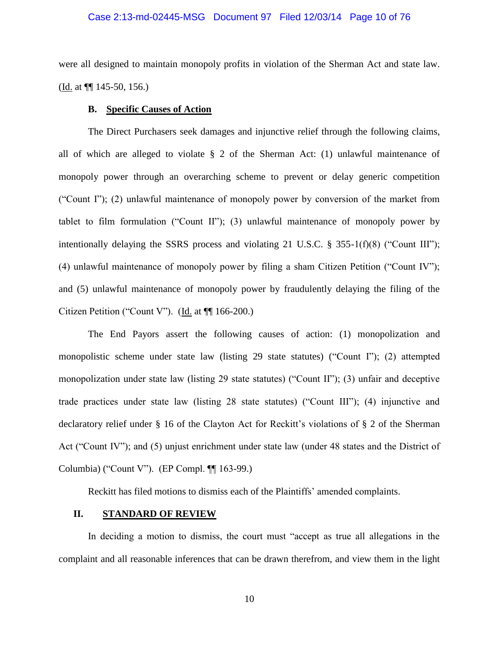#### Case 2:13-md-02445-MSG Document 97 Filed 12/03/14 Page 10 of 76

were all designed to maintain monopoly profits in violation of the Sherman Act and state law. (Id. at ¶¶ 145-50, 156.)

## **B. Specific Causes of Action**

The Direct Purchasers seek damages and injunctive relief through the following claims, all of which are alleged to violate § 2 of the Sherman Act: (1) unlawful maintenance of monopoly power through an overarching scheme to prevent or delay generic competition ("Count I"); (2) unlawful maintenance of monopoly power by conversion of the market from tablet to film formulation ("Count II"); (3) unlawful maintenance of monopoly power by intentionally delaying the SSRS process and violating 21 U.S.C. § 355-1(f)(8) ("Count III"); (4) unlawful maintenance of monopoly power by filing a sham Citizen Petition ("Count IV"); and (5) unlawful maintenance of monopoly power by fraudulently delaying the filing of the Citizen Petition ("Count V"). (Id. at ¶¶ 166-200.)

The End Payors assert the following causes of action: (1) monopolization and monopolistic scheme under state law (listing 29 state statutes) ("Count I"); (2) attempted monopolization under state law (listing 29 state statutes) ("Count II"); (3) unfair and deceptive trade practices under state law (listing 28 state statutes) ("Count III"); (4) injunctive and declaratory relief under § 16 of the Clayton Act for Reckitt's violations of § 2 of the Sherman Act ("Count IV"); and (5) unjust enrichment under state law (under 48 states and the District of Columbia) ("Count V"). (EP Compl. ¶¶ 163-99.)

Reckitt has filed motions to dismiss each of the Plaintiffs' amended complaints.

## **II. STANDARD OF REVIEW**

In deciding a motion to dismiss, the court must "accept as true all allegations in the complaint and all reasonable inferences that can be drawn therefrom, and view them in the light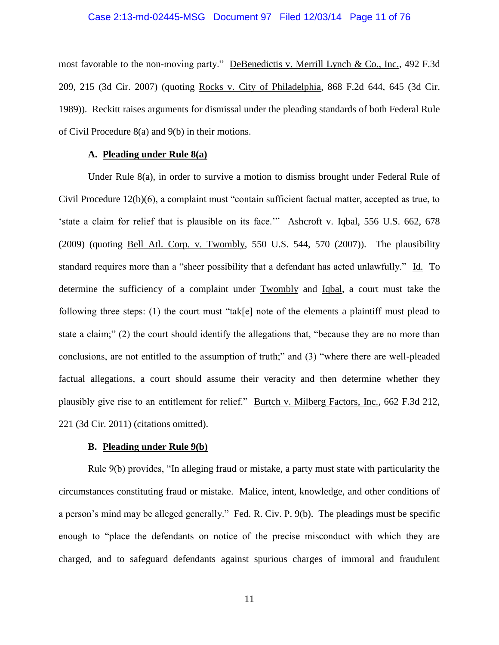#### Case 2:13-md-02445-MSG Document 97 Filed 12/03/14 Page 11 of 76

most favorable to the non-moving party." DeBenedictis v. Merrill Lynch & Co., Inc., 492 F.3d 209, 215 (3d Cir. 2007) (quoting Rocks v. City of Philadelphia, 868 F.2d 644, 645 (3d Cir. 1989)). Reckitt raises arguments for dismissal under the pleading standards of both Federal Rule of Civil Procedure 8(a) and 9(b) in their motions.

### **A. Pleading under Rule 8(a)**

Under Rule 8(a), in order to survive a motion to dismiss brought under Federal Rule of Civil Procedure 12(b)(6), a complaint must "contain sufficient factual matter, accepted as true, to 'state a claim for relief that is plausible on its face.'" Ashcroft v. Iqbal, 556 U.S. 662, 678 (2009) (quoting Bell Atl. Corp. v. Twombly, 550 U.S. 544, 570 (2007)). The plausibility standard requires more than a "sheer possibility that a defendant has acted unlawfully." Id. To determine the sufficiency of a complaint under Twombly and Iqbal, a court must take the following three steps: (1) the court must "tak[e] note of the elements a plaintiff must plead to state a claim;" (2) the court should identify the allegations that, "because they are no more than conclusions, are not entitled to the assumption of truth;" and (3) "where there are well-pleaded factual allegations, a court should assume their veracity and then determine whether they plausibly give rise to an entitlement for relief." Burtch v. Milberg Factors, Inc., 662 F.3d 212, 221 (3d Cir. 2011) (citations omitted).

### **B. Pleading under Rule 9(b)**

Rule 9(b) provides, "In alleging fraud or mistake, a party must state with particularity the circumstances constituting fraud or mistake. Malice, intent, knowledge, and other conditions of a person's mind may be alleged generally." Fed. R. Civ. P. 9(b). The pleadings must be specific enough to "place the defendants on notice of the precise misconduct with which they are charged, and to safeguard defendants against spurious charges of immoral and fraudulent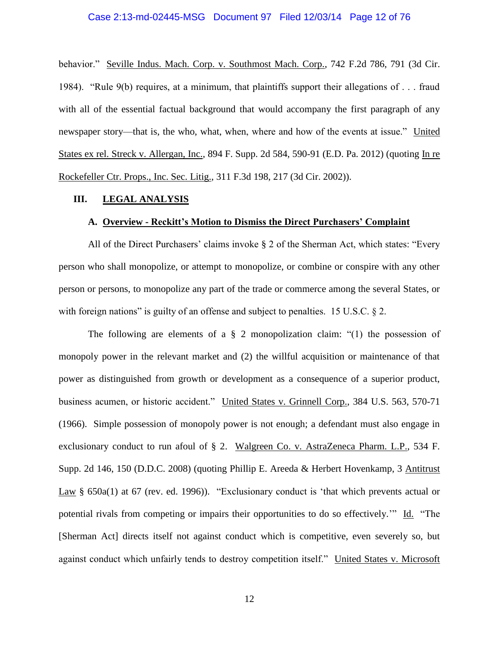#### Case 2:13-md-02445-MSG Document 97 Filed 12/03/14 Page 12 of 76

behavior." Seville Indus. Mach. Corp. v. Southmost Mach. Corp., 742 F.2d 786, 791 (3d Cir. 1984). "Rule 9(b) requires, at a minimum, that plaintiffs support their allegations of . . . fraud with all of the essential factual background that would accompany the first paragraph of any newspaper story—that is, the who, what, when, where and how of the events at issue." United States ex rel. Streck v. Allergan, Inc., 894 F. Supp. 2d 584, 590-91 (E.D. Pa. 2012) (quoting In re Rockefeller Ctr. Props., Inc. Sec. Litig., 311 F.3d 198, 217 (3d Cir. 2002)).

#### **III. LEGAL ANALYSIS**

#### **A. Overview - Reckitt's Motion to Dismiss the Direct Purchasers' Complaint**

All of the Direct Purchasers' claims invoke § 2 of the Sherman Act, which states: "Every person who shall monopolize, or attempt to monopolize, or combine or conspire with any other person or persons, to monopolize any part of the trade or commerce among the several States, or with foreign nations" is guilty of an offense and subject to penalties. 15 U.S.C. § 2.

The following are elements of a  $\S$  2 monopolization claim: "(1) the possession of monopoly power in the relevant market and (2) the willful acquisition or maintenance of that power as distinguished from growth or development as a consequence of a superior product, business acumen, or historic accident." United States v. Grinnell Corp., 384 U.S. 563, 570-71 (1966). Simple possession of monopoly power is not enough; a defendant must also engage in exclusionary conduct to run afoul of § 2. Walgreen Co. v. AstraZeneca Pharm. L.P., 534 F. Supp. 2d 146, 150 (D.D.C. 2008) (quoting Phillip E. Areeda & Herbert Hovenkamp, 3 Antitrust Law § 650a(1) at 67 (rev. ed. 1996)). "Exclusionary conduct is 'that which prevents actual or potential rivals from competing or impairs their opportunities to do so effectively.'" Id. "The [Sherman Act] directs itself not against conduct which is competitive, even severely so, but against conduct which unfairly tends to destroy competition itself." United States v. Microsoft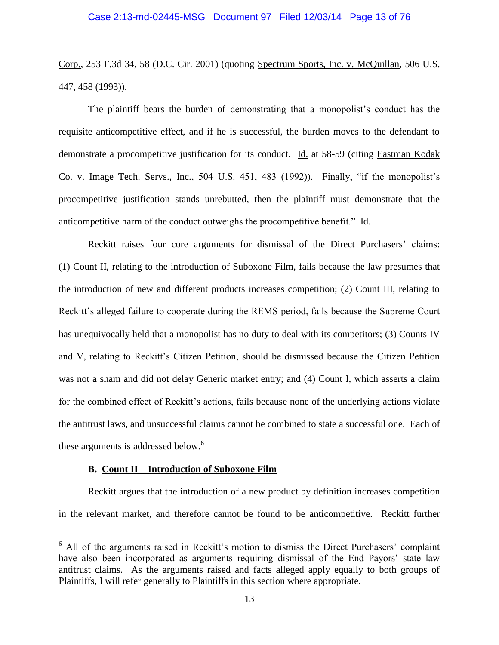Corp., 253 F.3d 34, 58 (D.C. Cir. 2001) (quoting Spectrum Sports, Inc. v. McQuillan, 506 U.S. 447, 458 (1993)).

The plaintiff bears the burden of demonstrating that a monopolist's conduct has the requisite anticompetitive effect, and if he is successful, the burden moves to the defendant to demonstrate a procompetitive justification for its conduct. Id. at 58-59 (citing Eastman Kodak Co. v. Image Tech. Servs., Inc., 504 U.S. 451, 483 (1992)). Finally, "if the monopolist's procompetitive justification stands unrebutted, then the plaintiff must demonstrate that the anticompetitive harm of the conduct outweighs the procompetitive benefit." Id.

Reckitt raises four core arguments for dismissal of the Direct Purchasers' claims: (1) Count II, relating to the introduction of Suboxone Film, fails because the law presumes that the introduction of new and different products increases competition; (2) Count III, relating to Reckitt's alleged failure to cooperate during the REMS period, fails because the Supreme Court has unequivocally held that a monopolist has no duty to deal with its competitors; (3) Counts IV and V, relating to Reckitt's Citizen Petition, should be dismissed because the Citizen Petition was not a sham and did not delay Generic market entry; and (4) Count I, which asserts a claim for the combined effect of Reckitt's actions, fails because none of the underlying actions violate the antitrust laws, and unsuccessful claims cannot be combined to state a successful one. Each of these arguments is addressed below.<sup>6</sup>

#### **B. Count II – Introduction of Suboxone Film**

 $\overline{a}$ 

Reckitt argues that the introduction of a new product by definition increases competition in the relevant market, and therefore cannot be found to be anticompetitive. Reckitt further

<sup>&</sup>lt;sup>6</sup> All of the arguments raised in Reckitt's motion to dismiss the Direct Purchasers' complaint have also been incorporated as arguments requiring dismissal of the End Payors' state law antitrust claims. As the arguments raised and facts alleged apply equally to both groups of Plaintiffs, I will refer generally to Plaintiffs in this section where appropriate.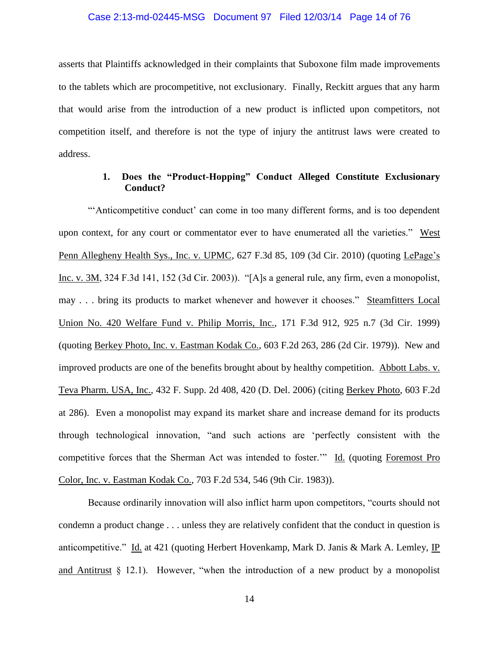#### Case 2:13-md-02445-MSG Document 97 Filed 12/03/14 Page 14 of 76

asserts that Plaintiffs acknowledged in their complaints that Suboxone film made improvements to the tablets which are procompetitive, not exclusionary. Finally, Reckitt argues that any harm that would arise from the introduction of a new product is inflicted upon competitors, not competition itself, and therefore is not the type of injury the antitrust laws were created to address.

## **1. Does the "Product-Hopping" Conduct Alleged Constitute Exclusionary Conduct?**

"'Anticompetitive conduct' can come in too many different forms, and is too dependent upon context, for any court or commentator ever to have enumerated all the varieties." West Penn Allegheny Health Sys., Inc. v. UPMC, 627 F.3d 85, 109 (3d Cir. 2010) (quoting LePage's Inc. v. 3M, 324 F.3d 141, 152 (3d Cir. 2003)). "[A]s a general rule, any firm, even a monopolist, may . . . bring its products to market whenever and however it chooses." Steamfitters Local Union No. 420 Welfare Fund v. Philip Morris, Inc., 171 F.3d 912, 925 n.7 (3d Cir. 1999) (quoting Berkey Photo, Inc. v. Eastman Kodak Co., 603 F.2d 263, 286 (2d Cir. 1979)). New and improved products are one of the benefits brought about by healthy competition. Abbott Labs. v. Teva Pharm. USA, Inc., 432 F. Supp. 2d 408, 420 (D. Del. 2006) (citing Berkey Photo, 603 F.2d at 286). Even a monopolist may expand its market share and increase demand for its products through technological innovation, "and such actions are 'perfectly consistent with the competitive forces that the Sherman Act was intended to foster." Id. (quoting Foremost Pro Color, Inc. v. Eastman Kodak Co., 703 F.2d 534, 546 (9th Cir. 1983)).

Because ordinarily innovation will also inflict harm upon competitors, "courts should not condemn a product change . . . unless they are relatively confident that the conduct in question is anticompetitive." Id. at 421 (quoting Herbert Hovenkamp, Mark D. Janis & Mark A. Lemley, IP and Antitrust  $\S$  12.1). However, "when the introduction of a new product by a monopolist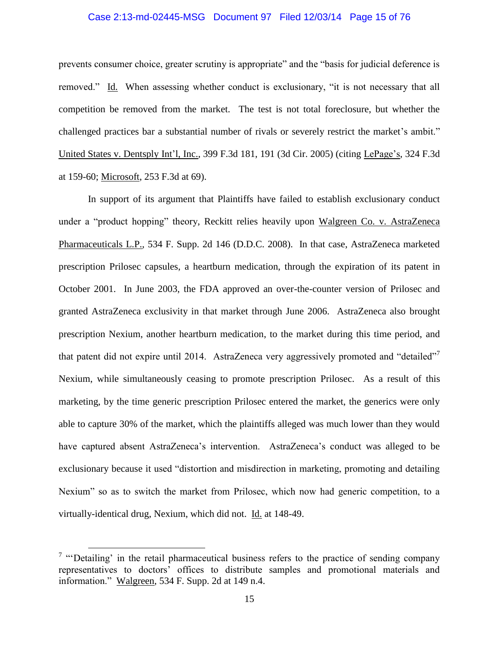#### Case 2:13-md-02445-MSG Document 97 Filed 12/03/14 Page 15 of 76

prevents consumer choice, greater scrutiny is appropriate" and the "basis for judicial deference is removed." Id. When assessing whether conduct is exclusionary, "it is not necessary that all competition be removed from the market. The test is not total foreclosure, but whether the challenged practices bar a substantial number of rivals or severely restrict the market's ambit." United States v. Dentsply Int'l, Inc., 399 F.3d 181, 191 (3d Cir. 2005) (citing LePage's, 324 F.3d at 159-60; Microsoft, 253 F.3d at 69).

In support of its argument that Plaintiffs have failed to establish exclusionary conduct under a "product hopping" theory, Reckitt relies heavily upon Walgreen Co. v. AstraZeneca Pharmaceuticals L.P., 534 F. Supp. 2d 146 (D.D.C. 2008). In that case, AstraZeneca marketed prescription Prilosec capsules, a heartburn medication, through the expiration of its patent in October 2001. In June 2003, the FDA approved an over-the-counter version of Prilosec and granted AstraZeneca exclusivity in that market through June 2006. AstraZeneca also brought prescription Nexium, another heartburn medication, to the market during this time period, and that patent did not expire until 2014. AstraZeneca very aggressively promoted and "detailed" Nexium, while simultaneously ceasing to promote prescription Prilosec. As a result of this marketing, by the time generic prescription Prilosec entered the market, the generics were only able to capture 30% of the market, which the plaintiffs alleged was much lower than they would have captured absent AstraZeneca's intervention. AstraZeneca's conduct was alleged to be exclusionary because it used "distortion and misdirection in marketing, promoting and detailing Nexium" so as to switch the market from Prilosec, which now had generic competition, to a virtually-identical drug, Nexium, which did not. Id. at 148-49.

<sup>&</sup>lt;sup>7</sup> "Detailing' in the retail pharmaceutical business refers to the practice of sending company representatives to doctors' offices to distribute samples and promotional materials and information." Walgreen, 534 F. Supp. 2d at 149 n.4.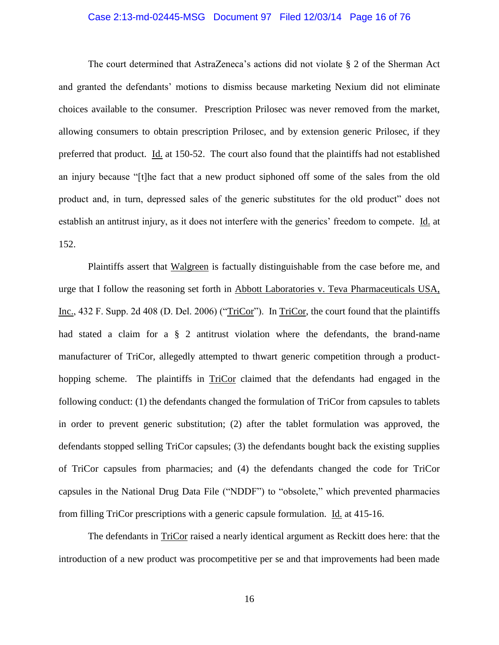#### Case 2:13-md-02445-MSG Document 97 Filed 12/03/14 Page 16 of 76

The court determined that AstraZeneca's actions did not violate § 2 of the Sherman Act and granted the defendants' motions to dismiss because marketing Nexium did not eliminate choices available to the consumer. Prescription Prilosec was never removed from the market, allowing consumers to obtain prescription Prilosec, and by extension generic Prilosec, if they preferred that product. Id. at 150-52. The court also found that the plaintiffs had not established an injury because "[t]he fact that a new product siphoned off some of the sales from the old product and, in turn, depressed sales of the generic substitutes for the old product" does not establish an antitrust injury, as it does not interfere with the generics' freedom to compete. Id. at 152.

Plaintiffs assert that Walgreen is factually distinguishable from the case before me, and urge that I follow the reasoning set forth in Abbott Laboratories v. Teva Pharmaceuticals USA, Inc., 432 F. Supp. 2d 408 (D. Del. 2006) ("TriCor"). In TriCor, the court found that the plaintiffs had stated a claim for a § 2 antitrust violation where the defendants, the brand-name manufacturer of TriCor, allegedly attempted to thwart generic competition through a producthopping scheme. The plaintiffs in TriCor claimed that the defendants had engaged in the following conduct: (1) the defendants changed the formulation of TriCor from capsules to tablets in order to prevent generic substitution; (2) after the tablet formulation was approved, the defendants stopped selling TriCor capsules; (3) the defendants bought back the existing supplies of TriCor capsules from pharmacies; and (4) the defendants changed the code for TriCor capsules in the National Drug Data File ("NDDF") to "obsolete," which prevented pharmacies from filling TriCor prescriptions with a generic capsule formulation. Id. at 415-16.

The defendants in TriCor raised a nearly identical argument as Reckitt does here: that the introduction of a new product was procompetitive per se and that improvements had been made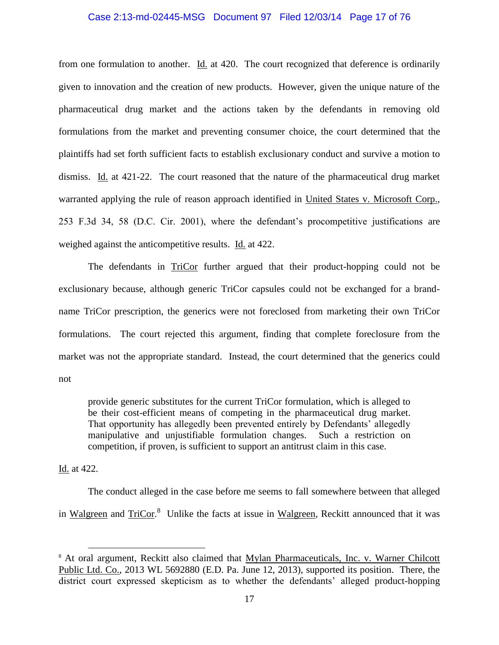# Case 2:13-md-02445-MSG Document 97 Filed 12/03/14 Page 17 of 76

from one formulation to another. Id. at 420. The court recognized that deference is ordinarily given to innovation and the creation of new products. However, given the unique nature of the pharmaceutical drug market and the actions taken by the defendants in removing old formulations from the market and preventing consumer choice, the court determined that the plaintiffs had set forth sufficient facts to establish exclusionary conduct and survive a motion to dismiss. Id. at 421-22. The court reasoned that the nature of the pharmaceutical drug market warranted applying the rule of reason approach identified in United States v. Microsoft Corp., 253 F.3d 34, 58 (D.C. Cir. 2001), where the defendant's procompetitive justifications are weighed against the anticompetitive results. Id. at 422.

The defendants in TriCor further argued that their product-hopping could not be exclusionary because, although generic TriCor capsules could not be exchanged for a brandname TriCor prescription, the generics were not foreclosed from marketing their own TriCor formulations. The court rejected this argument, finding that complete foreclosure from the market was not the appropriate standard. Instead, the court determined that the generics could not

provide generic substitutes for the current TriCor formulation, which is alleged to be their cost-efficient means of competing in the pharmaceutical drug market. That opportunity has allegedly been prevented entirely by Defendants' allegedly manipulative and unjustifiable formulation changes. Such a restriction on competition, if proven, is sufficient to support an antitrust claim in this case.

Id. at 422.

 $\overline{a}$ 

The conduct alleged in the case before me seems to fall somewhere between that alleged in Walgreen and TriCor.<sup>8</sup> Unlike the facts at issue in Walgreen, Reckitt announced that it was

<sup>&</sup>lt;sup>8</sup> At oral argument, Reckitt also claimed that Mylan Pharmaceuticals, Inc. v. Warner Chilcott Public Ltd. Co., 2013 WL 5692880 (E.D. Pa. June 12, 2013), supported its position. There, the district court expressed skepticism as to whether the defendants' alleged product-hopping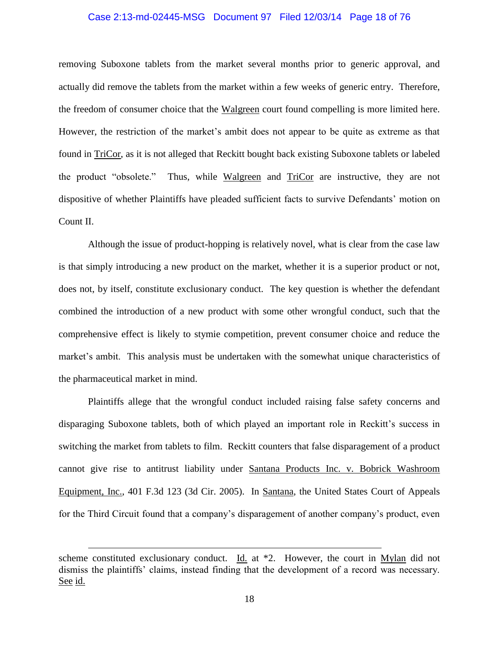#### Case 2:13-md-02445-MSG Document 97 Filed 12/03/14 Page 18 of 76

removing Suboxone tablets from the market several months prior to generic approval, and actually did remove the tablets from the market within a few weeks of generic entry. Therefore, the freedom of consumer choice that the Walgreen court found compelling is more limited here. However, the restriction of the market's ambit does not appear to be quite as extreme as that found in TriCor, as it is not alleged that Reckitt bought back existing Suboxone tablets or labeled the product "obsolete." Thus, while Walgreen and TriCor are instructive, they are not dispositive of whether Plaintiffs have pleaded sufficient facts to survive Defendants' motion on Count II.

Although the issue of product-hopping is relatively novel, what is clear from the case law is that simply introducing a new product on the market, whether it is a superior product or not, does not, by itself, constitute exclusionary conduct. The key question is whether the defendant combined the introduction of a new product with some other wrongful conduct, such that the comprehensive effect is likely to stymie competition, prevent consumer choice and reduce the market's ambit. This analysis must be undertaken with the somewhat unique characteristics of the pharmaceutical market in mind.

Plaintiffs allege that the wrongful conduct included raising false safety concerns and disparaging Suboxone tablets, both of which played an important role in Reckitt's success in switching the market from tablets to film. Reckitt counters that false disparagement of a product cannot give rise to antitrust liability under Santana Products Inc. v. Bobrick Washroom Equipment, Inc., 401 F.3d 123 (3d Cir. 2005). In Santana, the United States Court of Appeals for the Third Circuit found that a company's disparagement of another company's product, even

scheme constituted exclusionary conduct. Id. at \*2. However, the court in Mylan did not dismiss the plaintiffs' claims, instead finding that the development of a record was necessary. See id.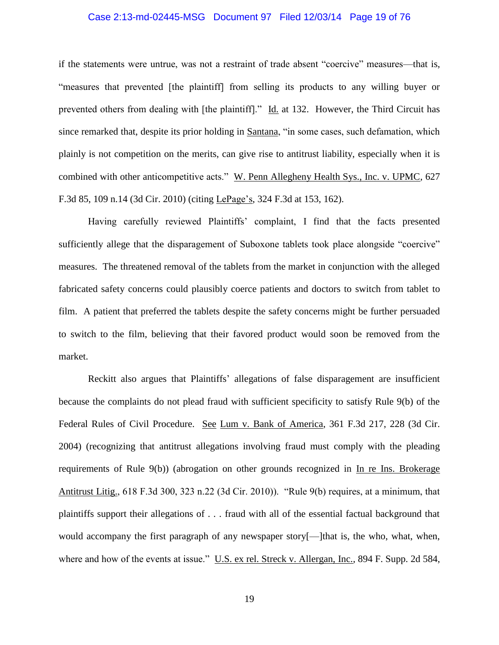#### Case 2:13-md-02445-MSG Document 97 Filed 12/03/14 Page 19 of 76

if the statements were untrue, was not a restraint of trade absent "coercive" measures—that is, "measures that prevented [the plaintiff] from selling its products to any willing buyer or prevented others from dealing with [the plaintiff]." Id. at 132. However, the Third Circuit has since remarked that, despite its prior holding in Santana, "in some cases, such defamation, which plainly is not competition on the merits, can give rise to antitrust liability, especially when it is combined with other anticompetitive acts." W. Penn Allegheny Health Sys., Inc. v. UPMC, 627 F.3d 85, 109 n.14 (3d Cir. 2010) (citing LePage's, 324 F.3d at 153, 162).

Having carefully reviewed Plaintiffs' complaint, I find that the facts presented sufficiently allege that the disparagement of Suboxone tablets took place alongside "coercive" measures. The threatened removal of the tablets from the market in conjunction with the alleged fabricated safety concerns could plausibly coerce patients and doctors to switch from tablet to film. A patient that preferred the tablets despite the safety concerns might be further persuaded to switch to the film, believing that their favored product would soon be removed from the market.

Reckitt also argues that Plaintiffs' allegations of false disparagement are insufficient because the complaints do not plead fraud with sufficient specificity to satisfy Rule 9(b) of the Federal Rules of Civil Procedure. See Lum v. Bank of America, 361 F.3d 217, 228 (3d Cir. 2004) (recognizing that antitrust allegations involving fraud must comply with the pleading requirements of Rule 9(b)) (abrogation on other grounds recognized in In re Ins. Brokerage Antitrust Litig., 618 F.3d 300, 323 n.22 (3d Cir. 2010)). "Rule 9(b) requires, at a minimum, that plaintiffs support their allegations of . . . fraud with all of the essential factual background that would accompany the first paragraph of any newspaper story[—]that is, the who, what, when, where and how of the events at issue." U.S. ex rel. Streck v. Allergan, Inc., 894 F. Supp. 2d 584,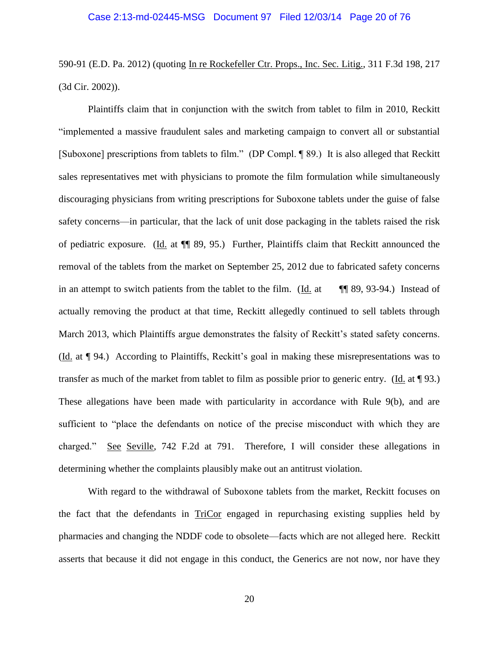590-91 (E.D. Pa. 2012) (quoting In re Rockefeller Ctr. Props., Inc. Sec. Litig., 311 F.3d 198, 217 (3d Cir. 2002)).

Plaintiffs claim that in conjunction with the switch from tablet to film in 2010, Reckitt "implemented a massive fraudulent sales and marketing campaign to convert all or substantial [Suboxone] prescriptions from tablets to film." (DP Compl. ¶ 89.) It is also alleged that Reckitt sales representatives met with physicians to promote the film formulation while simultaneously discouraging physicians from writing prescriptions for Suboxone tablets under the guise of false safety concerns—in particular, that the lack of unit dose packaging in the tablets raised the risk of pediatric exposure. (Id. at ¶¶ 89, 95.) Further, Plaintiffs claim that Reckitt announced the removal of the tablets from the market on September 25, 2012 due to fabricated safety concerns in an attempt to switch patients from the tablet to the film. (Id. at  $\mathbb{I}$  89, 93-94.) Instead of actually removing the product at that time, Reckitt allegedly continued to sell tablets through March 2013, which Plaintiffs argue demonstrates the falsity of Reckitt's stated safety concerns. (Id. at ¶ 94.) According to Plaintiffs, Reckitt's goal in making these misrepresentations was to transfer as much of the market from tablet to film as possible prior to generic entry. (Id. at ¶ 93.) These allegations have been made with particularity in accordance with Rule 9(b), and are sufficient to "place the defendants on notice of the precise misconduct with which they are charged." See Seville, 742 F.2d at 791. Therefore, I will consider these allegations in determining whether the complaints plausibly make out an antitrust violation.

With regard to the withdrawal of Suboxone tablets from the market, Reckitt focuses on the fact that the defendants in TriCor engaged in repurchasing existing supplies held by pharmacies and changing the NDDF code to obsolete—facts which are not alleged here. Reckitt asserts that because it did not engage in this conduct, the Generics are not now, nor have they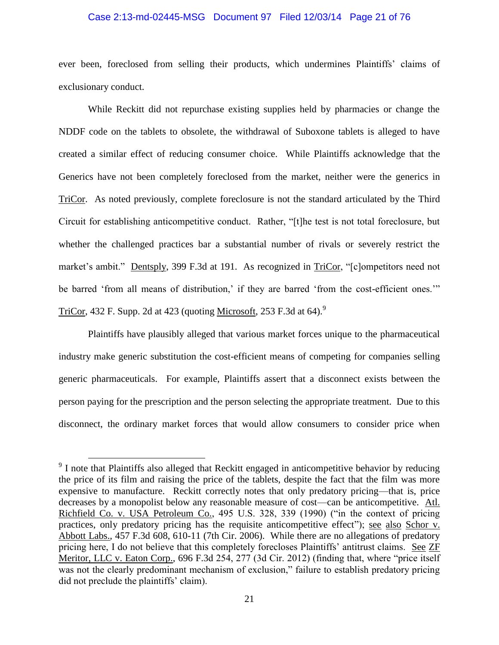#### Case 2:13-md-02445-MSG Document 97 Filed 12/03/14 Page 21 of 76

ever been, foreclosed from selling their products, which undermines Plaintiffs' claims of exclusionary conduct.

While Reckitt did not repurchase existing supplies held by pharmacies or change the NDDF code on the tablets to obsolete, the withdrawal of Suboxone tablets is alleged to have created a similar effect of reducing consumer choice. While Plaintiffs acknowledge that the Generics have not been completely foreclosed from the market, neither were the generics in TriCor. As noted previously, complete foreclosure is not the standard articulated by the Third Circuit for establishing anticompetitive conduct. Rather, "[t]he test is not total foreclosure, but whether the challenged practices bar a substantial number of rivals or severely restrict the market's ambit." Dentsply, 399 F.3d at 191. As recognized in TriCor, "[c]ompetitors need not be barred 'from all means of distribution,' if they are barred 'from the cost-efficient ones.'" TriCor, 432 F. Supp. 2d at 423 (quoting <u>Microsoft</u>, 253 F.3d at 64).<sup>9</sup>

Plaintiffs have plausibly alleged that various market forces unique to the pharmaceutical industry make generic substitution the cost-efficient means of competing for companies selling generic pharmaceuticals. For example, Plaintiffs assert that a disconnect exists between the person paying for the prescription and the person selecting the appropriate treatment. Due to this disconnect, the ordinary market forces that would allow consumers to consider price when

<sup>&</sup>lt;sup>9</sup> I note that Plaintiffs also alleged that Reckitt engaged in anticompetitive behavior by reducing the price of its film and raising the price of the tablets, despite the fact that the film was more expensive to manufacture. Reckitt correctly notes that only predatory pricing—that is, price decreases by a monopolist below any reasonable measure of cost—can be anticompetitive. Atl. Richfield Co. v. USA Petroleum Co., 495 U.S. 328, 339 (1990) ("in the context of pricing practices, only predatory pricing has the requisite anticompetitive effect"); see also Schor v. Abbott Labs., 457 F.3d 608, 610-11 (7th Cir. 2006). While there are no allegations of predatory pricing here, I do not believe that this completely forecloses Plaintiffs' antitrust claims. See ZF Meritor, LLC v. Eaton Corp., 696 F.3d 254, 277 (3d Cir. 2012) (finding that, where "price itself was not the clearly predominant mechanism of exclusion," failure to establish predatory pricing did not preclude the plaintiffs' claim).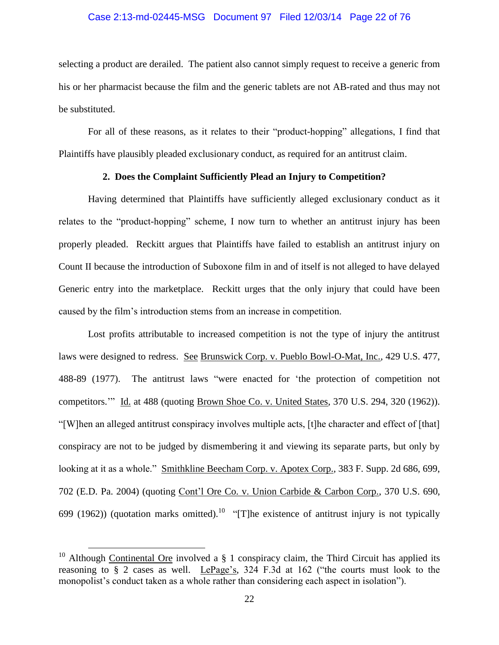#### Case 2:13-md-02445-MSG Document 97 Filed 12/03/14 Page 22 of 76

selecting a product are derailed. The patient also cannot simply request to receive a generic from his or her pharmacist because the film and the generic tablets are not AB-rated and thus may not be substituted.

For all of these reasons, as it relates to their "product-hopping" allegations, I find that Plaintiffs have plausibly pleaded exclusionary conduct, as required for an antitrust claim.

## **2. Does the Complaint Sufficiently Plead an Injury to Competition?**

Having determined that Plaintiffs have sufficiently alleged exclusionary conduct as it relates to the "product-hopping" scheme, I now turn to whether an antitrust injury has been properly pleaded. Reckitt argues that Plaintiffs have failed to establish an antitrust injury on Count II because the introduction of Suboxone film in and of itself is not alleged to have delayed Generic entry into the marketplace. Reckitt urges that the only injury that could have been caused by the film's introduction stems from an increase in competition.

Lost profits attributable to increased competition is not the type of injury the antitrust laws were designed to redress. See Brunswick Corp. v. Pueblo Bowl-O-Mat, Inc., 429 U.S. 477, 488-89 (1977). The antitrust laws "were enacted for 'the protection of competition not competitors.'" Id. at 488 (quoting Brown Shoe Co. v. United States, 370 U.S. 294, 320 (1962)). "[W]hen an alleged antitrust conspiracy involves multiple acts, [t]he character and effect of [that] conspiracy are not to be judged by dismembering it and viewing its separate parts, but only by looking at it as a whole." Smithkline Beecham Corp. v. Apotex Corp., 383 F. Supp. 2d 686, 699, 702 (E.D. Pa. 2004) (quoting Cont'l Ore Co. v. Union Carbide & Carbon Corp., 370 U.S. 690, 699 (1962)) (quotation marks omitted).<sup>10</sup> "[T]he existence of antitrust injury is not typically

<sup>&</sup>lt;sup>10</sup> Although Continental Ore involved a  $\S$  1 conspiracy claim, the Third Circuit has applied its reasoning to § 2 cases as well. LePage's, 324 F.3d at 162 ("the courts must look to the monopolist's conduct taken as a whole rather than considering each aspect in isolation").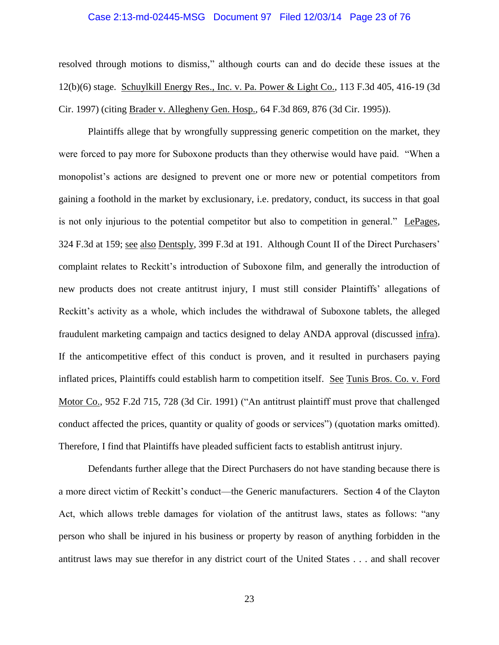#### Case 2:13-md-02445-MSG Document 97 Filed 12/03/14 Page 23 of 76

resolved through motions to dismiss," although courts can and do decide these issues at the 12(b)(6) stage. Schuylkill Energy Res., Inc. v. Pa. Power & Light Co., 113 F.3d 405, 416-19 (3d Cir. 1997) (citing Brader v. Allegheny Gen. Hosp., 64 F.3d 869, 876 (3d Cir. 1995)).

Plaintiffs allege that by wrongfully suppressing generic competition on the market, they were forced to pay more for Suboxone products than they otherwise would have paid. "When a monopolist's actions are designed to prevent one or more new or potential competitors from gaining a foothold in the market by exclusionary, i.e. predatory, conduct, its success in that goal is not only injurious to the potential competitor but also to competition in general." LePages, 324 F.3d at 159; see also Dentsply, 399 F.3d at 191. Although Count II of the Direct Purchasers' complaint relates to Reckitt's introduction of Suboxone film, and generally the introduction of new products does not create antitrust injury, I must still consider Plaintiffs' allegations of Reckitt's activity as a whole, which includes the withdrawal of Suboxone tablets, the alleged fraudulent marketing campaign and tactics designed to delay ANDA approval (discussed infra). If the anticompetitive effect of this conduct is proven, and it resulted in purchasers paying inflated prices, Plaintiffs could establish harm to competition itself. See Tunis Bros. Co. v. Ford Motor Co., 952 F.2d 715, 728 (3d Cir. 1991) ("An antitrust plaintiff must prove that challenged conduct affected the prices, quantity or quality of goods or services") (quotation marks omitted). Therefore, I find that Plaintiffs have pleaded sufficient facts to establish antitrust injury.

Defendants further allege that the Direct Purchasers do not have standing because there is a more direct victim of Reckitt's conduct—the Generic manufacturers. Section 4 of the Clayton Act, which allows treble damages for violation of the antitrust laws, states as follows: "any person who shall be injured in his business or property by reason of anything forbidden in the antitrust laws may sue therefor in any district court of the United States . . . and shall recover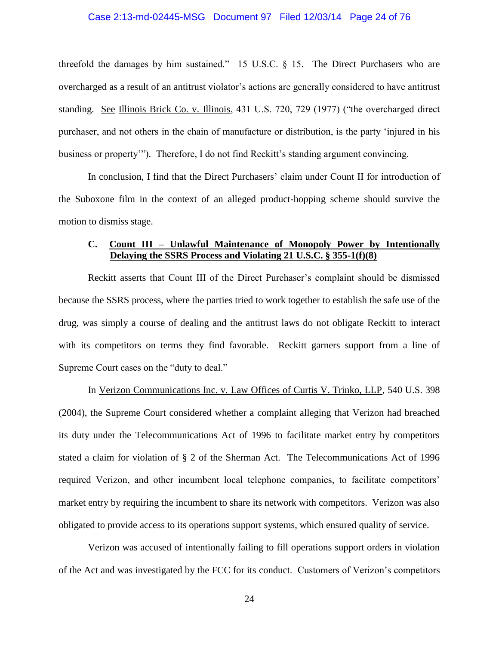#### Case 2:13-md-02445-MSG Document 97 Filed 12/03/14 Page 24 of 76

threefold the damages by him sustained." 15 U.S.C. § 15. The Direct Purchasers who are overcharged as a result of an antitrust violator's actions are generally considered to have antitrust standing. See Illinois Brick Co. v. Illinois, 431 U.S. 720, 729 (1977) ("the overcharged direct purchaser, and not others in the chain of manufacture or distribution, is the party 'injured in his business or property'"). Therefore, I do not find Reckitt's standing argument convincing.

In conclusion, I find that the Direct Purchasers' claim under Count II for introduction of the Suboxone film in the context of an alleged product-hopping scheme should survive the motion to dismiss stage.

## **C. Count III – Unlawful Maintenance of Monopoly Power by Intentionally Delaying the SSRS Process and Violating 21 U.S.C. § 355-1(f)(8)**

Reckitt asserts that Count III of the Direct Purchaser's complaint should be dismissed because the SSRS process, where the parties tried to work together to establish the safe use of the drug, was simply a course of dealing and the antitrust laws do not obligate Reckitt to interact with its competitors on terms they find favorable. Reckitt garners support from a line of Supreme Court cases on the "duty to deal."

In Verizon Communications Inc. v. Law Offices of Curtis V. Trinko, LLP, 540 U.S. 398 (2004), the Supreme Court considered whether a complaint alleging that Verizon had breached its duty under the Telecommunications Act of 1996 to facilitate market entry by competitors stated a claim for violation of § 2 of the Sherman Act. The Telecommunications Act of 1996 required Verizon, and other incumbent local telephone companies, to facilitate competitors' market entry by requiring the incumbent to share its network with competitors. Verizon was also obligated to provide access to its operations support systems, which ensured quality of service.

Verizon was accused of intentionally failing to fill operations support orders in violation of the Act and was investigated by the FCC for its conduct. Customers of Verizon's competitors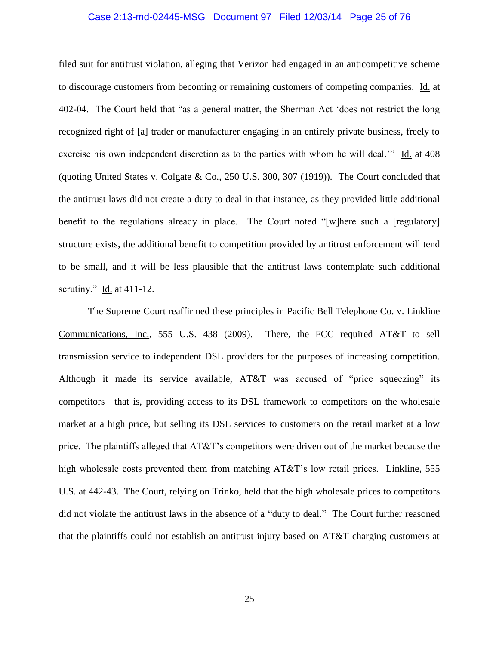#### Case 2:13-md-02445-MSG Document 97 Filed 12/03/14 Page 25 of 76

filed suit for antitrust violation, alleging that Verizon had engaged in an anticompetitive scheme to discourage customers from becoming or remaining customers of competing companies. Id. at 402-04. The Court held that "as a general matter, the Sherman Act 'does not restrict the long recognized right of [a] trader or manufacturer engaging in an entirely private business, freely to exercise his own independent discretion as to the parties with whom he will deal.'" Id. at 408 (quoting United States v. Colgate & Co., 250 U.S. 300, 307 (1919)). The Court concluded that the antitrust laws did not create a duty to deal in that instance, as they provided little additional benefit to the regulations already in place. The Court noted "[w]here such a [regulatory] structure exists, the additional benefit to competition provided by antitrust enforcement will tend to be small, and it will be less plausible that the antitrust laws contemplate such additional scrutiny." Id. at 411-12.

The Supreme Court reaffirmed these principles in Pacific Bell Telephone Co. v. Linkline Communications, Inc., 555 U.S. 438 (2009). There, the FCC required AT&T to sell transmission service to independent DSL providers for the purposes of increasing competition. Although it made its service available, AT&T was accused of "price squeezing" its competitors—that is, providing access to its DSL framework to competitors on the wholesale market at a high price, but selling its DSL services to customers on the retail market at a low price. The plaintiffs alleged that AT&T's competitors were driven out of the market because the high wholesale costs prevented them from matching AT&T's low retail prices. Linkline, 555 U.S. at 442-43. The Court, relying on Trinko, held that the high wholesale prices to competitors did not violate the antitrust laws in the absence of a "duty to deal." The Court further reasoned that the plaintiffs could not establish an antitrust injury based on AT&T charging customers at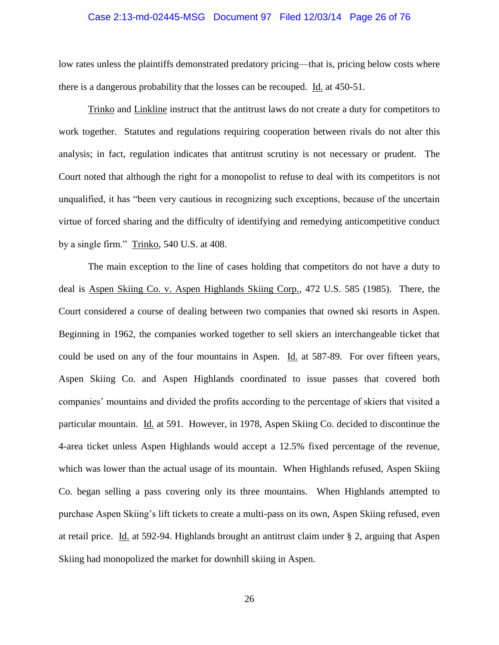#### Case 2:13-md-02445-MSG Document 97 Filed 12/03/14 Page 26 of 76

low rates unless the plaintiffs demonstrated predatory pricing—that is, pricing below costs where there is a dangerous probability that the losses can be recouped. Id. at 450-51.

Trinko and Linkline instruct that the antitrust laws do not create a duty for competitors to work together. Statutes and regulations requiring cooperation between rivals do not alter this analysis; in fact, regulation indicates that antitrust scrutiny is not necessary or prudent. The Court noted that although the right for a monopolist to refuse to deal with its competitors is not unqualified, it has "been very cautious in recognizing such exceptions, because of the uncertain virtue of forced sharing and the difficulty of identifying and remedying anticompetitive conduct by a single firm." Trinko, 540 U.S. at 408.

The main exception to the line of cases holding that competitors do not have a duty to deal is Aspen Skiing Co. v. Aspen Highlands Skiing Corp., 472 U.S. 585 (1985). There, the Court considered a course of dealing between two companies that owned ski resorts in Aspen. Beginning in 1962, the companies worked together to sell skiers an interchangeable ticket that could be used on any of the four mountains in Aspen. Id. at 587-89. For over fifteen years, Aspen Skiing Co. and Aspen Highlands coordinated to issue passes that covered both companies' mountains and divided the profits according to the percentage of skiers that visited a particular mountain. Id. at 591. However, in 1978, Aspen Skiing Co. decided to discontinue the 4-area ticket unless Aspen Highlands would accept a 12.5% fixed percentage of the revenue, which was lower than the actual usage of its mountain. When Highlands refused, Aspen Skiing Co. began selling a pass covering only its three mountains. When Highlands attempted to purchase Aspen Skiing's lift tickets to create a multi-pass on its own, Aspen Skiing refused, even at retail price. Id. at 592-94. Highlands brought an antitrust claim under § 2, arguing that Aspen Skiing had monopolized the market for downhill skiing in Aspen.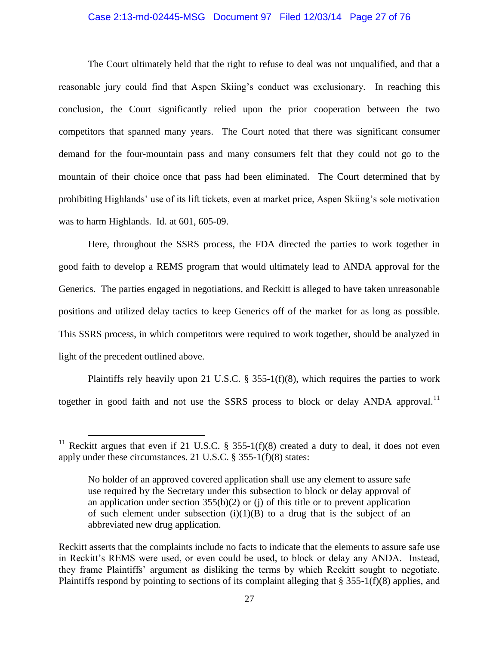#### Case 2:13-md-02445-MSG Document 97 Filed 12/03/14 Page 27 of 76

The Court ultimately held that the right to refuse to deal was not unqualified, and that a reasonable jury could find that Aspen Skiing's conduct was exclusionary. In reaching this conclusion, the Court significantly relied upon the prior cooperation between the two competitors that spanned many years. The Court noted that there was significant consumer demand for the four-mountain pass and many consumers felt that they could not go to the mountain of their choice once that pass had been eliminated. The Court determined that by prohibiting Highlands' use of its lift tickets, even at market price, Aspen Skiing's sole motivation was to harm Highlands. Id. at 601, 605-09.

Here, throughout the SSRS process, the FDA directed the parties to work together in good faith to develop a REMS program that would ultimately lead to ANDA approval for the Generics. The parties engaged in negotiations, and Reckitt is alleged to have taken unreasonable positions and utilized delay tactics to keep Generics off of the market for as long as possible. This SSRS process, in which competitors were required to work together, should be analyzed in light of the precedent outlined above.

Plaintiffs rely heavily upon 21 U.S.C.  $\S$  355-1(f)(8), which requires the parties to work together in good faith and not use the SSRS process to block or delay ANDA approval.<sup>11</sup>

<sup>&</sup>lt;sup>11</sup> Reckitt argues that even if 21 U.S.C. § 355-1(f)(8) created a duty to deal, it does not even apply under these circumstances. 21 U.S.C. § 355-1(f)(8) states:

No holder of an approved covered application shall use any element to assure safe use required by the Secretary under this subsection to block or delay approval of an application under section 355(b)(2) or (j) of this title or to prevent application of such element under subsection  $(i)(1)(B)$  to a drug that is the subject of an abbreviated new drug application.

Reckitt asserts that the complaints include no facts to indicate that the elements to assure safe use in Reckitt's REMS were used, or even could be used, to block or delay any ANDA. Instead, they frame Plaintiffs' argument as disliking the terms by which Reckitt sought to negotiate. Plaintiffs respond by pointing to sections of its complaint alleging that § 355-1(f)(8) applies, and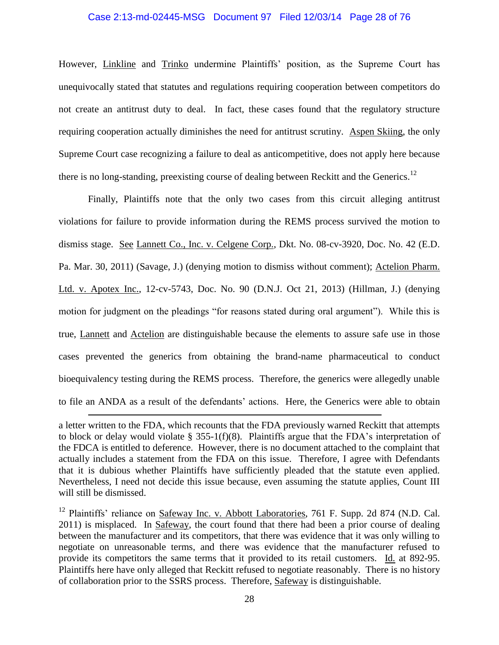#### Case 2:13-md-02445-MSG Document 97 Filed 12/03/14 Page 28 of 76

However, Linkline and Trinko undermine Plaintiffs' position, as the Supreme Court has unequivocally stated that statutes and regulations requiring cooperation between competitors do not create an antitrust duty to deal. In fact, these cases found that the regulatory structure requiring cooperation actually diminishes the need for antitrust scrutiny. Aspen Skiing, the only Supreme Court case recognizing a failure to deal as anticompetitive, does not apply here because there is no long-standing, preexisting course of dealing between Reckitt and the Generics.<sup>12</sup>

Finally, Plaintiffs note that the only two cases from this circuit alleging antitrust violations for failure to provide information during the REMS process survived the motion to dismiss stage. See Lannett Co., Inc. v. Celgene Corp., Dkt. No. 08-cv-3920, Doc. No. 42 (E.D. Pa. Mar. 30, 2011) (Savage, J.) (denying motion to dismiss without comment); Actelion Pharm. Ltd. v. Apotex Inc., 12-cv-5743, Doc. No. 90 (D.N.J. Oct 21, 2013) (Hillman, J.) (denying motion for judgment on the pleadings "for reasons stated during oral argument"). While this is true, Lannett and Actelion are distinguishable because the elements to assure safe use in those cases prevented the generics from obtaining the brand-name pharmaceutical to conduct bioequivalency testing during the REMS process. Therefore, the generics were allegedly unable to file an ANDA as a result of the defendants' actions. Here, the Generics were able to obtain

a letter written to the FDA, which recounts that the FDA previously warned Reckitt that attempts to block or delay would violate § 355-1(f)(8). Plaintiffs argue that the FDA's interpretation of the FDCA is entitled to deference. However, there is no document attached to the complaint that actually includes a statement from the FDA on this issue. Therefore, I agree with Defendants that it is dubious whether Plaintiffs have sufficiently pleaded that the statute even applied. Nevertheless, I need not decide this issue because, even assuming the statute applies, Count III will still be dismissed.

<sup>&</sup>lt;sup>12</sup> Plaintiffs' reliance on Safeway Inc. v. Abbott Laboratories, 761 F. Supp. 2d 874 (N.D. Cal. 2011) is misplaced. In Safeway, the court found that there had been a prior course of dealing between the manufacturer and its competitors, that there was evidence that it was only willing to negotiate on unreasonable terms, and there was evidence that the manufacturer refused to provide its competitors the same terms that it provided to its retail customers. Id. at 892-95. Plaintiffs here have only alleged that Reckitt refused to negotiate reasonably. There is no history of collaboration prior to the SSRS process. Therefore, Safeway is distinguishable.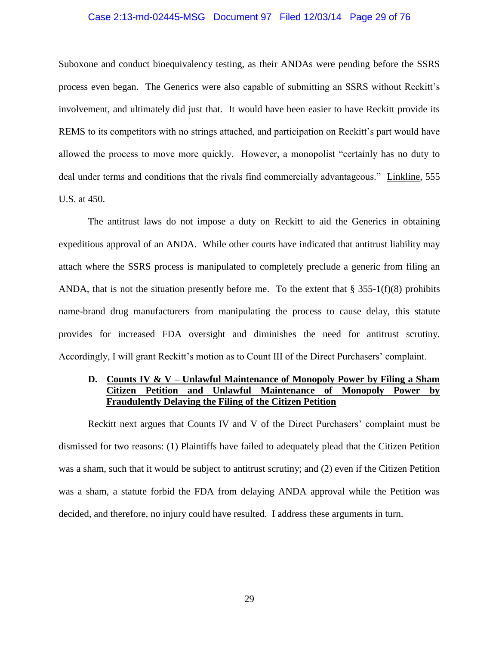#### Case 2:13-md-02445-MSG Document 97 Filed 12/03/14 Page 29 of 76

Suboxone and conduct bioequivalency testing, as their ANDAs were pending before the SSRS process even began. The Generics were also capable of submitting an SSRS without Reckitt's involvement, and ultimately did just that. It would have been easier to have Reckitt provide its REMS to its competitors with no strings attached, and participation on Reckitt's part would have allowed the process to move more quickly. However, a monopolist "certainly has no duty to deal under terms and conditions that the rivals find commercially advantageous." Linkline, 555 U.S. at 450.

The antitrust laws do not impose a duty on Reckitt to aid the Generics in obtaining expeditious approval of an ANDA. While other courts have indicated that antitrust liability may attach where the SSRS process is manipulated to completely preclude a generic from filing an ANDA, that is not the situation presently before me. To the extent that  $\S 355-1(f)(8)$  prohibits name-brand drug manufacturers from manipulating the process to cause delay, this statute provides for increased FDA oversight and diminishes the need for antitrust scrutiny. Accordingly, I will grant Reckitt's motion as to Count III of the Direct Purchasers' complaint.

## **D. Counts IV & V – Unlawful Maintenance of Monopoly Power by Filing a Sham Citizen Petition and Unlawful Maintenance of Monopoly Power by Fraudulently Delaying the Filing of the Citizen Petition**

Reckitt next argues that Counts IV and V of the Direct Purchasers' complaint must be dismissed for two reasons: (1) Plaintiffs have failed to adequately plead that the Citizen Petition was a sham, such that it would be subject to antitrust scrutiny; and (2) even if the Citizen Petition was a sham, a statute forbid the FDA from delaying ANDA approval while the Petition was decided, and therefore, no injury could have resulted. I address these arguments in turn.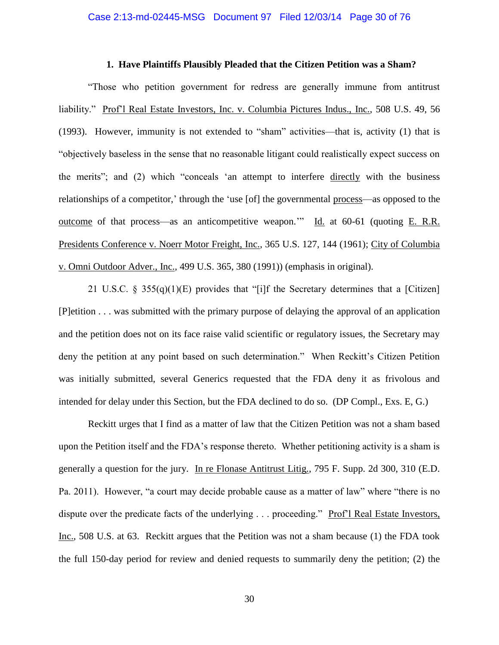#### **1. Have Plaintiffs Plausibly Pleaded that the Citizen Petition was a Sham?**

"Those who petition government for redress are generally immune from antitrust liability." Prof'l Real Estate Investors, Inc. v. Columbia Pictures Indus., Inc., 508 U.S. 49, 56 (1993). However, immunity is not extended to "sham" activities—that is, activity (1) that is "objectively baseless in the sense that no reasonable litigant could realistically expect success on the merits"; and (2) which "conceals 'an attempt to interfere directly with the business relationships of a competitor,' through the 'use [of] the governmental process—as opposed to the outcome of that process—as an anticompetitive weapon.'" Id. at 60-61 (quoting E. R.R. Presidents Conference v. Noerr Motor Freight, Inc., 365 U.S. 127, 144 (1961); City of Columbia v. Omni Outdoor Adver., Inc., 499 U.S. 365, 380 (1991)) (emphasis in original).

21 U.S.C. § 355(q)(1)(E) provides that "[i]f the Secretary determines that a [Citizen] [P]etition . . . was submitted with the primary purpose of delaying the approval of an application and the petition does not on its face raise valid scientific or regulatory issues, the Secretary may deny the petition at any point based on such determination." When Reckitt's Citizen Petition was initially submitted, several Generics requested that the FDA deny it as frivolous and intended for delay under this Section, but the FDA declined to do so. (DP Compl., Exs. E, G.)

Reckitt urges that I find as a matter of law that the Citizen Petition was not a sham based upon the Petition itself and the FDA's response thereto. Whether petitioning activity is a sham is generally a question for the jury. In re Flonase Antitrust Litig., 795 F. Supp. 2d 300, 310 (E.D. Pa. 2011). However, "a court may decide probable cause as a matter of law" where "there is no dispute over the predicate facts of the underlying . . . proceeding." Prof'l Real Estate Investors, Inc., 508 U.S. at 63. Reckitt argues that the Petition was not a sham because (1) the FDA took the full 150-day period for review and denied requests to summarily deny the petition; (2) the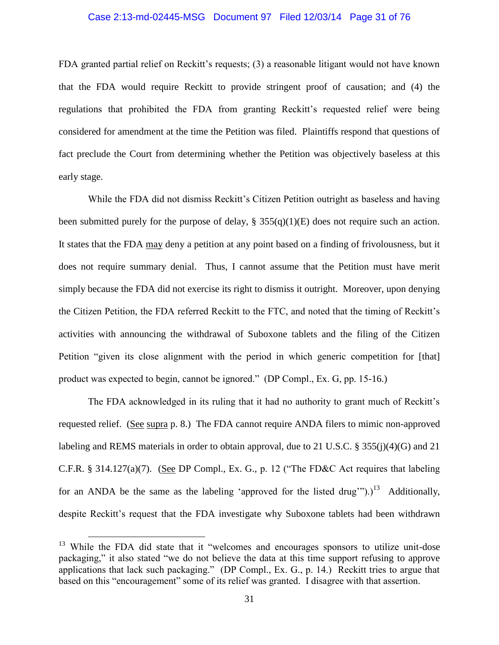#### Case 2:13-md-02445-MSG Document 97 Filed 12/03/14 Page 31 of 76

FDA granted partial relief on Reckitt's requests; (3) a reasonable litigant would not have known that the FDA would require Reckitt to provide stringent proof of causation; and (4) the regulations that prohibited the FDA from granting Reckitt's requested relief were being considered for amendment at the time the Petition was filed. Plaintiffs respond that questions of fact preclude the Court from determining whether the Petition was objectively baseless at this early stage.

While the FDA did not dismiss Reckitt's Citizen Petition outright as baseless and having been submitted purely for the purpose of delay,  $\S$  355(q)(1)(E) does not require such an action. It states that the FDA may deny a petition at any point based on a finding of frivolousness, but it does not require summary denial. Thus, I cannot assume that the Petition must have merit simply because the FDA did not exercise its right to dismiss it outright. Moreover, upon denying the Citizen Petition, the FDA referred Reckitt to the FTC, and noted that the timing of Reckitt's activities with announcing the withdrawal of Suboxone tablets and the filing of the Citizen Petition "given its close alignment with the period in which generic competition for [that] product was expected to begin, cannot be ignored." (DP Compl., Ex. G, pp. 15-16.)

The FDA acknowledged in its ruling that it had no authority to grant much of Reckitt's requested relief. (See supra p. 8.)The FDA cannot require ANDA filers to mimic non-approved labeling and REMS materials in order to obtain approval, due to 21 U.S.C. § 355(j)(4)(G) and 21 C.F.R. § 314.127(a)(7). (See DP Compl., Ex. G., p. 12 ("The FD&C Act requires that labeling for an ANDA be the same as the labeling 'approved for the listed drug'").)<sup>13</sup> Additionally, despite Reckitt's request that the FDA investigate why Suboxone tablets had been withdrawn

 $13$  While the FDA did state that it "welcomes and encourages sponsors to utilize unit-dose packaging," it also stated "we do not believe the data at this time support refusing to approve applications that lack such packaging." (DP Compl., Ex. G., p. 14.) Reckitt tries to argue that based on this "encouragement" some of its relief was granted. I disagree with that assertion.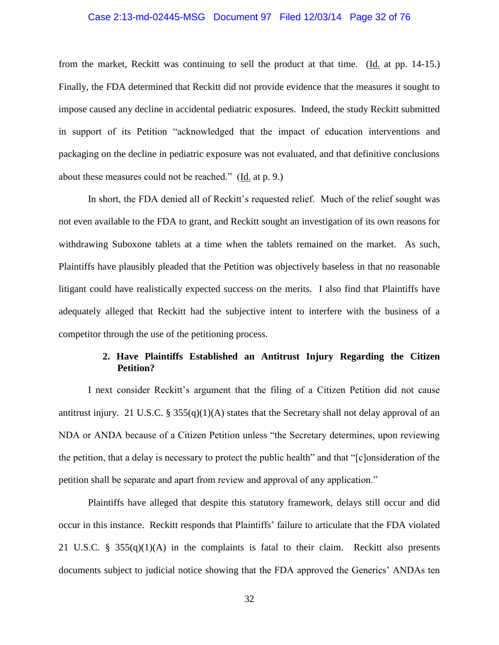#### Case 2:13-md-02445-MSG Document 97 Filed 12/03/14 Page 32 of 76

from the market, Reckitt was continuing to sell the product at that time. (Id. at pp. 14-15.) Finally, the FDA determined that Reckitt did not provide evidence that the measures it sought to impose caused any decline in accidental pediatric exposures. Indeed, the study Reckitt submitted in support of its Petition "acknowledged that the impact of education interventions and packaging on the decline in pediatric exposure was not evaluated, and that definitive conclusions about these measures could not be reached." (Id. at p. 9.)

In short, the FDA denied all of Reckitt's requested relief. Much of the relief sought was not even available to the FDA to grant, and Reckitt sought an investigation of its own reasons for withdrawing Suboxone tablets at a time when the tablets remained on the market. As such, Plaintiffs have plausibly pleaded that the Petition was objectively baseless in that no reasonable litigant could have realistically expected success on the merits. I also find that Plaintiffs have adequately alleged that Reckitt had the subjective intent to interfere with the business of a competitor through the use of the petitioning process.

## **2. Have Plaintiffs Established an Antitrust Injury Regarding the Citizen Petition?**

I next consider Reckitt's argument that the filing of a Citizen Petition did not cause antitrust injury. 21 U.S.C. § 355(q)(1)(A) states that the Secretary shall not delay approval of an NDA or ANDA because of a Citizen Petition unless "the Secretary determines, upon reviewing the petition, that a delay is necessary to protect the public health" and that "[c]onsideration of the petition shall be separate and apart from review and approval of any application."

Plaintiffs have alleged that despite this statutory framework, delays still occur and did occur in this instance. Reckitt responds that Plaintiffs' failure to articulate that the FDA violated 21 U.S.C. § 355(q)(1)(A) in the complaints is fatal to their claim. Reckitt also presents documents subject to judicial notice showing that the FDA approved the Generics' ANDAs ten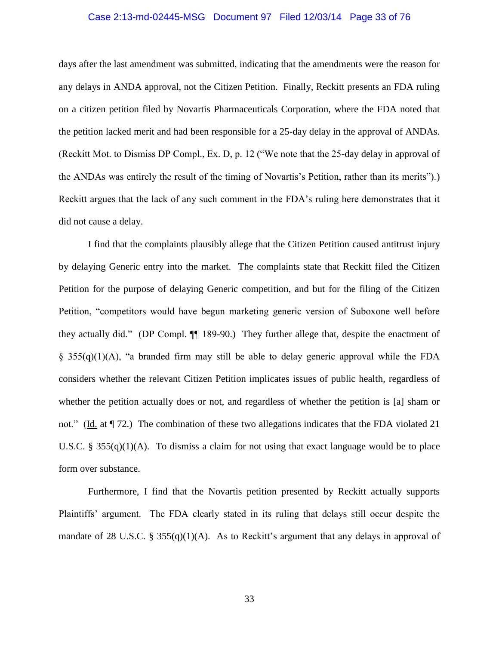#### Case 2:13-md-02445-MSG Document 97 Filed 12/03/14 Page 33 of 76

days after the last amendment was submitted, indicating that the amendments were the reason for any delays in ANDA approval, not the Citizen Petition. Finally, Reckitt presents an FDA ruling on a citizen petition filed by Novartis Pharmaceuticals Corporation, where the FDA noted that the petition lacked merit and had been responsible for a 25-day delay in the approval of ANDAs. (Reckitt Mot. to Dismiss DP Compl., Ex. D, p. 12 ("We note that the 25-day delay in approval of the ANDAs was entirely the result of the timing of Novartis's Petition, rather than its merits").) Reckitt argues that the lack of any such comment in the FDA's ruling here demonstrates that it did not cause a delay.

I find that the complaints plausibly allege that the Citizen Petition caused antitrust injury by delaying Generic entry into the market. The complaints state that Reckitt filed the Citizen Petition for the purpose of delaying Generic competition, and but for the filing of the Citizen Petition, "competitors would have begun marketing generic version of Suboxone well before they actually did." (DP Compl. ¶¶ 189-90.) They further allege that, despite the enactment of § 355(q)(1)(A), "a branded firm may still be able to delay generic approval while the FDA considers whether the relevant Citizen Petition implicates issues of public health, regardless of whether the petition actually does or not, and regardless of whether the petition is [a] sham or not." (Id. at  $\P$  72.) The combination of these two allegations indicates that the FDA violated 21 U.S.C. § 355(q)(1)(A). To dismiss a claim for not using that exact language would be to place form over substance.

Furthermore, I find that the Novartis petition presented by Reckitt actually supports Plaintiffs' argument. The FDA clearly stated in its ruling that delays still occur despite the mandate of 28 U.S.C. § 355(q)(1)(A). As to Reckitt's argument that any delays in approval of

33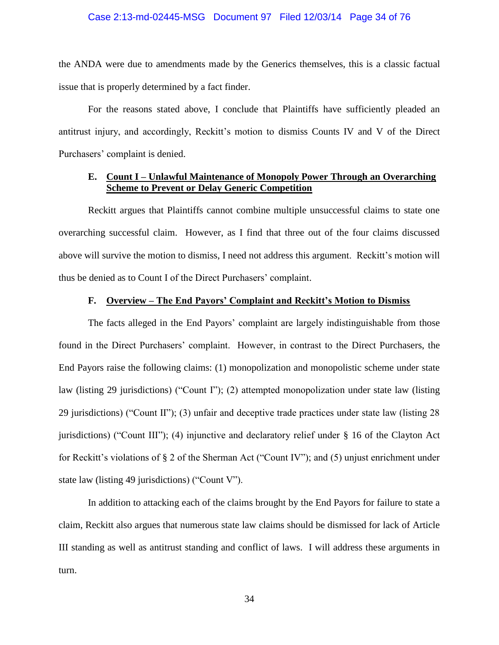#### Case 2:13-md-02445-MSG Document 97 Filed 12/03/14 Page 34 of 76

the ANDA were due to amendments made by the Generics themselves, this is a classic factual issue that is properly determined by a fact finder.

For the reasons stated above, I conclude that Plaintiffs have sufficiently pleaded an antitrust injury, and accordingly, Reckitt's motion to dismiss Counts IV and V of the Direct Purchasers' complaint is denied.

## **E. Count I – Unlawful Maintenance of Monopoly Power Through an Overarching Scheme to Prevent or Delay Generic Competition**

Reckitt argues that Plaintiffs cannot combine multiple unsuccessful claims to state one overarching successful claim. However, as I find that three out of the four claims discussed above will survive the motion to dismiss, I need not address this argument. Reckitt's motion will thus be denied as to Count I of the Direct Purchasers' complaint.

## **F. Overview – The End Payors' Complaint and Reckitt's Motion to Dismiss**

The facts alleged in the End Payors' complaint are largely indistinguishable from those found in the Direct Purchasers' complaint. However, in contrast to the Direct Purchasers, the End Payors raise the following claims: (1) monopolization and monopolistic scheme under state law (listing 29 jurisdictions) ("Count I"); (2) attempted monopolization under state law (listing 29 jurisdictions) ("Count II"); (3) unfair and deceptive trade practices under state law (listing 28 jurisdictions) ("Count III"); (4) injunctive and declaratory relief under § 16 of the Clayton Act for Reckitt's violations of § 2 of the Sherman Act ("Count IV"); and (5) unjust enrichment under state law (listing 49 jurisdictions) ("Count V").

In addition to attacking each of the claims brought by the End Payors for failure to state a claim, Reckitt also argues that numerous state law claims should be dismissed for lack of Article III standing as well as antitrust standing and conflict of laws. I will address these arguments in turn.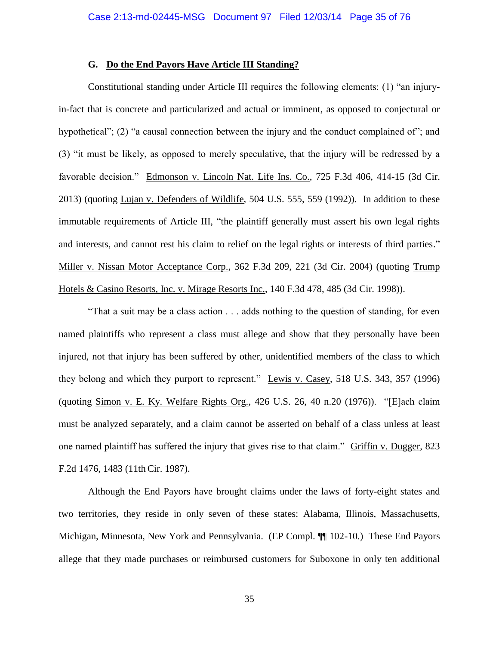#### **G. Do the End Payors Have Article III Standing?**

Constitutional standing under Article III requires the following elements: (1) "an injuryin-fact that is concrete and particularized and actual or imminent, as opposed to conjectural or hypothetical"; (2) "a causal connection between the injury and the conduct complained of"; and (3) "it must be likely, as opposed to merely speculative, that the injury will be redressed by a favorable decision." Edmonson v. Lincoln Nat. Life Ins. Co., 725 F.3d 406, 414-15 (3d Cir. 2013) (quoting Lujan v. Defenders of Wildlife, 504 U.S. 555, 559 (1992)). In addition to these immutable requirements of Article III, "the plaintiff generally must assert his own legal rights and interests, and cannot rest his claim to relief on the legal rights or interests of third parties." Miller v. Nissan Motor Acceptance Corp., 362 F.3d 209, 221 (3d Cir. 2004) (quoting Trump Hotels & Casino Resorts, Inc. v. Mirage Resorts Inc., 140 F.3d 478, 485 (3d Cir. 1998)).

"That a suit may be a class action . . . adds nothing to the question of standing, for even named plaintiffs who represent a class must allege and show that they personally have been injured, not that injury has been suffered by other, unidentified members of the class to which they belong and which they purport to represent." Lewis v. Casey, 518 U.S. 343, 357 (1996) (quoting Simon v. E. Ky. Welfare Rights Org., 426 U.S. 26, 40 n.20 (1976)). "[E]ach claim must be analyzed separately, and a claim cannot be asserted on behalf of a class unless at least one named plaintiff has suffered the injury that gives rise to that claim." Griffin v. Dugger, 823 F.2d 1476, 1483 (11th Cir. 1987).

Although the End Payors have brought claims under the laws of forty-eight states and two territories, they reside in only seven of these states: Alabama, Illinois, Massachusetts, Michigan, Minnesota, New York and Pennsylvania. (EP Compl. ¶¶ 102-10.) These End Payors allege that they made purchases or reimbursed customers for Suboxone in only ten additional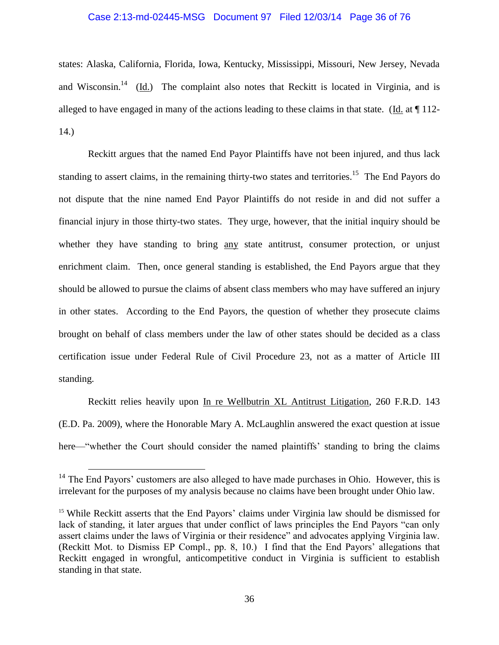# Case 2:13-md-02445-MSG Document 97 Filed 12/03/14 Page 36 of 76

states: Alaska, California, Florida, Iowa, Kentucky, Mississippi, Missouri, New Jersey, Nevada and Wisconsin.<sup>14</sup> (Id.) The complaint also notes that Reckitt is located in Virginia, and is alleged to have engaged in many of the actions leading to these claims in that state. (Id. at ¶ 112- 14.)

Reckitt argues that the named End Payor Plaintiffs have not been injured, and thus lack standing to assert claims, in the remaining thirty-two states and territories.<sup>15</sup> The End Payors do not dispute that the nine named End Payor Plaintiffs do not reside in and did not suffer a financial injury in those thirty-two states. They urge, however, that the initial inquiry should be whether they have standing to bring any state antitrust, consumer protection, or unjust enrichment claim. Then, once general standing is established, the End Payors argue that they should be allowed to pursue the claims of absent class members who may have suffered an injury in other states. According to the End Payors, the question of whether they prosecute claims brought on behalf of class members under the law of other states should be decided as a class certification issue under Federal Rule of Civil Procedure 23, not as a matter of Article III standing.

Reckitt relies heavily upon In re Wellbutrin XL Antitrust Litigation, 260 F.R.D. 143 (E.D. Pa. 2009), where the Honorable Mary A. McLaughlin answered the exact question at issue here—"whether the Court should consider the named plaintiffs' standing to bring the claims

 $14$  The End Payors' customers are also alleged to have made purchases in Ohio. However, this is irrelevant for the purposes of my analysis because no claims have been brought under Ohio law.

<sup>&</sup>lt;sup>15</sup> While Reckitt asserts that the End Payors' claims under Virginia law should be dismissed for lack of standing, it later argues that under conflict of laws principles the End Payors "can only assert claims under the laws of Virginia or their residence" and advocates applying Virginia law. (Reckitt Mot. to Dismiss EP Compl., pp. 8, 10.) I find that the End Payors' allegations that Reckitt engaged in wrongful, anticompetitive conduct in Virginia is sufficient to establish standing in that state.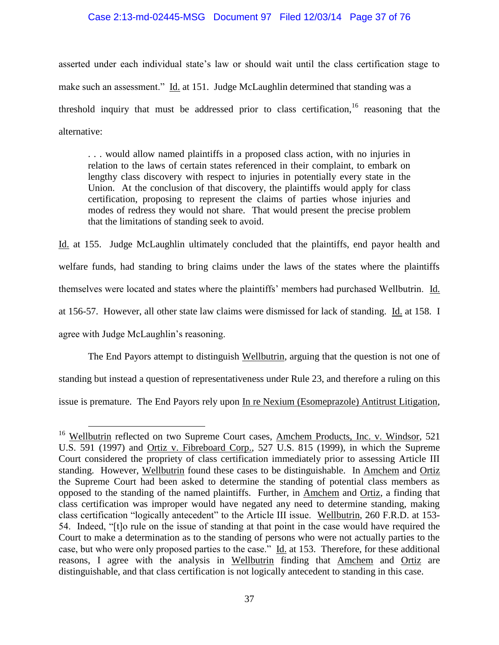### Case 2:13-md-02445-MSG Document 97 Filed 12/03/14 Page 37 of 76

asserted under each individual state's law or should wait until the class certification stage to make such an assessment." Id. at 151. Judge McLaughlin determined that standing was a threshold inquiry that must be addressed prior to class certification.<sup>16</sup> reasoning that the alternative:

. . . would allow named plaintiffs in a proposed class action, with no injuries in relation to the laws of certain states referenced in their complaint, to embark on lengthy class discovery with respect to injuries in potentially every state in the Union. At the conclusion of that discovery, the plaintiffs would apply for class certification, proposing to represent the claims of parties whose injuries and modes of redress they would not share. That would present the precise problem that the limitations of standing seek to avoid.

Id. at 155. Judge McLaughlin ultimately concluded that the plaintiffs, end payor health and welfare funds, had standing to bring claims under the laws of the states where the plaintiffs themselves were located and states where the plaintiffs' members had purchased Wellbutrin. Id. at 156-57. However, all other state law claims were dismissed for lack of standing. Id. at 158. I agree with Judge McLaughlin's reasoning.

The End Payors attempt to distinguish Wellbutrin, arguing that the question is not one of standing but instead a question of representativeness under Rule 23, and therefore a ruling on this issue is premature. The End Payors rely upon In re Nexium (Esomeprazole) Antitrust Litigation,

<sup>&</sup>lt;sup>16</sup> Wellbutrin reflected on two Supreme Court cases, Amchem Products, Inc. v. Windsor, 521 U.S. 591 (1997) and Ortiz v. Fibreboard Corp., 527 U.S. 815 (1999), in which the Supreme Court considered the propriety of class certification immediately prior to assessing Article III standing. However, Wellbutrin found these cases to be distinguishable. In Amchem and Ortiz the Supreme Court had been asked to determine the standing of potential class members as opposed to the standing of the named plaintiffs. Further, in Amchem and Ortiz, a finding that class certification was improper would have negated any need to determine standing, making class certification "logically antecedent" to the Article III issue. Wellbutrin, 260 F.R.D. at 153- 54. Indeed, "[t]o rule on the issue of standing at that point in the case would have required the Court to make a determination as to the standing of persons who were not actually parties to the case, but who were only proposed parties to the case." Id. at 153. Therefore, for these additional reasons, I agree with the analysis in Wellbutrin finding that Amchem and Ortiz are distinguishable, and that class certification is not logically antecedent to standing in this case.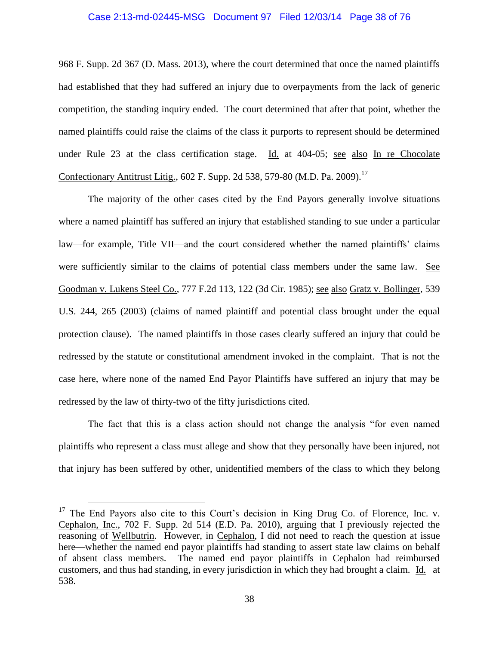#### Case 2:13-md-02445-MSG Document 97 Filed 12/03/14 Page 38 of 76

968 F. Supp. 2d 367 (D. Mass. 2013), where the court determined that once the named plaintiffs had established that they had suffered an injury due to overpayments from the lack of generic competition, the standing inquiry ended. The court determined that after that point, whether the named plaintiffs could raise the claims of the class it purports to represent should be determined under Rule 23 at the class certification stage. Id. at 404-05; see also In re Chocolate Confectionary Antitrust Litig., 602 F. Supp. 2d 538, 579-80 (M.D. Pa. 2009).<sup>17</sup>

The majority of the other cases cited by the End Payors generally involve situations where a named plaintiff has suffered an injury that established standing to sue under a particular law—for example, Title VII—and the court considered whether the named plaintiffs' claims were sufficiently similar to the claims of potential class members under the same law. See Goodman v. Lukens Steel Co., 777 F.2d 113, 122 (3d Cir. 1985); see also Gratz v. Bollinger, 539 U.S. 244, 265 (2003) (claims of named plaintiff and potential class brought under the equal protection clause). The named plaintiffs in those cases clearly suffered an injury that could be redressed by the statute or constitutional amendment invoked in the complaint. That is not the case here, where none of the named End Payor Plaintiffs have suffered an injury that may be redressed by the law of thirty-two of the fifty jurisdictions cited.

The fact that this is a class action should not change the analysis "for even named plaintiffs who represent a class must allege and show that they personally have been injured, not that injury has been suffered by other, unidentified members of the class to which they belong

 $17$  The End Payors also cite to this Court's decision in King Drug Co. of Florence, Inc. v. Cephalon, Inc., 702 F. Supp. 2d 514 (E.D. Pa. 2010), arguing that I previously rejected the reasoning of Wellbutrin. However, in Cephalon, I did not need to reach the question at issue here—whether the named end payor plaintiffs had standing to assert state law claims on behalf of absent class members. The named end payor plaintiffs in Cephalon had reimbursed customers, and thus had standing, in every jurisdiction in which they had brought a claim. Id. at 538.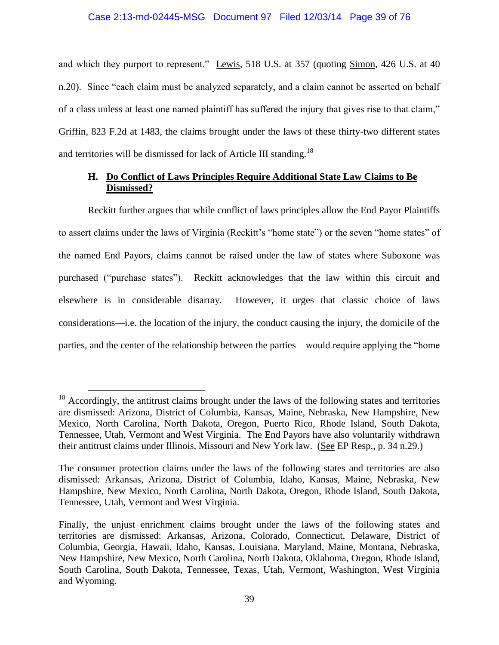# Case 2:13-md-02445-MSG Document 97 Filed 12/03/14 Page 39 of 76

and which they purport to represent." Lewis, 518 U.S. at 357 (quoting Simon, 426 U.S. at 40 n.20). Since "each claim must be analyzed separately, and a claim cannot be asserted on behalf of a class unless at least one named plaintiff has suffered the injury that gives rise to that claim," Griffin, 823 F.2d at 1483, the claims brought under the laws of these thirty-two different states and territories will be dismissed for lack of Article III standing.<sup>18</sup>

## **H. Do Conflict of Laws Principles Require Additional State Law Claims to Be Dismissed?**

Reckitt further argues that while conflict of laws principles allow the End Payor Plaintiffs to assert claims under the laws of Virginia (Reckitt's "home state") or the seven "home states" of the named End Payors, claims cannot be raised under the law of states where Suboxone was purchased ("purchase states"). Reckitt acknowledges that the law within this circuit and elsewhere is in considerable disarray. However, it urges that classic choice of laws considerations—i.e. the location of the injury, the conduct causing the injury, the domicile of the parties, and the center of the relationship between the parties—would require applying the "home

 $18$  Accordingly, the antitrust claims brought under the laws of the following states and territories are dismissed: Arizona, District of Columbia, Kansas, Maine, Nebraska, New Hampshire, New Mexico, North Carolina, North Dakota, Oregon, Puerto Rico, Rhode Island, South Dakota, Tennessee, Utah, Vermont and West Virginia. The End Payors have also voluntarily withdrawn their antitrust claims under Illinois, Missouri and New York law. (See EP Resp., p. 34 n.29.)

The consumer protection claims under the laws of the following states and territories are also dismissed: Arkansas, Arizona, District of Columbia, Idaho, Kansas, Maine, Nebraska, New Hampshire, New Mexico, North Carolina, North Dakota, Oregon, Rhode Island, South Dakota, Tennessee, Utah, Vermont and West Virginia.

Finally, the unjust enrichment claims brought under the laws of the following states and territories are dismissed: Arkansas, Arizona, Colorado, Connecticut, Delaware, District of Columbia, Georgia, Hawaii, Idaho, Kansas, Louisiana, Maryland, Maine, Montana, Nebraska, New Hampshire, New Mexico, North Carolina, North Dakota, Oklahoma, Oregon, Rhode Island, South Carolina, South Dakota, Tennessee, Texas, Utah, Vermont, Washington, West Virginia and Wyoming.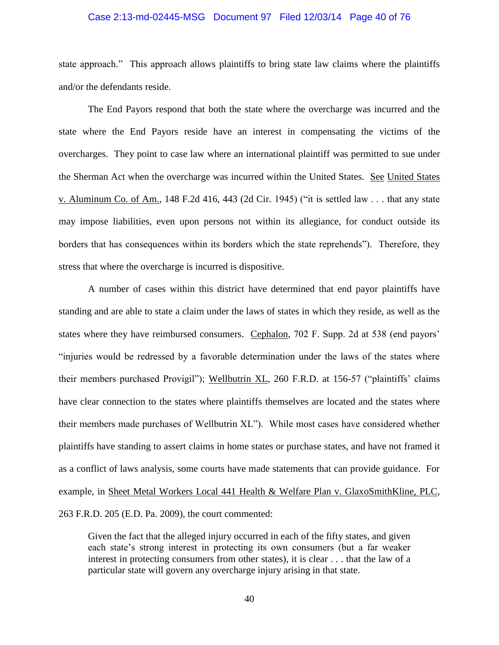#### Case 2:13-md-02445-MSG Document 97 Filed 12/03/14 Page 40 of 76

state approach." This approach allows plaintiffs to bring state law claims where the plaintiffs and/or the defendants reside.

The End Payors respond that both the state where the overcharge was incurred and the state where the End Payors reside have an interest in compensating the victims of the overcharges. They point to case law where an international plaintiff was permitted to sue under the Sherman Act when the overcharge was incurred within the United States. See United States v. Aluminum Co. of Am., 148 F.2d 416, 443 (2d Cir. 1945) ("it is settled law . . . that any state may impose liabilities, even upon persons not within its allegiance, for conduct outside its borders that has consequences within its borders which the state reprehends"). Therefore, they stress that where the overcharge is incurred is dispositive.

A number of cases within this district have determined that end payor plaintiffs have standing and are able to state a claim under the laws of states in which they reside, as well as the states where they have reimbursed consumers. Cephalon, 702 F. Supp. 2d at 538 (end payors' "injuries would be redressed by a favorable determination under the laws of the states where their members purchased Provigil"); Wellbutrin XL, 260 F.R.D. at 156-57 ("plaintiffs' claims have clear connection to the states where plaintiffs themselves are located and the states where their members made purchases of Wellbutrin XL"). While most cases have considered whether plaintiffs have standing to assert claims in home states or purchase states, and have not framed it as a conflict of laws analysis, some courts have made statements that can provide guidance. For example, in Sheet Metal Workers Local 441 Health & Welfare Plan v. GlaxoSmithKline, PLC, 263 F.R.D. 205 (E.D. Pa. 2009), the court commented:

Given the fact that the alleged injury occurred in each of the fifty states, and given each state's strong interest in protecting its own consumers (but a far weaker interest in protecting consumers from other states), it is clear . . . that the law of a particular state will govern any overcharge injury arising in that state.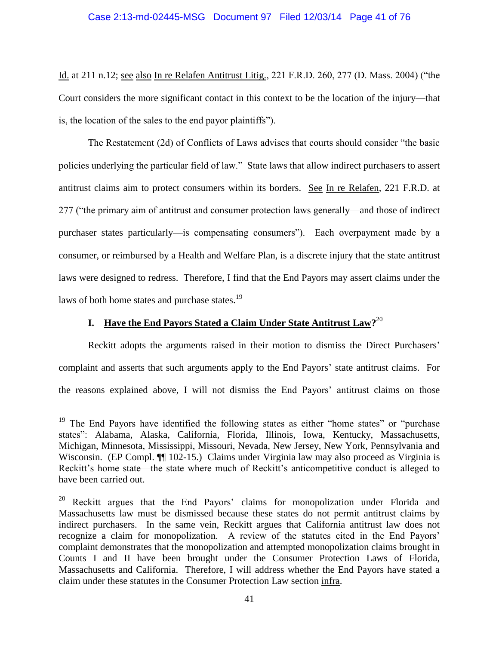### Case 2:13-md-02445-MSG Document 97 Filed 12/03/14 Page 41 of 76

Id. at 211 n.12; see also In re Relafen Antitrust Litig., 221 F.R.D. 260, 277 (D. Mass. 2004) ("the Court considers the more significant contact in this context to be the location of the injury—that is, the location of the sales to the end payor plaintiffs").

The Restatement (2d) of Conflicts of Laws advises that courts should consider "the basic policies underlying the particular field of law." State laws that allow indirect purchasers to assert antitrust claims aim to protect consumers within its borders. See In re Relafen, 221 F.R.D. at 277 ("the primary aim of antitrust and consumer protection laws generally—and those of indirect purchaser states particularly—is compensating consumers"). Each overpayment made by a consumer, or reimbursed by a Health and Welfare Plan, is a discrete injury that the state antitrust laws were designed to redress. Therefore, I find that the End Payors may assert claims under the laws of both home states and purchase states.<sup>19</sup>

# **I. Have the End Payors Stated a Claim Under State Antitrust Law?** 20

 $\overline{a}$ 

Reckitt adopts the arguments raised in their motion to dismiss the Direct Purchasers' complaint and asserts that such arguments apply to the End Payors' state antitrust claims. For the reasons explained above, I will not dismiss the End Payors' antitrust claims on those

<sup>&</sup>lt;sup>19</sup> The End Payors have identified the following states as either "home states" or "purchase states": Alabama, Alaska, California, Florida, Illinois, Iowa, Kentucky, Massachusetts, Michigan, Minnesota, Mississippi, Missouri, Nevada, New Jersey, New York, Pennsylvania and Wisconsin. (EP Compl.  $\P$  102-15.) Claims under Virginia law may also proceed as Virginia is Reckitt's home state—the state where much of Reckitt's anticompetitive conduct is alleged to have been carried out.

<sup>&</sup>lt;sup>20</sup> Reckitt argues that the End Payors' claims for monopolization under Florida and Massachusetts law must be dismissed because these states do not permit antitrust claims by indirect purchasers. In the same vein, Reckitt argues that California antitrust law does not recognize a claim for monopolization. A review of the statutes cited in the End Payors' complaint demonstrates that the monopolization and attempted monopolization claims brought in Counts I and II have been brought under the Consumer Protection Laws of Florida, Massachusetts and California. Therefore, I will address whether the End Payors have stated a claim under these statutes in the Consumer Protection Law section infra.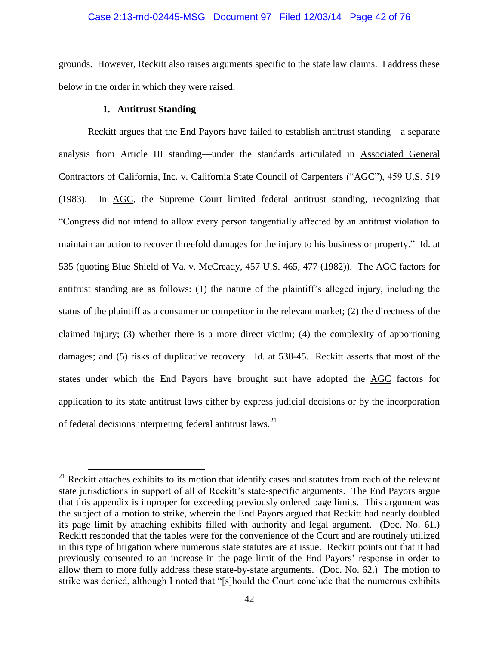### Case 2:13-md-02445-MSG Document 97 Filed 12/03/14 Page 42 of 76

grounds. However, Reckitt also raises arguments specific to the state law claims. I address these below in the order in which they were raised.

## **1. Antitrust Standing**

 $\overline{a}$ 

Reckitt argues that the End Payors have failed to establish antitrust standing—a separate analysis from Article III standing—under the standards articulated in Associated General Contractors of California, Inc. v. California State Council of Carpenters ("AGC"), 459 U.S. 519 (1983). In AGC, the Supreme Court limited federal antitrust standing, recognizing that "Congress did not intend to allow every person tangentially affected by an antitrust violation to maintain an action to recover threefold damages for the injury to his business or property." Id. at 535 (quoting Blue Shield of Va. v. McCready, 457 U.S. 465, 477 (1982)). The AGC factors for antitrust standing are as follows: (1) the nature of the plaintiff's alleged injury, including the status of the plaintiff as a consumer or competitor in the relevant market; (2) the directness of the claimed injury; (3) whether there is a more direct victim; (4) the complexity of apportioning damages; and (5) risks of duplicative recovery. Id. at 538-45. Reckitt asserts that most of the states under which the End Payors have brought suit have adopted the AGC factors for application to its state antitrust laws either by express judicial decisions or by the incorporation of federal decisions interpreting federal antitrust laws.<sup>21</sup>

 $21$  Reckitt attaches exhibits to its motion that identify cases and statutes from each of the relevant state jurisdictions in support of all of Reckitt's state-specific arguments. The End Payors argue that this appendix is improper for exceeding previously ordered page limits. This argument was the subject of a motion to strike, wherein the End Payors argued that Reckitt had nearly doubled its page limit by attaching exhibits filled with authority and legal argument. (Doc. No. 61.) Reckitt responded that the tables were for the convenience of the Court and are routinely utilized in this type of litigation where numerous state statutes are at issue. Reckitt points out that it had previously consented to an increase in the page limit of the End Payors' response in order to allow them to more fully address these state-by-state arguments. (Doc. No. 62.) The motion to strike was denied, although I noted that "[s]hould the Court conclude that the numerous exhibits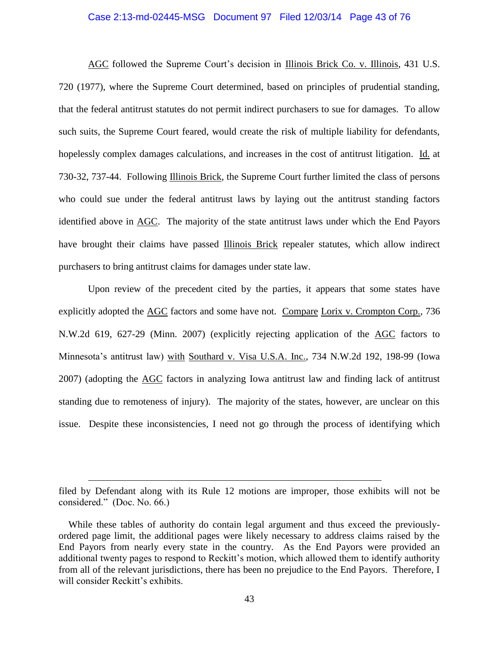# Case 2:13-md-02445-MSG Document 97 Filed 12/03/14 Page 43 of 76

AGC followed the Supreme Court's decision in Illinois Brick Co. v. Illinois, 431 U.S. 720 (1977), where the Supreme Court determined, based on principles of prudential standing, that the federal antitrust statutes do not permit indirect purchasers to sue for damages. To allow such suits, the Supreme Court feared, would create the risk of multiple liability for defendants, hopelessly complex damages calculations, and increases in the cost of antitrust litigation. Id. at 730-32, 737-44. Following Illinois Brick, the Supreme Court further limited the class of persons who could sue under the federal antitrust laws by laying out the antitrust standing factors identified above in AGC. The majority of the state antitrust laws under which the End Payors have brought their claims have passed Illinois Brick repealer statutes, which allow indirect purchasers to bring antitrust claims for damages under state law.

Upon review of the precedent cited by the parties, it appears that some states have explicitly adopted the AGC factors and some have not. Compare Lorix v. Crompton Corp., 736 N.W.2d 619, 627-29 (Minn. 2007) (explicitly rejecting application of the AGC factors to Minnesota's antitrust law) with Southard v. Visa U.S.A. Inc., 734 N.W.2d 192, 198-99 (Iowa 2007) (adopting the AGC factors in analyzing Iowa antitrust law and finding lack of antitrust standing due to remoteness of injury). The majority of the states, however, are unclear on this issue. Despite these inconsistencies, I need not go through the process of identifying which

filed by Defendant along with its Rule 12 motions are improper, those exhibits will not be considered." (Doc. No. 66.)

While these tables of authority do contain legal argument and thus exceed the previouslyordered page limit, the additional pages were likely necessary to address claims raised by the End Payors from nearly every state in the country. As the End Payors were provided an additional twenty pages to respond to Reckitt's motion, which allowed them to identify authority from all of the relevant jurisdictions, there has been no prejudice to the End Payors. Therefore, I will consider Reckitt's exhibits.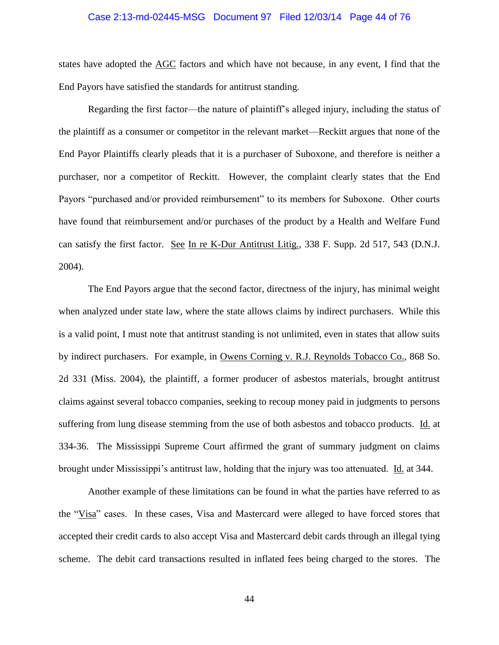### Case 2:13-md-02445-MSG Document 97 Filed 12/03/14 Page 44 of 76

states have adopted the AGC factors and which have not because, in any event, I find that the End Payors have satisfied the standards for antitrust standing.

Regarding the first factor—the nature of plaintiff's alleged injury, including the status of the plaintiff as a consumer or competitor in the relevant market—Reckitt argues that none of the End Payor Plaintiffs clearly pleads that it is a purchaser of Suboxone, and therefore is neither a purchaser, nor a competitor of Reckitt. However, the complaint clearly states that the End Payors "purchased and/or provided reimbursement" to its members for Suboxone. Other courts have found that reimbursement and/or purchases of the product by a Health and Welfare Fund can satisfy the first factor. See In re K-Dur Antitrust Litig., 338 F. Supp. 2d 517, 543 (D.N.J. 2004).

The End Payors argue that the second factor, directness of the injury, has minimal weight when analyzed under state law, where the state allows claims by indirect purchasers. While this is a valid point, I must note that antitrust standing is not unlimited, even in states that allow suits by indirect purchasers. For example, in Owens Corning v. R.J. Reynolds Tobacco Co., 868 So. 2d 331 (Miss. 2004), the plaintiff, a former producer of asbestos materials, brought antitrust claims against several tobacco companies, seeking to recoup money paid in judgments to persons suffering from lung disease stemming from the use of both asbestos and tobacco products. Id. at 334-36. The Mississippi Supreme Court affirmed the grant of summary judgment on claims brought under Mississippi's antitrust law, holding that the injury was too attenuated. Id. at 344.

Another example of these limitations can be found in what the parties have referred to as the "Visa" cases. In these cases, Visa and Mastercard were alleged to have forced stores that accepted their credit cards to also accept Visa and Mastercard debit cards through an illegal tying scheme. The debit card transactions resulted in inflated fees being charged to the stores. The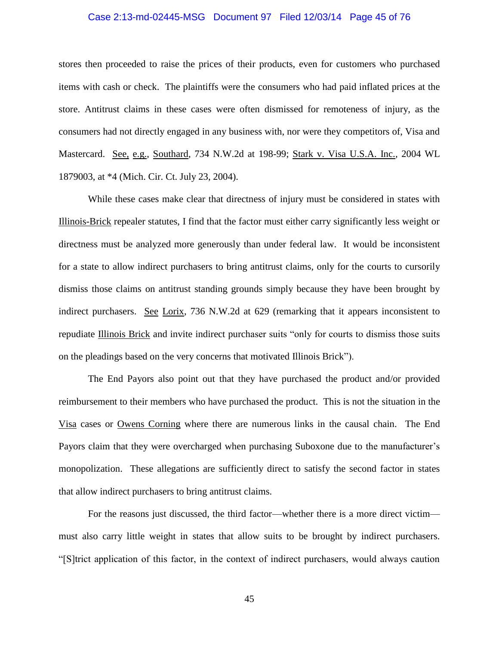### Case 2:13-md-02445-MSG Document 97 Filed 12/03/14 Page 45 of 76

stores then proceeded to raise the prices of their products, even for customers who purchased items with cash or check. The plaintiffs were the consumers who had paid inflated prices at the store. Antitrust claims in these cases were often dismissed for remoteness of injury, as the consumers had not directly engaged in any business with, nor were they competitors of, Visa and Mastercard. See, e.g., Southard, 734 N.W.2d at 198-99; Stark v. Visa U.S.A. Inc., 2004 WL 1879003, at \*4 (Mich. Cir. Ct. July 23, 2004).

While these cases make clear that directness of injury must be considered in states with Illinois-Brick repealer statutes, I find that the factor must either carry significantly less weight or directness must be analyzed more generously than under federal law. It would be inconsistent for a state to allow indirect purchasers to bring antitrust claims, only for the courts to cursorily dismiss those claims on antitrust standing grounds simply because they have been brought by indirect purchasers. See Lorix, 736 N.W.2d at 629 (remarking that it appears inconsistent to repudiate Illinois Brick and invite indirect purchaser suits "only for courts to dismiss those suits on the pleadings based on the very concerns that motivated Illinois Brick").

The End Payors also point out that they have purchased the product and/or provided reimbursement to their members who have purchased the product. This is not the situation in the Visa cases or Owens Corning where there are numerous links in the causal chain. The End Payors claim that they were overcharged when purchasing Suboxone due to the manufacturer's monopolization. These allegations are sufficiently direct to satisfy the second factor in states that allow indirect purchasers to bring antitrust claims.

For the reasons just discussed, the third factor—whether there is a more direct victim must also carry little weight in states that allow suits to be brought by indirect purchasers. "[S]trict application of this factor, in the context of indirect purchasers, would always caution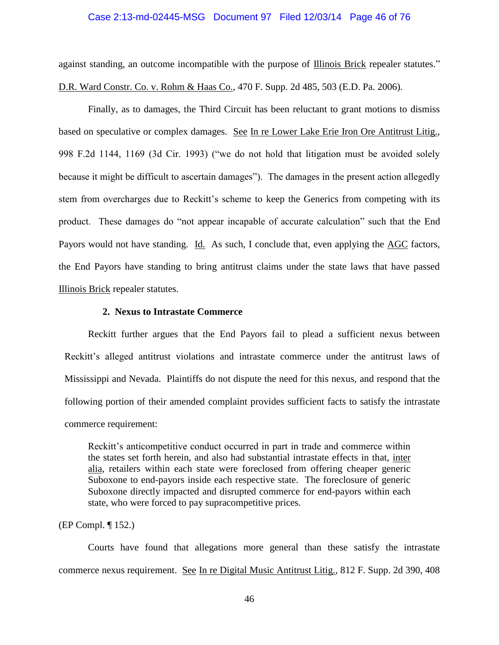### Case 2:13-md-02445-MSG Document 97 Filed 12/03/14 Page 46 of 76

against standing, an outcome incompatible with the purpose of Illinois Brick repealer statutes." D.R. Ward Constr. Co. v. Rohm & Haas Co., 470 F. Supp. 2d 485, 503 (E.D. Pa. 2006).

Finally, as to damages, the Third Circuit has been reluctant to grant motions to dismiss based on speculative or complex damages. See In re Lower Lake Erie Iron Ore Antitrust Litig., 998 F.2d 1144, 1169 (3d Cir. 1993) ("we do not hold that litigation must be avoided solely because it might be difficult to ascertain damages"). The damages in the present action allegedly stem from overcharges due to Reckitt's scheme to keep the Generics from competing with its product. These damages do "not appear incapable of accurate calculation" such that the End Payors would not have standing. Id. As such, I conclude that, even applying the AGC factors, the End Payors have standing to bring antitrust claims under the state laws that have passed Illinois Brick repealer statutes.

### **2. Nexus to Intrastate Commerce**

Reckitt further argues that the End Payors fail to plead a sufficient nexus between Reckitt's alleged antitrust violations and intrastate commerce under the antitrust laws of Mississippi and Nevada. Plaintiffs do not dispute the need for this nexus, and respond that the following portion of their amended complaint provides sufficient facts to satisfy the intrastate commerce requirement:

Reckitt's anticompetitive conduct occurred in part in trade and commerce within the states set forth herein, and also had substantial intrastate effects in that, inter alia, retailers within each state were foreclosed from offering cheaper generic Suboxone to end-payors inside each respective state. The foreclosure of generic Suboxone directly impacted and disrupted commerce for end-payors within each state, who were forced to pay supracompetitive prices.

### (EP Compl. ¶ 152.)

Courts have found that allegations more general than these satisfy the intrastate commerce nexus requirement. See In re Digital Music Antitrust Litig., 812 F. Supp. 2d 390, 408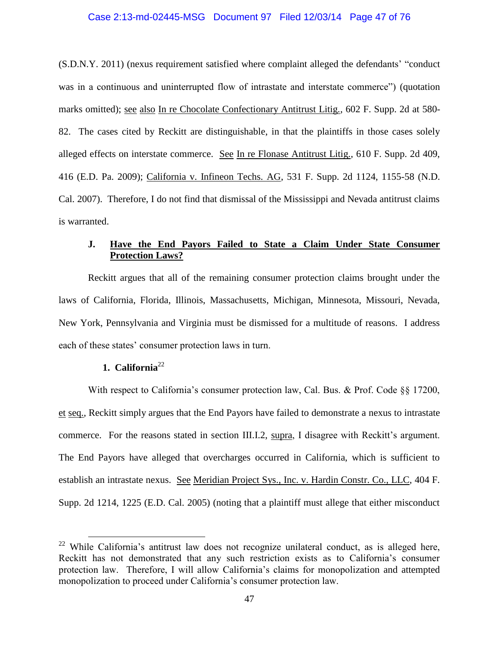# Case 2:13-md-02445-MSG Document 97 Filed 12/03/14 Page 47 of 76

(S.D.N.Y. 2011) (nexus requirement satisfied where complaint alleged the defendants' "conduct was in a continuous and uninterrupted flow of intrastate and interstate commerce") (quotation marks omitted); see also In re Chocolate Confectionary Antitrust Litig., 602 F. Supp. 2d at 580- 82. The cases cited by Reckitt are distinguishable, in that the plaintiffs in those cases solely alleged effects on interstate commerce. See In re Flonase Antitrust Litig., 610 F. Supp. 2d 409, 416 (E.D. Pa. 2009); California v. Infineon Techs. AG, 531 F. Supp. 2d 1124, 1155-58 (N.D. Cal. 2007). Therefore, I do not find that dismissal of the Mississippi and Nevada antitrust claims is warranted.

# **J. Have the End Payors Failed to State a Claim Under State Consumer Protection Laws?**

Reckitt argues that all of the remaining consumer protection claims brought under the laws of California, Florida, Illinois, Massachusetts, Michigan, Minnesota, Missouri, Nevada, New York, Pennsylvania and Virginia must be dismissed for a multitude of reasons. I address each of these states' consumer protection laws in turn.

# **1. California**<sup>22</sup>

 $\overline{a}$ 

With respect to California's consumer protection law, Cal. Bus. & Prof. Code §§ 17200, et seq., Reckitt simply argues that the End Payors have failed to demonstrate a nexus to intrastate commerce. For the reasons stated in section III.I.2, supra, I disagree with Reckitt's argument. The End Payors have alleged that overcharges occurred in California, which is sufficient to establish an intrastate nexus. See Meridian Project Sys., Inc. v. Hardin Constr. Co., LLC, 404 F. Supp. 2d 1214, 1225 (E.D. Cal. 2005) (noting that a plaintiff must allege that either misconduct

<sup>&</sup>lt;sup>22</sup> While California's antitrust law does not recognize unilateral conduct, as is alleged here, Reckitt has not demonstrated that any such restriction exists as to California's consumer protection law. Therefore, I will allow California's claims for monopolization and attempted monopolization to proceed under California's consumer protection law.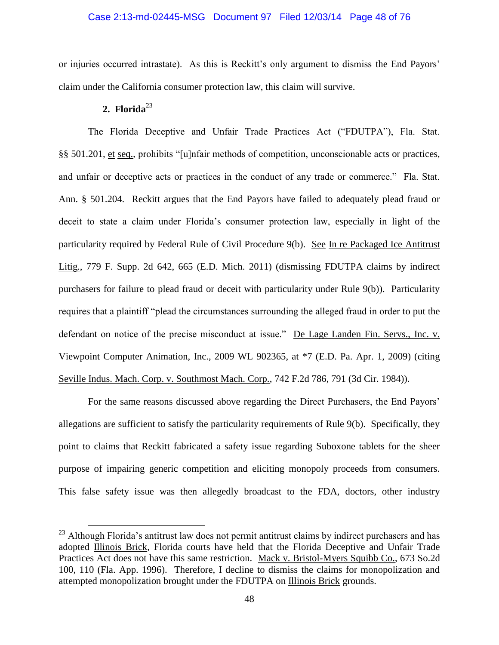### Case 2:13-md-02445-MSG Document 97 Filed 12/03/14 Page 48 of 76

or injuries occurred intrastate). As this is Reckitt's only argument to dismiss the End Payors' claim under the California consumer protection law, this claim will survive.

### 2. Florida $^{23}$

 $\overline{a}$ 

The Florida Deceptive and Unfair Trade Practices Act ("FDUTPA"), Fla. Stat. §§ 501.201, et seq., prohibits "[u]nfair methods of competition, unconscionable acts or practices, and unfair or deceptive acts or practices in the conduct of any trade or commerce." Fla. Stat. Ann. § 501.204. Reckitt argues that the End Payors have failed to adequately plead fraud or deceit to state a claim under Florida's consumer protection law, especially in light of the particularity required by Federal Rule of Civil Procedure 9(b). See In re Packaged Ice Antitrust Litig., 779 F. Supp. 2d 642, 665 (E.D. Mich. 2011) (dismissing FDUTPA claims by indirect purchasers for failure to plead fraud or deceit with particularity under Rule 9(b)). Particularity requires that a plaintiff "plead the circumstances surrounding the alleged fraud in order to put the defendant on notice of the precise misconduct at issue." De Lage Landen Fin. Servs., Inc. v. Viewpoint Computer Animation, Inc., 2009 WL 902365, at \*7 (E.D. Pa. Apr. 1, 2009) (citing Seville Indus. Mach. Corp. v. Southmost Mach. Corp., 742 F.2d 786, 791 (3d Cir. 1984)).

For the same reasons discussed above regarding the Direct Purchasers, the End Payors' allegations are sufficient to satisfy the particularity requirements of Rule 9(b). Specifically, they point to claims that Reckitt fabricated a safety issue regarding Suboxone tablets for the sheer purpose of impairing generic competition and eliciting monopoly proceeds from consumers. This false safety issue was then allegedly broadcast to the FDA, doctors, other industry

<sup>&</sup>lt;sup>23</sup> Although Florida's antitrust law does not permit antitrust claims by indirect purchasers and has adopted Illinois Brick, Florida courts have held that the Florida Deceptive and Unfair Trade Practices Act does not have this same restriction. Mack v. Bristol-Myers Squibb Co., 673 So.2d 100, 110 (Fla. App. 1996). Therefore, I decline to dismiss the claims for monopolization and attempted monopolization brought under the FDUTPA on Illinois Brick grounds.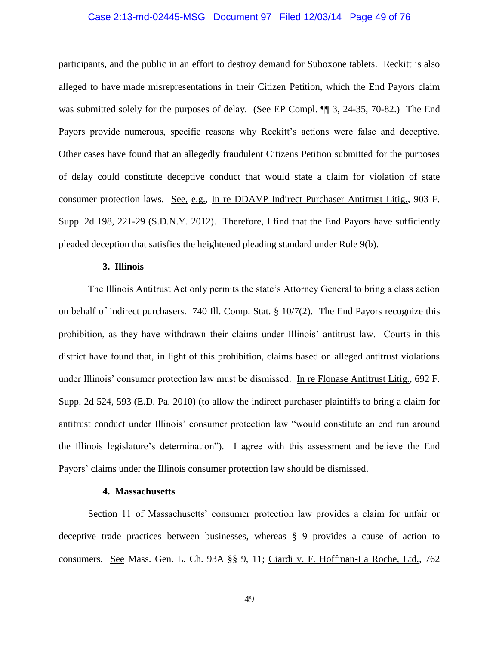### Case 2:13-md-02445-MSG Document 97 Filed 12/03/14 Page 49 of 76

participants, and the public in an effort to destroy demand for Suboxone tablets. Reckitt is also alleged to have made misrepresentations in their Citizen Petition, which the End Payors claim was submitted solely for the purposes of delay. (See EP Compl.  $\P$  3, 24-35, 70-82.) The End Payors provide numerous, specific reasons why Reckitt's actions were false and deceptive. Other cases have found that an allegedly fraudulent Citizens Petition submitted for the purposes of delay could constitute deceptive conduct that would state a claim for violation of state consumer protection laws. See, e.g., In re DDAVP Indirect Purchaser Antitrust Litig., 903 F. Supp. 2d 198, 221-29 (S.D.N.Y. 2012). Therefore, I find that the End Payors have sufficiently pleaded deception that satisfies the heightened pleading standard under Rule 9(b).

### **3. Illinois**

The Illinois Antitrust Act only permits the state's Attorney General to bring a class action on behalf of indirect purchasers. 740 Ill. Comp. Stat.  $\S 10/7(2)$ . The End Payors recognize this prohibition, as they have withdrawn their claims under Illinois' antitrust law. Courts in this district have found that, in light of this prohibition, claims based on alleged antitrust violations under Illinois' consumer protection law must be dismissed. In re Flonase Antitrust Litig., 692 F. Supp. 2d 524, 593 (E.D. Pa. 2010) (to allow the indirect purchaser plaintiffs to bring a claim for antitrust conduct under Illinois' consumer protection law "would constitute an end run around the Illinois legislature's determination"). I agree with this assessment and believe the End Payors' claims under the Illinois consumer protection law should be dismissed.

### **4. Massachusetts**

Section 11 of Massachusetts' consumer protection law provides a claim for unfair or deceptive trade practices between businesses, whereas § 9 provides a cause of action to consumers. See Mass. Gen. L. Ch. 93A §§ 9, 11; Ciardi v. F. Hoffman-La Roche, Ltd., 762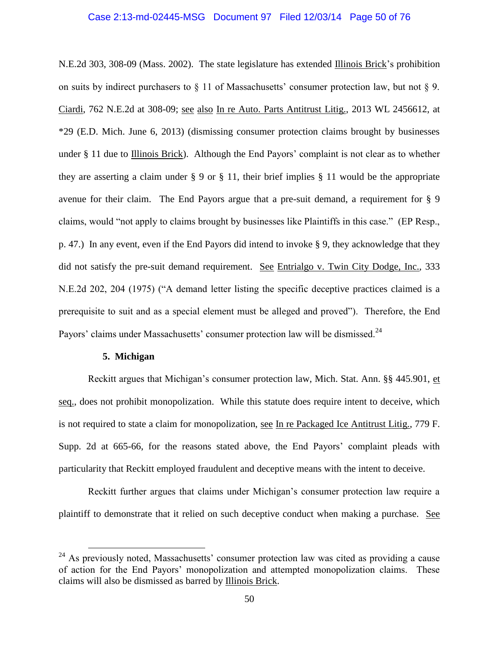### Case 2:13-md-02445-MSG Document 97 Filed 12/03/14 Page 50 of 76

N.E.2d 303, 308-09 (Mass. 2002). The state legislature has extended Illinois Brick's prohibition on suits by indirect purchasers to  $\S$  11 of Massachusetts' consumer protection law, but not  $\S$  9. Ciardi, 762 N.E.2d at 308-09; see also In re Auto. Parts Antitrust Litig., 2013 WL 2456612, at \*29 (E.D. Mich. June 6, 2013) (dismissing consumer protection claims brought by businesses under § 11 due to Illinois Brick). Although the End Payors' complaint is not clear as to whether they are asserting a claim under § 9 or § 11, their brief implies § 11 would be the appropriate avenue for their claim. The End Payors argue that a pre-suit demand, a requirement for § 9 claims, would "not apply to claims brought by businesses like Plaintiffs in this case." (EP Resp., p. 47.) In any event, even if the End Payors did intend to invoke § 9, they acknowledge that they did not satisfy the pre-suit demand requirement. See Entrialgo v. Twin City Dodge, Inc., 333 N.E.2d 202, 204 (1975) ("A demand letter listing the specific deceptive practices claimed is a prerequisite to suit and as a special element must be alleged and proved"). Therefore, the End Payors' claims under Massachusetts' consumer protection law will be dismissed.<sup>24</sup>

### **5. Michigan**

 $\overline{a}$ 

Reckitt argues that Michigan's consumer protection law, Mich. Stat. Ann. §§ 445.901, et seq., does not prohibit monopolization. While this statute does require intent to deceive, which is not required to state a claim for monopolization, see In re Packaged Ice Antitrust Litig., 779 F. Supp. 2d at 665-66, for the reasons stated above, the End Payors' complaint pleads with particularity that Reckitt employed fraudulent and deceptive means with the intent to deceive.

Reckitt further argues that claims under Michigan's consumer protection law require a plaintiff to demonstrate that it relied on such deceptive conduct when making a purchase. See

 $^{24}$  As previously noted, Massachusetts' consumer protection law was cited as providing a cause of action for the End Payors' monopolization and attempted monopolization claims. These claims will also be dismissed as barred by Illinois Brick.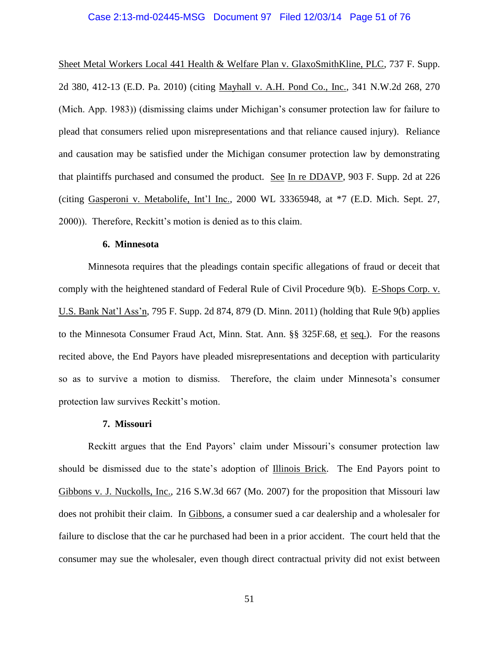### Case 2:13-md-02445-MSG Document 97 Filed 12/03/14 Page 51 of 76

Sheet Metal Workers Local 441 Health & Welfare Plan v. GlaxoSmithKline, PLC, 737 F. Supp. 2d 380, 412-13 (E.D. Pa. 2010) (citing Mayhall v. A.H. Pond Co., Inc., 341 N.W.2d 268, 270 (Mich. App. 1983)) (dismissing claims under Michigan's consumer protection law for failure to plead that consumers relied upon misrepresentations and that reliance caused injury). Reliance and causation may be satisfied under the Michigan consumer protection law by demonstrating that plaintiffs purchased and consumed the product. See In re DDAVP, 903 F. Supp. 2d at 226 (citing Gasperoni v. Metabolife, Int'l Inc., 2000 WL 33365948, at \*7 (E.D. Mich. Sept. 27, 2000)). Therefore, Reckitt's motion is denied as to this claim.

### **6. Minnesota**

Minnesota requires that the pleadings contain specific allegations of fraud or deceit that comply with the heightened standard of Federal Rule of Civil Procedure 9(b). E-Shops Corp. v. U.S. Bank Nat'l Ass'n, 795 F. Supp. 2d 874, 879 (D. Minn. 2011) (holding that Rule 9(b) applies to the Minnesota Consumer Fraud Act, Minn. Stat. Ann. §§ 325F.68, et seq.). For the reasons recited above, the End Payors have pleaded misrepresentations and deception with particularity so as to survive a motion to dismiss. Therefore, the claim under Minnesota's consumer protection law survives Reckitt's motion.

#### **7. Missouri**

Reckitt argues that the End Payors' claim under Missouri's consumer protection law should be dismissed due to the state's adoption of Illinois Brick.The End Payors point to Gibbons v. J. Nuckolls, Inc., 216 S.W.3d 667 (Mo. 2007) for the proposition that Missouri law does not prohibit their claim. In Gibbons, a consumer sued a car dealership and a wholesaler for failure to disclose that the car he purchased had been in a prior accident. The court held that the consumer may sue the wholesaler, even though direct contractual privity did not exist between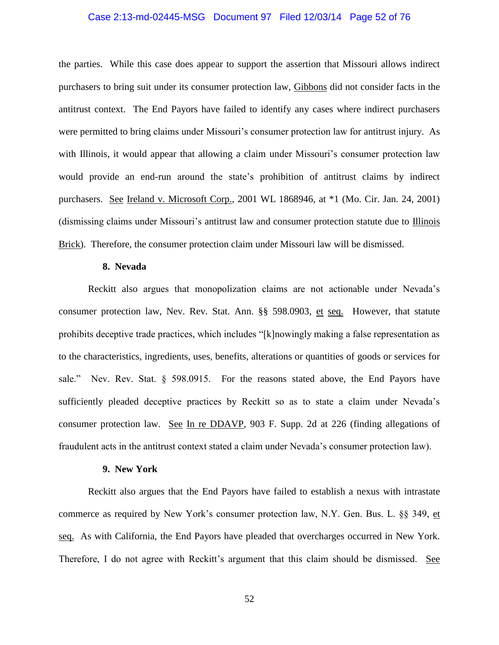### Case 2:13-md-02445-MSG Document 97 Filed 12/03/14 Page 52 of 76

the parties. While this case does appear to support the assertion that Missouri allows indirect purchasers to bring suit under its consumer protection law, Gibbons did not consider facts in the antitrust context. The End Payors have failed to identify any cases where indirect purchasers were permitted to bring claims under Missouri's consumer protection law for antitrust injury. As with Illinois, it would appear that allowing a claim under Missouri's consumer protection law would provide an end-run around the state's prohibition of antitrust claims by indirect purchasers. See Ireland v. Microsoft Corp., 2001 WL 1868946, at \*1 (Mo. Cir. Jan. 24, 2001) (dismissing claims under Missouri's antitrust law and consumer protection statute due to Illinois Brick). Therefore, the consumer protection claim under Missouri law will be dismissed.

### **8. Nevada**

Reckitt also argues that monopolization claims are not actionable under Nevada's consumer protection law, Nev. Rev. Stat. Ann. §§ 598.0903, et seq. However, that statute prohibits deceptive trade practices, which includes "[k]nowingly making a false representation as to the characteristics, ingredients, uses, benefits, alterations or quantities of goods or services for sale." Nev. Rev. Stat. § 598.0915. For the reasons stated above, the End Payors have sufficiently pleaded deceptive practices by Reckitt so as to state a claim under Nevada's consumer protection law. See In re DDAVP, 903 F. Supp. 2d at 226 (finding allegations of fraudulent acts in the antitrust context stated a claim under Nevada's consumer protection law).

#### **9. New York**

Reckitt also argues that the End Payors have failed to establish a nexus with intrastate commerce as required by New York's consumer protection law, N.Y. Gen. Bus. L. §§ 349, et seq. As with California, the End Payors have pleaded that overcharges occurred in New York. Therefore, I do not agree with Reckitt's argument that this claim should be dismissed. See

52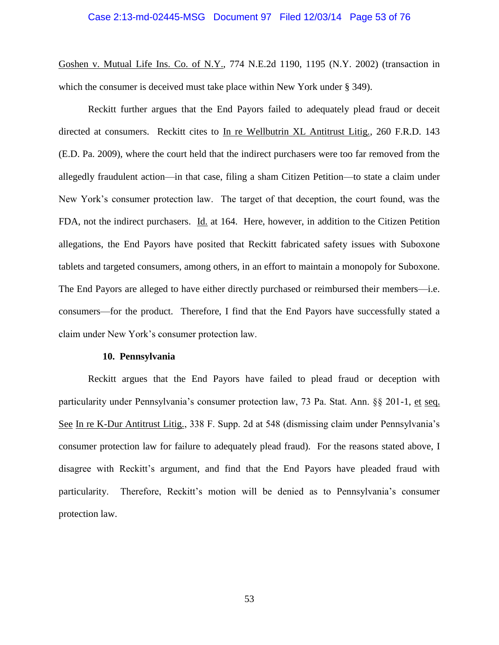### Case 2:13-md-02445-MSG Document 97 Filed 12/03/14 Page 53 of 76

Goshen v. Mutual Life Ins. Co. of N.Y., 774 N.E.2d 1190, 1195 (N.Y. 2002) (transaction in which the consumer is deceived must take place within New York under § 349).

Reckitt further argues that the End Payors failed to adequately plead fraud or deceit directed at consumers. Reckitt cites to In re Wellbutrin XL Antitrust Litig., 260 F.R.D. 143 (E.D. Pa. 2009), where the court held that the indirect purchasers were too far removed from the allegedly fraudulent action—in that case, filing a sham Citizen Petition—to state a claim under New York's consumer protection law. The target of that deception, the court found, was the FDA, not the indirect purchasers. Id. at 164. Here, however, in addition to the Citizen Petition allegations, the End Payors have posited that Reckitt fabricated safety issues with Suboxone tablets and targeted consumers, among others, in an effort to maintain a monopoly for Suboxone. The End Payors are alleged to have either directly purchased or reimbursed their members—i.e. consumers—for the product. Therefore, I find that the End Payors have successfully stated a claim under New York's consumer protection law.

#### **10. Pennsylvania**

Reckitt argues that the End Payors have failed to plead fraud or deception with particularity under Pennsylvania's consumer protection law, 73 Pa. Stat. Ann. §§ 201-1, et seq. See In re K-Dur Antitrust Litig., 338 F. Supp. 2d at 548 (dismissing claim under Pennsylvania's consumer protection law for failure to adequately plead fraud). For the reasons stated above, I disagree with Reckitt's argument, and find that the End Payors have pleaded fraud with particularity. Therefore, Reckitt's motion will be denied as to Pennsylvania's consumer protection law.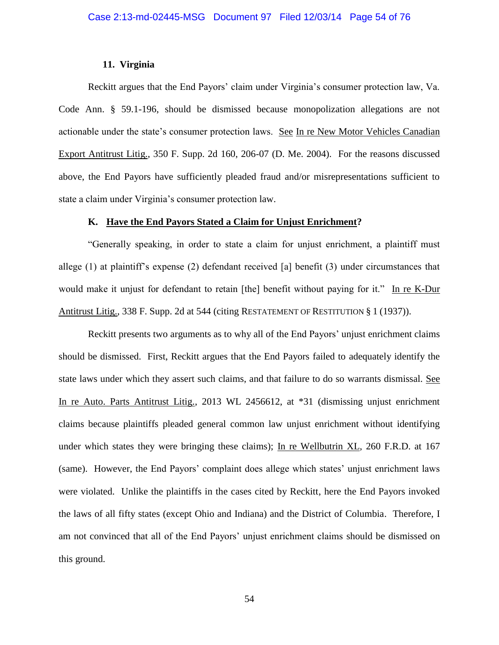### **11. Virginia**

Reckitt argues that the End Payors' claim under Virginia's consumer protection law, Va. Code Ann. § 59.1-196, should be dismissed because monopolization allegations are not actionable under the state's consumer protection laws. See In re New Motor Vehicles Canadian Export Antitrust Litig., 350 F. Supp. 2d 160, 206-07 (D. Me. 2004). For the reasons discussed above, the End Payors have sufficiently pleaded fraud and/or misrepresentations sufficient to state a claim under Virginia's consumer protection law.

### **K. Have the End Payors Stated a Claim for Unjust Enrichment?**

"Generally speaking, in order to state a claim for unjust enrichment, a plaintiff must allege (1) at plaintiff's expense (2) defendant received [a] benefit (3) under circumstances that would make it unjust for defendant to retain [the] benefit without paying for it." In re K-Dur Antitrust Litig., 338 F. Supp. 2d at 544 (citing RESTATEMENT OF RESTITUTION § 1 (1937)).

Reckitt presents two arguments as to why all of the End Payors' unjust enrichment claims should be dismissed. First, Reckitt argues that the End Payors failed to adequately identify the state laws under which they assert such claims, and that failure to do so warrants dismissal. See In re Auto. Parts Antitrust Litig., 2013 WL 2456612, at \*31 (dismissing unjust enrichment claims because plaintiffs pleaded general common law unjust enrichment without identifying under which states they were bringing these claims); In re Wellbutrin XL, 260 F.R.D. at 167 (same). However, the End Payors' complaint does allege which states' unjust enrichment laws were violated. Unlike the plaintiffs in the cases cited by Reckitt, here the End Payors invoked the laws of all fifty states (except Ohio and Indiana) and the District of Columbia. Therefore, I am not convinced that all of the End Payors' unjust enrichment claims should be dismissed on this ground.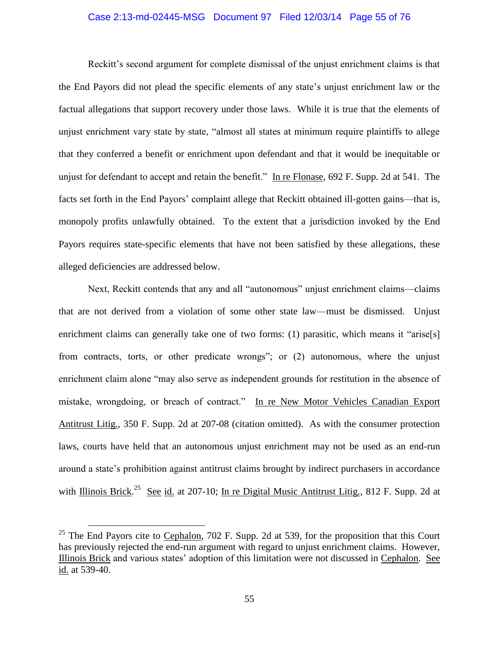# Case 2:13-md-02445-MSG Document 97 Filed 12/03/14 Page 55 of 76

Reckitt's second argument for complete dismissal of the unjust enrichment claims is that the End Payors did not plead the specific elements of any state's unjust enrichment law or the factual allegations that support recovery under those laws. While it is true that the elements of unjust enrichment vary state by state, "almost all states at minimum require plaintiffs to allege that they conferred a benefit or enrichment upon defendant and that it would be inequitable or unjust for defendant to accept and retain the benefit." In re Flonase, 692 F. Supp. 2d at 541. The facts set forth in the End Payors' complaint allege that Reckitt obtained ill-gotten gains—that is, monopoly profits unlawfully obtained. To the extent that a jurisdiction invoked by the End Payors requires state-specific elements that have not been satisfied by these allegations, these alleged deficiencies are addressed below.

Next, Reckitt contends that any and all "autonomous" unjust enrichment claims—claims that are not derived from a violation of some other state law—must be dismissed. Unjust enrichment claims can generally take one of two forms: (1) parasitic, which means it "arise[s] from contracts, torts, or other predicate wrongs"; or (2) autonomous, where the unjust enrichment claim alone "may also serve as independent grounds for restitution in the absence of mistake, wrongdoing, or breach of contract." In re New Motor Vehicles Canadian Export Antitrust Litig., 350 F. Supp. 2d at 207-08 (citation omitted). As with the consumer protection laws, courts have held that an autonomous unjust enrichment may not be used as an end-run around a state's prohibition against antitrust claims brought by indirect purchasers in accordance with Illinois Brick.<sup>25</sup> See id. at 207-10; In re Digital Music Antitrust Litig., 812 F. Supp. 2d at

 $25$  The End Payors cite to Cephalon, 702 F. Supp. 2d at 539, for the proposition that this Court has previously rejected the end-run argument with regard to unjust enrichment claims. However, Illinois Brick and various states' adoption of this limitation were not discussed in Cephalon. See id. at 539-40.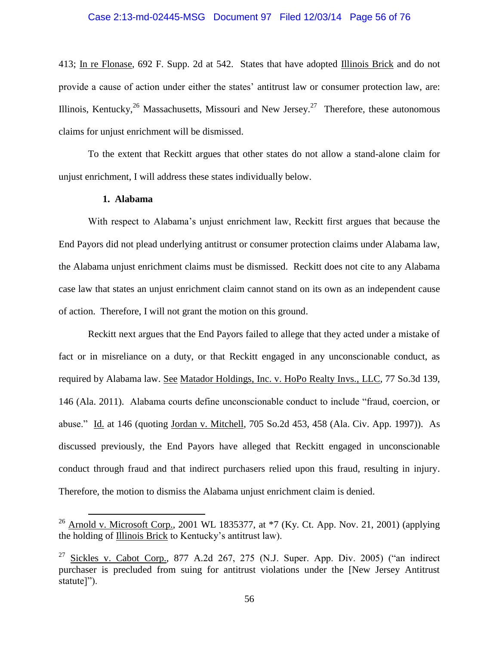### Case 2:13-md-02445-MSG Document 97 Filed 12/03/14 Page 56 of 76

413; In re Flonase, 692 F. Supp. 2d at 542. States that have adopted Illinois Brick and do not provide a cause of action under either the states' antitrust law or consumer protection law, are: Illinois, Kentucky,  $^{26}$  Massachusetts, Missouri and New Jersey. <sup>27</sup> Therefore, these autonomous claims for unjust enrichment will be dismissed.

To the extent that Reckitt argues that other states do not allow a stand-alone claim for unjust enrichment, I will address these states individually below.

### **1. Alabama**

 $\overline{a}$ 

With respect to Alabama's unjust enrichment law, Reckitt first argues that because the End Payors did not plead underlying antitrust or consumer protection claims under Alabama law, the Alabama unjust enrichment claims must be dismissed. Reckitt does not cite to any Alabama case law that states an unjust enrichment claim cannot stand on its own as an independent cause of action. Therefore, I will not grant the motion on this ground.

Reckitt next argues that the End Payors failed to allege that they acted under a mistake of fact or in misreliance on a duty, or that Reckitt engaged in any unconscionable conduct, as required by Alabama law. See Matador Holdings, Inc. v. HoPo Realty Invs., LLC, 77 So.3d 139, 146 (Ala. 2011). Alabama courts define unconscionable conduct to include "fraud, coercion, or abuse." Id. at 146 (quoting Jordan v. Mitchell, 705 So.2d 453, 458 (Ala. Civ. App. 1997)). As discussed previously, the End Payors have alleged that Reckitt engaged in unconscionable conduct through fraud and that indirect purchasers relied upon this fraud, resulting in injury. Therefore, the motion to dismiss the Alabama unjust enrichment claim is denied.

<sup>&</sup>lt;sup>26</sup> Arnold v. Microsoft Corp., 2001 WL 1835377, at  $*7$  (Ky. Ct. App. Nov. 21, 2001) (applying the holding of Illinois Brick to Kentucky's antitrust law).

<sup>&</sup>lt;sup>27</sup> Sickles v. Cabot Corp., 877 A.2d 267, 275 (N.J. Super. App. Div. 2005) ("an indirect purchaser is precluded from suing for antitrust violations under the [New Jersey Antitrust statute]").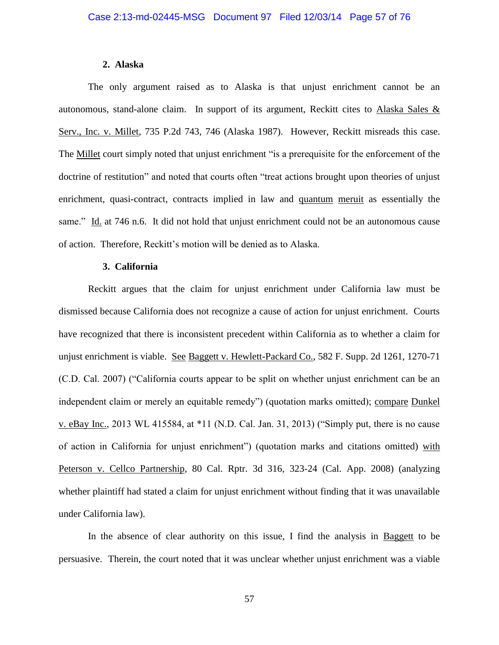### **2. Alaska**

The only argument raised as to Alaska is that unjust enrichment cannot be an autonomous, stand-alone claim. In support of its argument, Reckitt cites to Alaska Sales & Serv., Inc. v. Millet, 735 P.2d 743, 746 (Alaska 1987). However, Reckitt misreads this case. The Millet court simply noted that unjust enrichment "is a prerequisite for the enforcement of the doctrine of restitution" and noted that courts often "treat actions brought upon theories of unjust enrichment, quasi-contract, contracts implied in law and quantum meruit as essentially the same." Id. at 746 n.6. It did not hold that unjust enrichment could not be an autonomous cause of action. Therefore, Reckitt's motion will be denied as to Alaska.

### **3. California**

Reckitt argues that the claim for unjust enrichment under California law must be dismissed because California does not recognize a cause of action for unjust enrichment. Courts have recognized that there is inconsistent precedent within California as to whether a claim for unjust enrichment is viable. See Baggett v. Hewlett-Packard Co., 582 F. Supp. 2d 1261, 1270-71 (C.D. Cal. 2007) ("California courts appear to be split on whether unjust enrichment can be an independent claim or merely an equitable remedy") (quotation marks omitted); compare Dunkel v. eBay Inc., 2013 WL 415584, at \*11 (N.D. Cal. Jan. 31, 2013) ("Simply put, there is no cause of action in California for unjust enrichment") (quotation marks and citations omitted) with Peterson v. Cellco Partnership, 80 Cal. Rptr. 3d 316, 323-24 (Cal. App. 2008) (analyzing whether plaintiff had stated a claim for unjust enrichment without finding that it was unavailable under California law).

In the absence of clear authority on this issue, I find the analysis in Baggett to be persuasive. Therein, the court noted that it was unclear whether unjust enrichment was a viable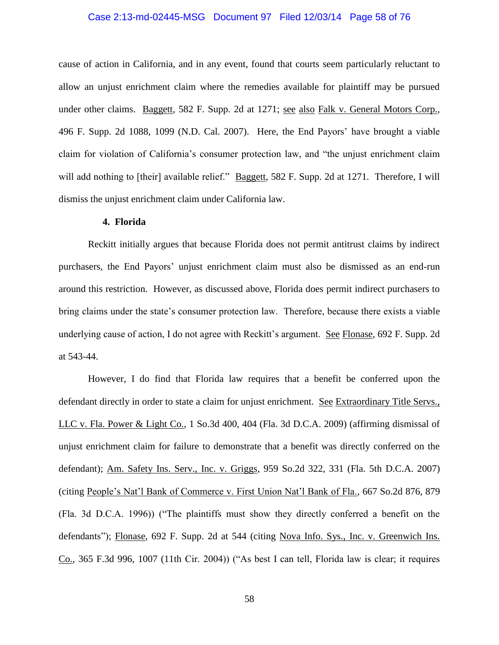### Case 2:13-md-02445-MSG Document 97 Filed 12/03/14 Page 58 of 76

cause of action in California, and in any event, found that courts seem particularly reluctant to allow an unjust enrichment claim where the remedies available for plaintiff may be pursued under other claims. Baggett, 582 F. Supp. 2d at 1271; see also Falk v. General Motors Corp., 496 F. Supp. 2d 1088, 1099 (N.D. Cal. 2007). Here, the End Payors' have brought a viable claim for violation of California's consumer protection law, and "the unjust enrichment claim will add nothing to [their] available relief." Baggett, 582 F. Supp. 2d at 1271. Therefore, I will dismiss the unjust enrichment claim under California law.

### **4. Florida**

Reckitt initially argues that because Florida does not permit antitrust claims by indirect purchasers, the End Payors' unjust enrichment claim must also be dismissed as an end-run around this restriction. However, as discussed above, Florida does permit indirect purchasers to bring claims under the state's consumer protection law. Therefore, because there exists a viable underlying cause of action, I do not agree with Reckitt's argument. See Flonase, 692 F. Supp. 2d at 543-44.

However, I do find that Florida law requires that a benefit be conferred upon the defendant directly in order to state a claim for unjust enrichment. See Extraordinary Title Servs., LLC v. Fla. Power & Light Co., 1 So.3d 400, 404 (Fla. 3d D.C.A. 2009) (affirming dismissal of unjust enrichment claim for failure to demonstrate that a benefit was directly conferred on the defendant); Am. Safety Ins. Serv., Inc. v. Griggs, 959 So.2d 322, 331 (Fla. 5th D.C.A. 2007) (citing People's Nat'l Bank of Commerce v. First Union Nat'l Bank of Fla., 667 So.2d 876, 879 (Fla. 3d D.C.A. 1996)) ("The plaintiffs must show they directly conferred a benefit on the defendants"); Flonase, 692 F. Supp. 2d at 544 (citing Nova Info. Sys., Inc. v. Greenwich Ins. Co., 365 F.3d 996, 1007 (11th Cir. 2004)) ("As best I can tell, Florida law is clear; it requires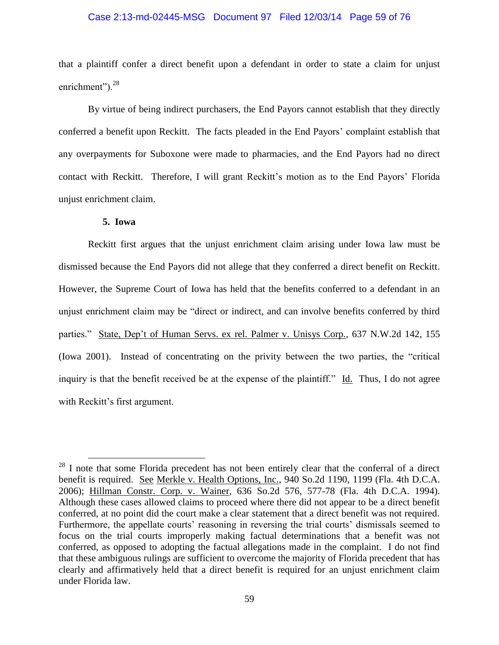# Case 2:13-md-02445-MSG Document 97 Filed 12/03/14 Page 59 of 76

that a plaintiff confer a direct benefit upon a defendant in order to state a claim for unjust enrichment").<sup>28</sup>

By virtue of being indirect purchasers, the End Payors cannot establish that they directly conferred a benefit upon Reckitt. The facts pleaded in the End Payors' complaint establish that any overpayments for Suboxone were made to pharmacies, and the End Payors had no direct contact with Reckitt. Therefore, I will grant Reckitt's motion as to the End Payors' Florida unjust enrichment claim.

## **5. Iowa**

 $\overline{a}$ 

Reckitt first argues that the unjust enrichment claim arising under Iowa law must be dismissed because the End Payors did not allege that they conferred a direct benefit on Reckitt. However, the Supreme Court of Iowa has held that the benefits conferred to a defendant in an unjust enrichment claim may be "direct or indirect, and can involve benefits conferred by third parties." State, Dep't of Human Servs. ex rel. Palmer v. Unisys Corp., 637 N.W.2d 142, 155 (Iowa 2001). Instead of concentrating on the privity between the two parties, the "critical inquiry is that the benefit received be at the expense of the plaintiff." Id. Thus, I do not agree with Reckitt's first argument.

 $^{28}$  I note that some Florida precedent has not been entirely clear that the conferral of a direct benefit is required. See Merkle v. Health Options, Inc., 940 So.2d 1190, 1199 (Fla. 4th D.C.A. 2006); Hillman Constr. Corp. v. Wainer, 636 So.2d 576, 577-78 (Fla. 4th D.C.A. 1994). Although these cases allowed claims to proceed where there did not appear to be a direct benefit conferred, at no point did the court make a clear statement that a direct benefit was not required. Furthermore, the appellate courts' reasoning in reversing the trial courts' dismissals seemed to focus on the trial courts improperly making factual determinations that a benefit was not conferred, as opposed to adopting the factual allegations made in the complaint. I do not find that these ambiguous rulings are sufficient to overcome the majority of Florida precedent that has clearly and affirmatively held that a direct benefit is required for an unjust enrichment claim under Florida law.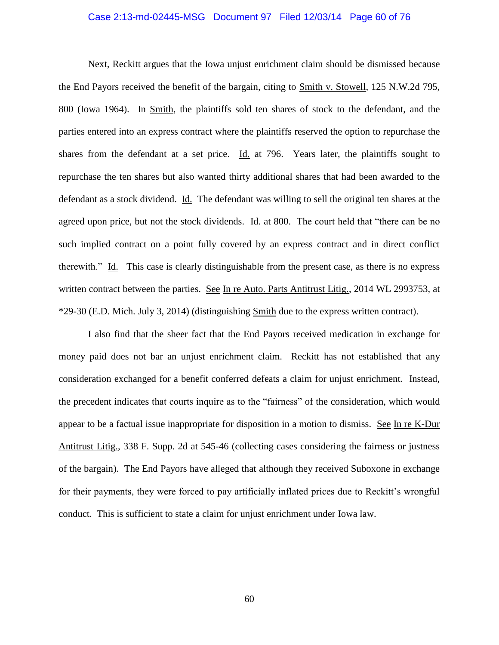### Case 2:13-md-02445-MSG Document 97 Filed 12/03/14 Page 60 of 76

Next, Reckitt argues that the Iowa unjust enrichment claim should be dismissed because the End Payors received the benefit of the bargain, citing to Smith v. Stowell, 125 N.W.2d 795, 800 (Iowa 1964). In Smith, the plaintiffs sold ten shares of stock to the defendant, and the parties entered into an express contract where the plaintiffs reserved the option to repurchase the shares from the defendant at a set price. Id. at 796. Years later, the plaintiffs sought to repurchase the ten shares but also wanted thirty additional shares that had been awarded to the defendant as a stock dividend. Id. The defendant was willing to sell the original ten shares at the agreed upon price, but not the stock dividends. Id. at 800. The court held that "there can be no such implied contract on a point fully covered by an express contract and in direct conflict therewith." Id. This case is clearly distinguishable from the present case, as there is no express written contract between the parties. See In re Auto. Parts Antitrust Litig., 2014 WL 2993753, at \*29-30 (E.D. Mich. July 3, 2014) (distinguishing Smith due to the express written contract).

I also find that the sheer fact that the End Payors received medication in exchange for money paid does not bar an unjust enrichment claim. Reckitt has not established that any consideration exchanged for a benefit conferred defeats a claim for unjust enrichment. Instead, the precedent indicates that courts inquire as to the "fairness" of the consideration, which would appear to be a factual issue inappropriate for disposition in a motion to dismiss. See In re K-Dur Antitrust Litig., 338 F. Supp. 2d at 545-46 (collecting cases considering the fairness or justness of the bargain). The End Payors have alleged that although they received Suboxone in exchange for their payments, they were forced to pay artificially inflated prices due to Reckitt's wrongful conduct. This is sufficient to state a claim for unjust enrichment under Iowa law.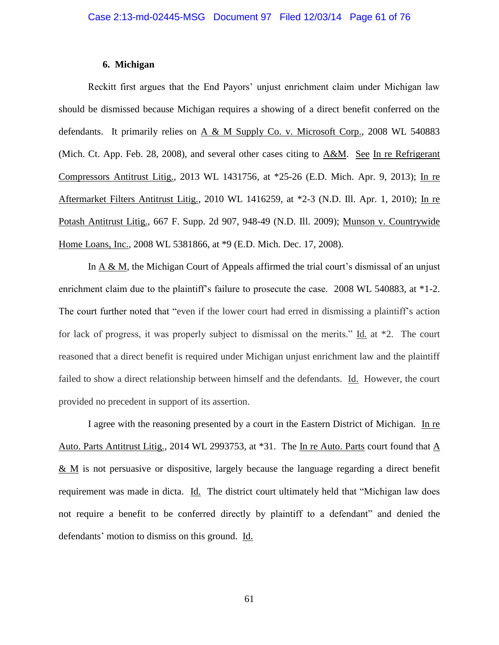### **6. Michigan**

Reckitt first argues that the End Payors' unjust enrichment claim under Michigan law should be dismissed because Michigan requires a showing of a direct benefit conferred on the defendants. It primarily relies on A & M Supply Co. v. Microsoft Corp., 2008 WL 540883 (Mich. Ct. App. Feb. 28, 2008), and several other cases citing to A&M. See In re Refrigerant Compressors Antitrust Litig., 2013 WL 1431756, at \*25-26 (E.D. Mich. Apr. 9, 2013); In re Aftermarket Filters Antitrust Litig., 2010 WL 1416259, at \*2-3 (N.D. Ill. Apr. 1, 2010); In re Potash Antitrust Litig., 667 F. Supp. 2d 907, 948-49 (N.D. Ill. 2009); Munson v. Countrywide Home Loans, Inc., 2008 WL 5381866, at \*9 (E.D. Mich. Dec. 17, 2008).

In A & M, the Michigan Court of Appeals affirmed the trial court's dismissal of an unjust enrichment claim due to the plaintiff's failure to prosecute the case. 2008 WL 540883, at \*1-2. The court further noted that "even if the lower court had erred in dismissing a plaintiff's action for lack of progress, it was properly subject to dismissal on the merits." Id. at \*2. The court reasoned that a direct benefit is required under Michigan unjust enrichment law and the plaintiff failed to show a direct relationship between himself and the defendants. Id. However, the court provided no precedent in support of its assertion.

I agree with the reasoning presented by a court in the Eastern District of Michigan. In re Auto. Parts Antitrust Litig., 2014 WL 2993753, at \*31. The In re Auto. Parts court found that A & M is not persuasive or dispositive, largely because the language regarding a direct benefit requirement was made in dicta. Id. The district court ultimately held that "Michigan law does not require a benefit to be conferred directly by plaintiff to a defendant" and denied the defendants' motion to dismiss on this ground. Id.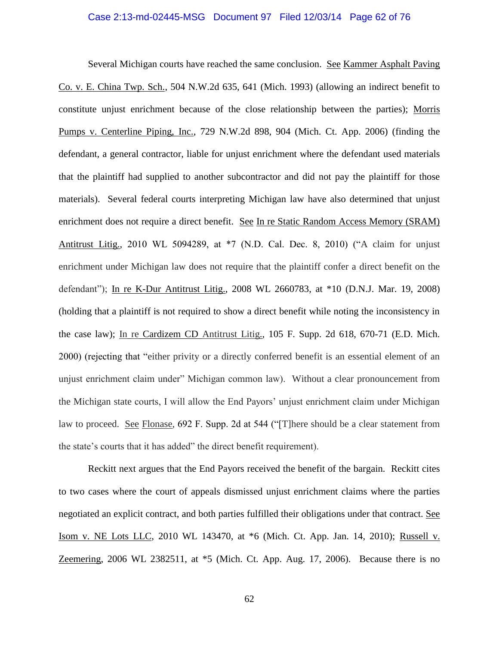### Case 2:13-md-02445-MSG Document 97 Filed 12/03/14 Page 62 of 76

Several Michigan courts have reached the same conclusion. See Kammer Asphalt Paving Co. v. E. China Twp. Sch., 504 N.W.2d 635, 641 (Mich. 1993) (allowing an indirect benefit to constitute unjust enrichment because of the close relationship between the parties); Morris Pumps v. Centerline Piping, Inc., 729 N.W.2d 898, 904 (Mich. Ct. App. 2006) (finding the defendant, a general contractor, liable for unjust enrichment where the defendant used materials that the plaintiff had supplied to another subcontractor and did not pay the plaintiff for those materials). Several federal courts interpreting Michigan law have also determined that unjust enrichment does not require a direct benefit. See In re Static Random Access Memory (SRAM) Antitrust Litig., 2010 WL 5094289, at \*7 (N.D. Cal. Dec. 8, 2010) ("A claim for unjust enrichment under Michigan law does not require that the plaintiff confer a direct benefit on the defendant"); In re K-Dur Antitrust Litig., 2008 WL 2660783, at \*10 (D.N.J. Mar. 19, 2008) (holding that a plaintiff is not required to show a direct benefit while noting the inconsistency in the case law); In re Cardizem CD Antitrust Litig., 105 F. Supp. 2d 618, 670-71 (E.D. Mich. 2000) (rejecting that "either privity or a directly conferred benefit is an essential element of an unjust enrichment claim under" Michigan common law). Without a clear pronouncement from the Michigan state courts, I will allow the End Payors' unjust enrichment claim under Michigan law to proceed. See Flonase, 692 F. Supp. 2d at 544 ("[T]here should be a clear statement from the state's courts that it has added" the direct benefit requirement).

Reckitt next argues that the End Payors received the benefit of the bargain. Reckitt cites to two cases where the court of appeals dismissed unjust enrichment claims where the parties negotiated an explicit contract, and both parties fulfilled their obligations under that contract. See Isom v. NE Lots LLC, 2010 WL 143470, at \*6 (Mich. Ct. App. Jan. 14, 2010); Russell v. Zeemering, 2006 WL 2382511, at \*5 (Mich. Ct. App. Aug. 17, 2006). Because there is no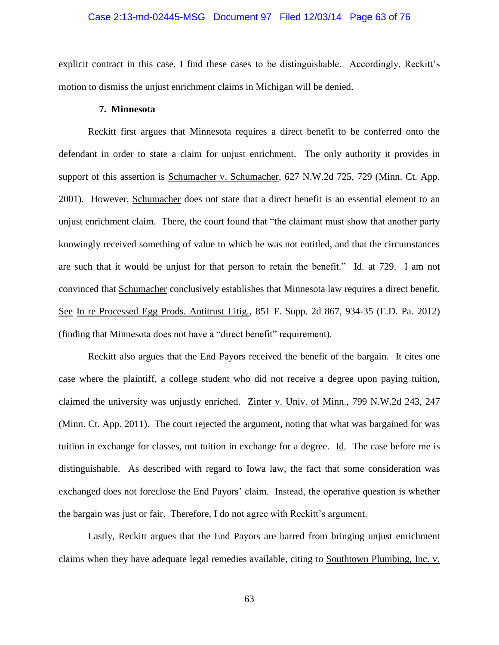### Case 2:13-md-02445-MSG Document 97 Filed 12/03/14 Page 63 of 76

explicit contract in this case, I find these cases to be distinguishable. Accordingly, Reckitt's motion to dismiss the unjust enrichment claims in Michigan will be denied.

### **7. Minnesota**

Reckitt first argues that Minnesota requires a direct benefit to be conferred onto the defendant in order to state a claim for unjust enrichment. The only authority it provides in support of this assertion is Schumacher v. Schumacher, 627 N.W.2d 725, 729 (Minn. Ct. App. 2001). However, Schumacher does not state that a direct benefit is an essential element to an unjust enrichment claim. There, the court found that "the claimant must show that another party knowingly received something of value to which he was not entitled, and that the circumstances are such that it would be unjust for that person to retain the benefit." Id. at 729. I am not convinced that Schumacher conclusively establishes that Minnesota law requires a direct benefit. See In re Processed Egg Prods. Antitrust Litig., 851 F. Supp. 2d 867, 934-35 (E.D. Pa. 2012) (finding that Minnesota does not have a "direct benefit" requirement).

Reckitt also argues that the End Payors received the benefit of the bargain. It cites one case where the plaintiff, a college student who did not receive a degree upon paying tuition, claimed the university was unjustly enriched. Zinter v. Univ. of Minn., 799 N.W.2d 243, 247 (Minn. Ct. App. 2011). The court rejected the argument, noting that what was bargained for was tuition in exchange for classes, not tuition in exchange for a degree. Id. The case before me is distinguishable. As described with regard to Iowa law, the fact that some consideration was exchanged does not foreclose the End Payors' claim. Instead, the operative question is whether the bargain was just or fair. Therefore, I do not agree with Reckitt's argument.

Lastly, Reckitt argues that the End Payors are barred from bringing unjust enrichment claims when they have adequate legal remedies available, citing to Southtown Plumbing, Inc. v.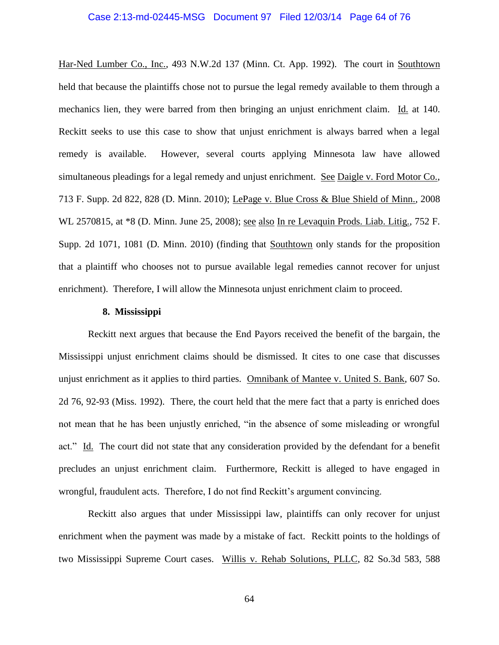### Case 2:13-md-02445-MSG Document 97 Filed 12/03/14 Page 64 of 76

Har-Ned Lumber Co., Inc., 493 N.W.2d 137 (Minn. Ct. App. 1992). The court in Southtown held that because the plaintiffs chose not to pursue the legal remedy available to them through a mechanics lien, they were barred from then bringing an unjust enrichment claim. Id. at 140. Reckitt seeks to use this case to show that unjust enrichment is always barred when a legal remedy is available. However, several courts applying Minnesota law have allowed simultaneous pleadings for a legal remedy and unjust enrichment. See Daigle v. Ford Motor Co., 713 F. Supp. 2d 822, 828 (D. Minn. 2010); LePage v. Blue Cross & Blue Shield of Minn., 2008 WL 2570815, at \*8 (D. Minn. June 25, 2008); see also In re Levaquin Prods. Liab. Litig., 752 F. Supp. 2d 1071, 1081 (D. Minn. 2010) (finding that Southtown only stands for the proposition that a plaintiff who chooses not to pursue available legal remedies cannot recover for unjust enrichment). Therefore, I will allow the Minnesota unjust enrichment claim to proceed.

### **8. Mississippi**

Reckitt next argues that because the End Payors received the benefit of the bargain, the Mississippi unjust enrichment claims should be dismissed. It cites to one case that discusses unjust enrichment as it applies to third parties. Omnibank of Mantee v. United S. Bank, 607 So. 2d 76, 92-93 (Miss. 1992). There, the court held that the mere fact that a party is enriched does not mean that he has been unjustly enriched, "in the absence of some misleading or wrongful act." Id. The court did not state that any consideration provided by the defendant for a benefit precludes an unjust enrichment claim. Furthermore, Reckitt is alleged to have engaged in wrongful, fraudulent acts. Therefore, I do not find Reckitt's argument convincing.

Reckitt also argues that under Mississippi law, plaintiffs can only recover for unjust enrichment when the payment was made by a mistake of fact. Reckitt points to the holdings of two Mississippi Supreme Court cases. Willis v. Rehab Solutions, PLLC, 82 So.3d 583, 588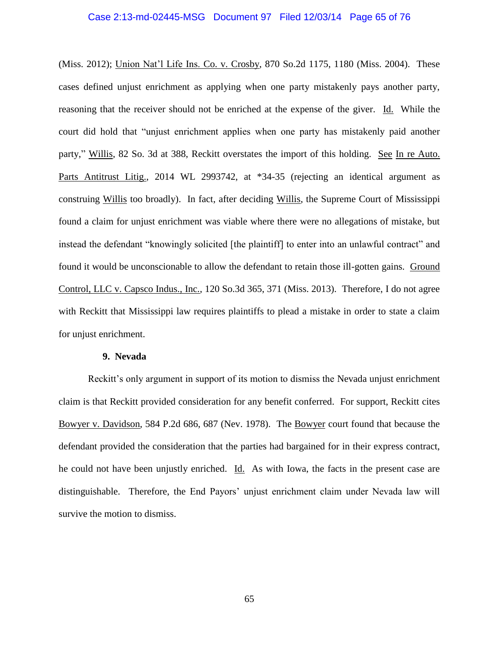### Case 2:13-md-02445-MSG Document 97 Filed 12/03/14 Page 65 of 76

(Miss. 2012); Union Nat'l Life Ins. Co. v. Crosby, 870 So.2d 1175, 1180 (Miss. 2004). These cases defined unjust enrichment as applying when one party mistakenly pays another party, reasoning that the receiver should not be enriched at the expense of the giver. Id. While the court did hold that "unjust enrichment applies when one party has mistakenly paid another party," Willis, 82 So. 3d at 388, Reckitt overstates the import of this holding. See In re Auto. Parts Antitrust Litig., 2014 WL 2993742, at \*34-35 (rejecting an identical argument as construing Willis too broadly). In fact, after deciding Willis, the Supreme Court of Mississippi found a claim for unjust enrichment was viable where there were no allegations of mistake, but instead the defendant "knowingly solicited [the plaintiff] to enter into an unlawful contract" and found it would be unconscionable to allow the defendant to retain those ill-gotten gains. Ground Control, LLC v. Capsco Indus., Inc., 120 So.3d 365, 371 (Miss. 2013). Therefore, I do not agree with Reckitt that Mississippi law requires plaintiffs to plead a mistake in order to state a claim for unjust enrichment.

### **9. Nevada**

Reckitt's only argument in support of its motion to dismiss the Nevada unjust enrichment claim is that Reckitt provided consideration for any benefit conferred. For support, Reckitt cites Bowyer v. Davidson, 584 P.2d 686, 687 (Nev. 1978). The Bowyer court found that because the defendant provided the consideration that the parties had bargained for in their express contract, he could not have been unjustly enriched. Id. As with Iowa, the facts in the present case are distinguishable. Therefore, the End Payors' unjust enrichment claim under Nevada law will survive the motion to dismiss.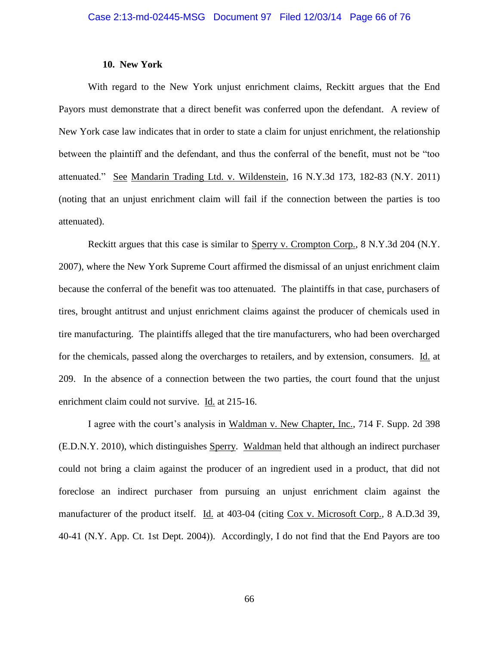### **10. New York**

With regard to the New York unjust enrichment claims, Reckitt argues that the End Payors must demonstrate that a direct benefit was conferred upon the defendant. A review of New York case law indicates that in order to state a claim for unjust enrichment, the relationship between the plaintiff and the defendant, and thus the conferral of the benefit, must not be "too attenuated." See Mandarin Trading Ltd. v. Wildenstein, 16 N.Y.3d 173, 182-83 (N.Y. 2011) (noting that an unjust enrichment claim will fail if the connection between the parties is too attenuated).

Reckitt argues that this case is similar to Sperry v. Crompton Corp., 8 N.Y.3d 204 (N.Y. 2007), where the New York Supreme Court affirmed the dismissal of an unjust enrichment claim because the conferral of the benefit was too attenuated. The plaintiffs in that case, purchasers of tires, brought antitrust and unjust enrichment claims against the producer of chemicals used in tire manufacturing. The plaintiffs alleged that the tire manufacturers, who had been overcharged for the chemicals, passed along the overcharges to retailers, and by extension, consumers. Id. at 209. In the absence of a connection between the two parties, the court found that the unjust enrichment claim could not survive. Id. at 215-16.

I agree with the court's analysis in Waldman v. New Chapter, Inc., 714 F. Supp. 2d 398 (E.D.N.Y. 2010), which distinguishes Sperry. Waldman held that although an indirect purchaser could not bring a claim against the producer of an ingredient used in a product, that did not foreclose an indirect purchaser from pursuing an unjust enrichment claim against the manufacturer of the product itself. Id. at 403-04 (citing Cox v. Microsoft Corp., 8 A.D.3d 39, 40-41 (N.Y. App. Ct. 1st Dept. 2004)). Accordingly, I do not find that the End Payors are too

66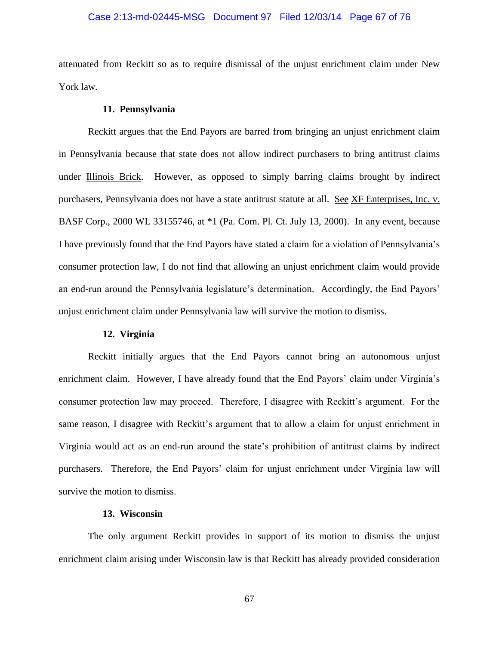### Case 2:13-md-02445-MSG Document 97 Filed 12/03/14 Page 67 of 76

attenuated from Reckitt so as to require dismissal of the unjust enrichment claim under New York law.

### **11. Pennsylvania**

Reckitt argues that the End Payors are barred from bringing an unjust enrichment claim in Pennsylvania because that state does not allow indirect purchasers to bring antitrust claims under Illinois Brick. However, as opposed to simply barring claims brought by indirect purchasers, Pennsylvania does not have a state antitrust statute at all. See XF Enterprises, Inc. v. BASF Corp., 2000 WL 33155746, at \*1 (Pa. Com. Pl. Ct. July 13, 2000). In any event, because I have previously found that the End Payors have stated a claim for a violation of Pennsylvania's consumer protection law, I do not find that allowing an unjust enrichment claim would provide an end-run around the Pennsylvania legislature's determination. Accordingly, the End Payors' unjust enrichment claim under Pennsylvania law will survive the motion to dismiss.

### **12. Virginia**

Reckitt initially argues that the End Payors cannot bring an autonomous unjust enrichment claim. However, I have already found that the End Payors' claim under Virginia's consumer protection law may proceed. Therefore, I disagree with Reckitt's argument. For the same reason, I disagree with Reckitt's argument that to allow a claim for unjust enrichment in Virginia would act as an end-run around the state's prohibition of antitrust claims by indirect purchasers. Therefore, the End Payors' claim for unjust enrichment under Virginia law will survive the motion to dismiss.

#### **13. Wisconsin**

The only argument Reckitt provides in support of its motion to dismiss the unjust enrichment claim arising under Wisconsin law is that Reckitt has already provided consideration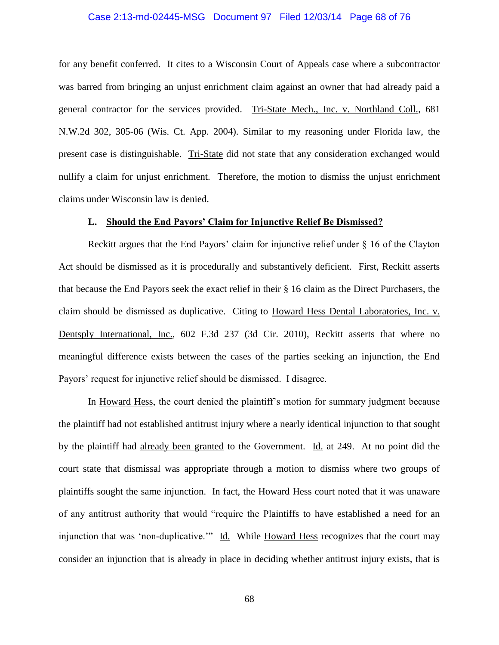### Case 2:13-md-02445-MSG Document 97 Filed 12/03/14 Page 68 of 76

for any benefit conferred. It cites to a Wisconsin Court of Appeals case where a subcontractor was barred from bringing an unjust enrichment claim against an owner that had already paid a general contractor for the services provided. Tri-State Mech., Inc. v. Northland Coll., 681 N.W.2d 302, 305-06 (Wis. Ct. App. 2004). Similar to my reasoning under Florida law, the present case is distinguishable. Tri-State did not state that any consideration exchanged would nullify a claim for unjust enrichment. Therefore, the motion to dismiss the unjust enrichment claims under Wisconsin law is denied.

### **L. Should the End Payors' Claim for Injunctive Relief Be Dismissed?**

Reckitt argues that the End Payors' claim for injunctive relief under § 16 of the Clayton Act should be dismissed as it is procedurally and substantively deficient. First, Reckitt asserts that because the End Payors seek the exact relief in their § 16 claim as the Direct Purchasers, the claim should be dismissed as duplicative. Citing to Howard Hess Dental Laboratories, Inc. v. Dentsply International, Inc., 602 F.3d 237 (3d Cir. 2010), Reckitt asserts that where no meaningful difference exists between the cases of the parties seeking an injunction, the End Payors' request for injunctive relief should be dismissed. I disagree.

In Howard Hess, the court denied the plaintiff's motion for summary judgment because the plaintiff had not established antitrust injury where a nearly identical injunction to that sought by the plaintiff had already been granted to the Government. Id. at 249. At no point did the court state that dismissal was appropriate through a motion to dismiss where two groups of plaintiffs sought the same injunction. In fact, the Howard Hess court noted that it was unaware of any antitrust authority that would "require the Plaintiffs to have established a need for an injunction that was 'non-duplicative.'" Id. While Howard Hess recognizes that the court may consider an injunction that is already in place in deciding whether antitrust injury exists, that is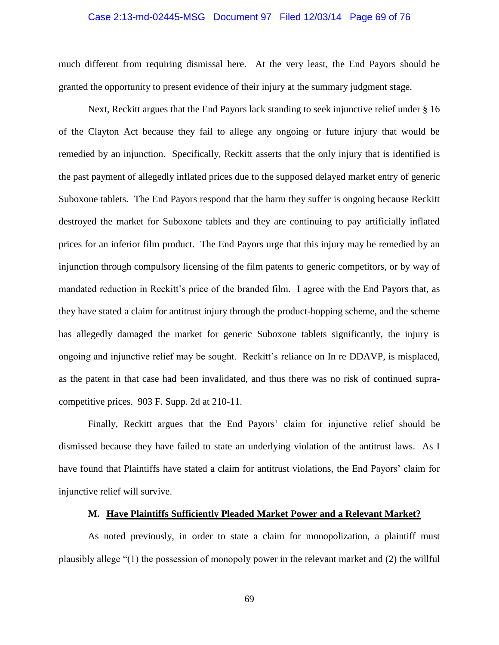### Case 2:13-md-02445-MSG Document 97 Filed 12/03/14 Page 69 of 76

much different from requiring dismissal here. At the very least, the End Payors should be granted the opportunity to present evidence of their injury at the summary judgment stage.

Next, Reckitt argues that the End Payors lack standing to seek injunctive relief under § 16 of the Clayton Act because they fail to allege any ongoing or future injury that would be remedied by an injunction. Specifically, Reckitt asserts that the only injury that is identified is the past payment of allegedly inflated prices due to the supposed delayed market entry of generic Suboxone tablets. The End Payors respond that the harm they suffer is ongoing because Reckitt destroyed the market for Suboxone tablets and they are continuing to pay artificially inflated prices for an inferior film product. The End Payors urge that this injury may be remedied by an injunction through compulsory licensing of the film patents to generic competitors, or by way of mandated reduction in Reckitt's price of the branded film. I agree with the End Payors that, as they have stated a claim for antitrust injury through the product-hopping scheme, and the scheme has allegedly damaged the market for generic Suboxone tablets significantly, the injury is ongoing and injunctive relief may be sought. Reckitt's reliance on In re DDAVP, is misplaced, as the patent in that case had been invalidated, and thus there was no risk of continued supracompetitive prices. 903 F. Supp. 2d at 210-11.

Finally, Reckitt argues that the End Payors' claim for injunctive relief should be dismissed because they have failed to state an underlying violation of the antitrust laws. As I have found that Plaintiffs have stated a claim for antitrust violations, the End Payors' claim for injunctive relief will survive.

### **M. Have Plaintiffs Sufficiently Pleaded Market Power and a Relevant Market?**

As noted previously, in order to state a claim for monopolization, a plaintiff must plausibly allege "(1) the possession of monopoly power in the relevant market and (2) the willful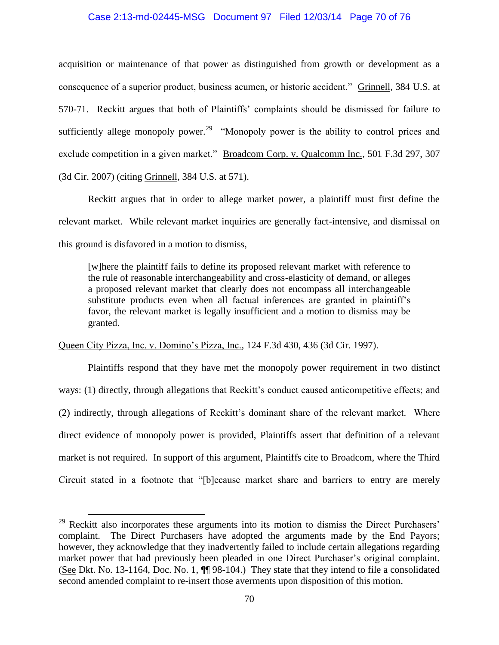### Case 2:13-md-02445-MSG Document 97 Filed 12/03/14 Page 70 of 76

acquisition or maintenance of that power as distinguished from growth or development as a consequence of a superior product, business acumen, or historic accident." Grinnell, 384 U.S. at 570-71. Reckitt argues that both of Plaintiffs' complaints should be dismissed for failure to sufficiently allege monopoly power.<sup>29</sup> "Monopoly power is the ability to control prices and exclude competition in a given market." Broadcom Corp. v. Qualcomm Inc., 501 F.3d 297, 307 (3d Cir. 2007) (citing Grinnell, 384 U.S. at 571).

Reckitt argues that in order to allege market power, a plaintiff must first define the relevant market. While relevant market inquiries are generally fact-intensive, and dismissal on this ground is disfavored in a motion to dismiss,

[w]here the plaintiff fails to define its proposed relevant market with reference to the rule of reasonable interchangeability and cross-elasticity of demand, or alleges a proposed relevant market that clearly does not encompass all interchangeable substitute products even when all factual inferences are granted in plaintiff's favor, the relevant market is legally insufficient and a motion to dismiss may be granted.

Queen City Pizza, Inc. v. Domino's Pizza, Inc., 124 F.3d 430, 436 (3d Cir. 1997).

 $\overline{a}$ 

Plaintiffs respond that they have met the monopoly power requirement in two distinct ways: (1) directly, through allegations that Reckitt's conduct caused anticompetitive effects; and (2) indirectly, through allegations of Reckitt's dominant share of the relevant market. Where direct evidence of monopoly power is provided, Plaintiffs assert that definition of a relevant market is not required. In support of this argument, Plaintiffs cite to Broadcom, where the Third Circuit stated in a footnote that "[b]ecause market share and barriers to entry are merely

 $29$  Reckitt also incorporates these arguments into its motion to dismiss the Direct Purchasers' complaint. The Direct Purchasers have adopted the arguments made by the End Payors; however, they acknowledge that they inadvertently failed to include certain allegations regarding market power that had previously been pleaded in one Direct Purchaser's original complaint. (See Dkt. No. 13-1164, Doc. No. 1, ¶¶ 98-104.) They state that they intend to file a consolidated second amended complaint to re-insert those averments upon disposition of this motion.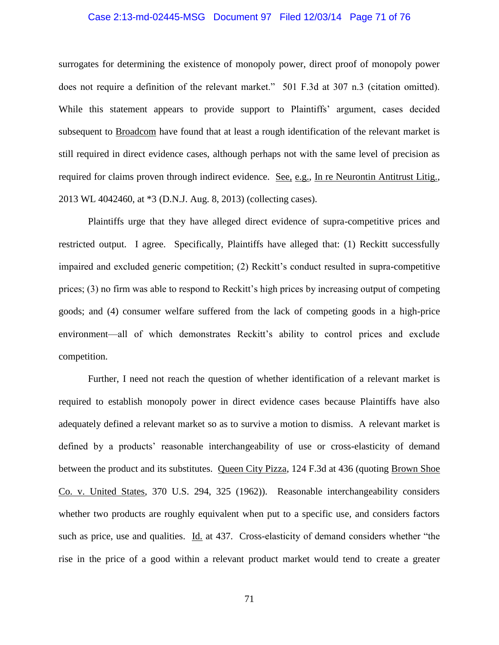### Case 2:13-md-02445-MSG Document 97 Filed 12/03/14 Page 71 of 76

surrogates for determining the existence of monopoly power, direct proof of monopoly power does not require a definition of the relevant market." 501 F.3d at 307 n.3 (citation omitted). While this statement appears to provide support to Plaintiffs' argument, cases decided subsequent to Broadcom have found that at least a rough identification of the relevant market is still required in direct evidence cases, although perhaps not with the same level of precision as required for claims proven through indirect evidence. See, e.g., In re Neurontin Antitrust Litig., 2013 WL 4042460, at \*3 (D.N.J. Aug. 8, 2013) (collecting cases).

Plaintiffs urge that they have alleged direct evidence of supra-competitive prices and restricted output. I agree. Specifically, Plaintiffs have alleged that: (1) Reckitt successfully impaired and excluded generic competition; (2) Reckitt's conduct resulted in supra-competitive prices; (3) no firm was able to respond to Reckitt's high prices by increasing output of competing goods; and (4) consumer welfare suffered from the lack of competing goods in a high-price environment—all of which demonstrates Reckitt's ability to control prices and exclude competition.

Further, I need not reach the question of whether identification of a relevant market is required to establish monopoly power in direct evidence cases because Plaintiffs have also adequately defined a relevant market so as to survive a motion to dismiss. A relevant market is defined by a products' reasonable interchangeability of use or cross-elasticity of demand between the product and its substitutes. Queen City Pizza, 124 F.3d at 436 (quoting Brown Shoe Co. v. United States, 370 U.S. 294, 325 (1962)). Reasonable interchangeability considers whether two products are roughly equivalent when put to a specific use, and considers factors such as price, use and qualities. Id. at 437. Cross-elasticity of demand considers whether "the rise in the price of a good within a relevant product market would tend to create a greater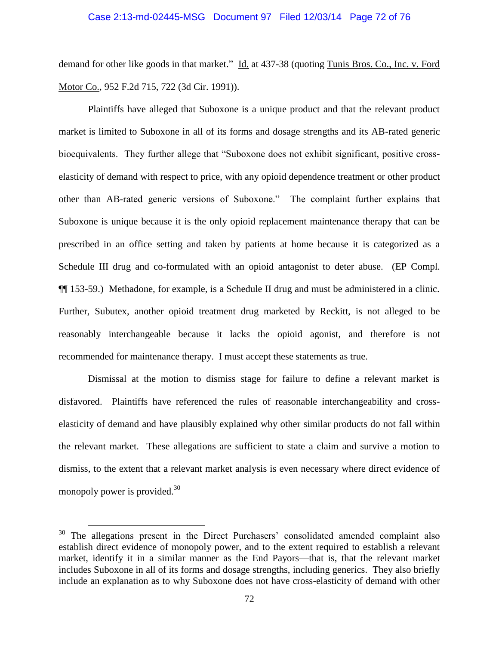### Case 2:13-md-02445-MSG Document 97 Filed 12/03/14 Page 72 of 76

demand for other like goods in that market." Id. at 437-38 (quoting Tunis Bros. Co., Inc. v. Ford Motor Co., 952 F.2d 715, 722 (3d Cir. 1991)).

Plaintiffs have alleged that Suboxone is a unique product and that the relevant product market is limited to Suboxone in all of its forms and dosage strengths and its AB-rated generic bioequivalents. They further allege that "Suboxone does not exhibit significant, positive crosselasticity of demand with respect to price, with any opioid dependence treatment or other product other than AB-rated generic versions of Suboxone." The complaint further explains that Suboxone is unique because it is the only opioid replacement maintenance therapy that can be prescribed in an office setting and taken by patients at home because it is categorized as a Schedule III drug and co-formulated with an opioid antagonist to deter abuse. (EP Compl. ¶¶ 153-59.) Methadone, for example, is a Schedule II drug and must be administered in a clinic. Further, Subutex, another opioid treatment drug marketed by Reckitt, is not alleged to be reasonably interchangeable because it lacks the opioid agonist, and therefore is not recommended for maintenance therapy. I must accept these statements as true.

Dismissal at the motion to dismiss stage for failure to define a relevant market is disfavored. Plaintiffs have referenced the rules of reasonable interchangeability and crosselasticity of demand and have plausibly explained why other similar products do not fall within the relevant market. These allegations are sufficient to state a claim and survive a motion to dismiss, to the extent that a relevant market analysis is even necessary where direct evidence of monopoly power is provided.<sup>30</sup>

<sup>&</sup>lt;sup>30</sup> The allegations present in the Direct Purchasers' consolidated amended complaint also establish direct evidence of monopoly power, and to the extent required to establish a relevant market, identify it in a similar manner as the End Payors—that is, that the relevant market includes Suboxone in all of its forms and dosage strengths, including generics. They also briefly include an explanation as to why Suboxone does not have cross-elasticity of demand with other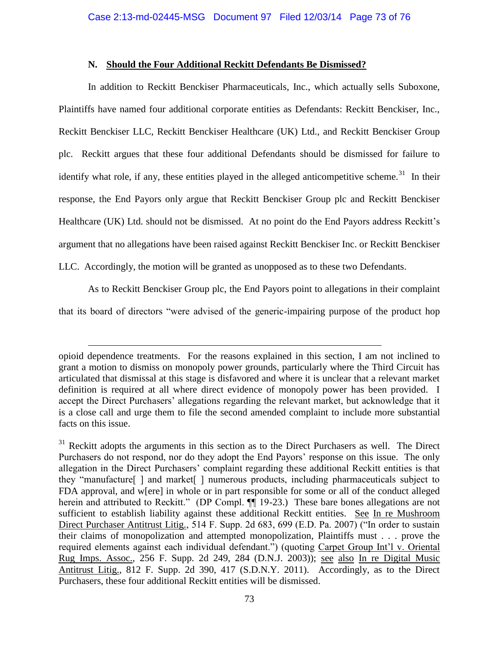# **N. Should the Four Additional Reckitt Defendants Be Dismissed?**

In addition to Reckitt Benckiser Pharmaceuticals, Inc., which actually sells Suboxone, Plaintiffs have named four additional corporate entities as Defendants: Reckitt Benckiser, Inc., Reckitt Benckiser LLC, Reckitt Benckiser Healthcare (UK) Ltd., and Reckitt Benckiser Group plc. Reckitt argues that these four additional Defendants should be dismissed for failure to identify what role, if any, these entities played in the alleged anticompetitive scheme.<sup>31</sup> In their response, the End Payors only argue that Reckitt Benckiser Group plc and Reckitt Benckiser Healthcare (UK) Ltd. should not be dismissed. At no point do the End Payors address Reckitt's argument that no allegations have been raised against Reckitt Benckiser Inc. or Reckitt Benckiser

LLC. Accordingly, the motion will be granted as unopposed as to these two Defendants.

 $\overline{a}$ 

As to Reckitt Benckiser Group plc, the End Payors point to allegations in their complaint

that its board of directors "were advised of the generic-impairing purpose of the product hop

opioid dependence treatments. For the reasons explained in this section, I am not inclined to grant a motion to dismiss on monopoly power grounds, particularly where the Third Circuit has articulated that dismissal at this stage is disfavored and where it is unclear that a relevant market definition is required at all where direct evidence of monopoly power has been provided. I accept the Direct Purchasers' allegations regarding the relevant market, but acknowledge that it is a close call and urge them to file the second amended complaint to include more substantial facts on this issue.

 $31$  Reckitt adopts the arguments in this section as to the Direct Purchasers as well. The Direct Purchasers do not respond, nor do they adopt the End Payors' response on this issue. The only allegation in the Direct Purchasers' complaint regarding these additional Reckitt entities is that they "manufacture[ ] and market[ ] numerous products, including pharmaceuticals subject to FDA approval, and w[ere] in whole or in part responsible for some or all of the conduct alleged herein and attributed to Reckitt." (DP Compl.  $\P$  19-23.) These bare bones allegations are not sufficient to establish liability against these additional Reckitt entities. See In re Mushroom Direct Purchaser Antitrust Litig., 514 F. Supp. 2d 683, 699 (E.D. Pa. 2007) ("In order to sustain their claims of monopolization and attempted monopolization, Plaintiffs must . . . prove the required elements against each individual defendant.") (quoting Carpet Group Int'l v. Oriental Rug Imps. Assoc., 256 F. Supp. 2d 249, 284 (D.N.J. 2003)); see also In re Digital Music Antitrust Litig., 812 F. Supp. 2d 390, 417 (S.D.N.Y. 2011). Accordingly, as to the Direct Purchasers, these four additional Reckitt entities will be dismissed.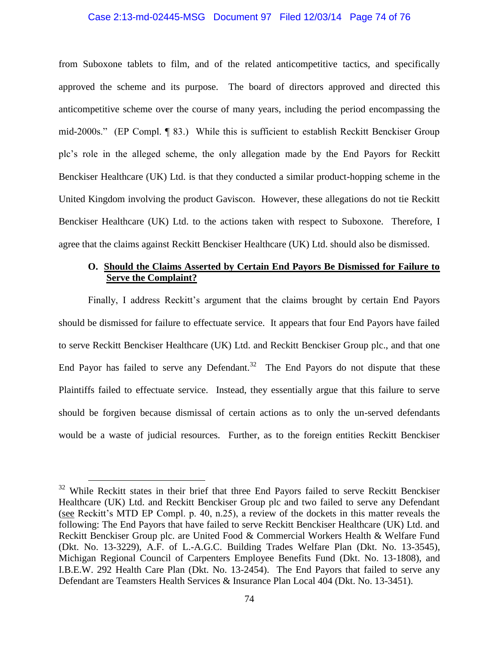## Case 2:13-md-02445-MSG Document 97 Filed 12/03/14 Page 74 of 76

from Suboxone tablets to film, and of the related anticompetitive tactics, and specifically approved the scheme and its purpose. The board of directors approved and directed this anticompetitive scheme over the course of many years, including the period encompassing the mid-2000s." (EP Compl. ¶ 83.) While this is sufficient to establish Reckitt Benckiser Group plc's role in the alleged scheme, the only allegation made by the End Payors for Reckitt Benckiser Healthcare (UK) Ltd. is that they conducted a similar product-hopping scheme in the United Kingdom involving the product Gaviscon. However, these allegations do not tie Reckitt Benckiser Healthcare (UK) Ltd. to the actions taken with respect to Suboxone. Therefore, I agree that the claims against Reckitt Benckiser Healthcare (UK) Ltd. should also be dismissed.

# **O. Should the Claims Asserted by Certain End Payors Be Dismissed for Failure to Serve the Complaint?**

Finally, I address Reckitt's argument that the claims brought by certain End Payors should be dismissed for failure to effectuate service. It appears that four End Payors have failed to serve Reckitt Benckiser Healthcare (UK) Ltd. and Reckitt Benckiser Group plc., and that one End Payor has failed to serve any Defendant.<sup>32</sup> The End Payors do not dispute that these Plaintiffs failed to effectuate service. Instead, they essentially argue that this failure to serve should be forgiven because dismissal of certain actions as to only the un-served defendants would be a waste of judicial resources. Further, as to the foreign entities Reckitt Benckiser

 $\overline{a}$ 

 $32$  While Reckitt states in their brief that three End Payors failed to serve Reckitt Benckiser Healthcare (UK) Ltd. and Reckitt Benckiser Group plc and two failed to serve any Defendant (see Reckitt's MTD EP Compl. p. 40, n.25), a review of the dockets in this matter reveals the following: The End Payors that have failed to serve Reckitt Benckiser Healthcare (UK) Ltd. and Reckitt Benckiser Group plc. are United Food & Commercial Workers Health & Welfare Fund (Dkt. No. 13-3229), A.F. of L.-A.G.C. Building Trades Welfare Plan (Dkt. No. 13-3545), Michigan Regional Council of Carpenters Employee Benefits Fund (Dkt. No. 13-1808), and I.B.E.W. 292 Health Care Plan (Dkt. No. 13-2454). The End Payors that failed to serve any Defendant are Teamsters Health Services & Insurance Plan Local 404 (Dkt. No. 13-3451).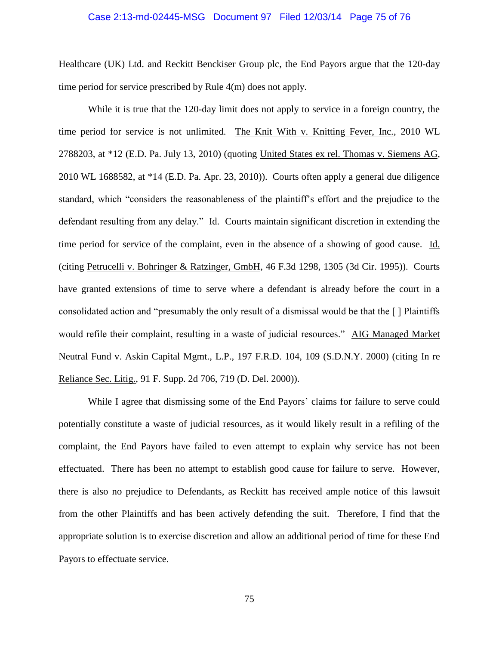## Case 2:13-md-02445-MSG Document 97 Filed 12/03/14 Page 75 of 76

Healthcare (UK) Ltd. and Reckitt Benckiser Group plc, the End Payors argue that the 120-day time period for service prescribed by Rule 4(m) does not apply.

While it is true that the 120-day limit does not apply to service in a foreign country, the time period for service is not unlimited. The Knit With v. Knitting Fever, Inc., 2010 WL 2788203, at \*12 (E.D. Pa. July 13, 2010) (quoting United States ex rel. Thomas v. Siemens AG, 2010 WL 1688582, at \*14 (E.D. Pa. Apr. 23, 2010)). Courts often apply a general due diligence standard, which "considers the reasonableness of the plaintiff's effort and the prejudice to the defendant resulting from any delay." Id. Courts maintain significant discretion in extending the time period for service of the complaint, even in the absence of a showing of good cause. Id. (citing Petrucelli v. Bohringer & Ratzinger, GmbH, 46 F.3d 1298, 1305 (3d Cir. 1995)). Courts have granted extensions of time to serve where a defendant is already before the court in a consolidated action and "presumably the only result of a dismissal would be that the [ ] Plaintiffs would refile their complaint, resulting in a waste of judicial resources." AIG Managed Market Neutral Fund v. Askin Capital Mgmt., L.P., 197 F.R.D. 104, 109 (S.D.N.Y. 2000) (citing In re Reliance Sec. Litig., 91 F. Supp. 2d 706, 719 (D. Del. 2000)).

While I agree that dismissing some of the End Payors' claims for failure to serve could potentially constitute a waste of judicial resources, as it would likely result in a refiling of the complaint, the End Payors have failed to even attempt to explain why service has not been effectuated. There has been no attempt to establish good cause for failure to serve. However, there is also no prejudice to Defendants, as Reckitt has received ample notice of this lawsuit from the other Plaintiffs and has been actively defending the suit. Therefore, I find that the appropriate solution is to exercise discretion and allow an additional period of time for these End Payors to effectuate service.